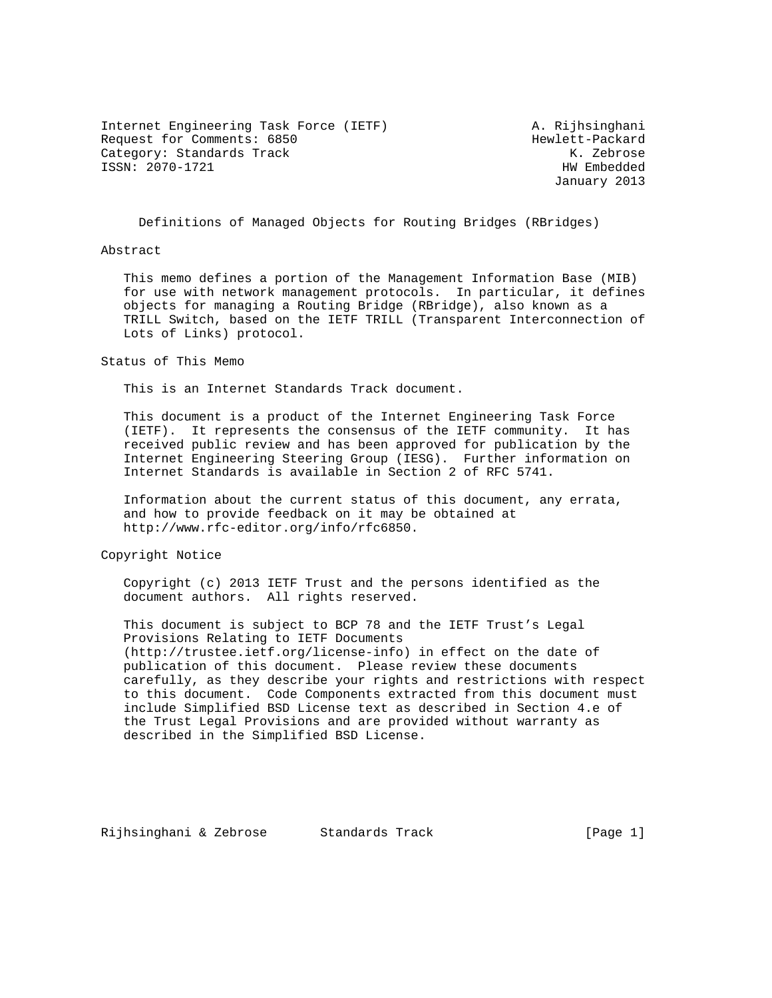Internet Engineering Task Force (IETF) A. Rijhsinghani Request for Comments: 6850 Hewlett-Packard Category: Standards Track K. Zebrose ISSN: 2070-1721 HW Embedded

January 2013

Definitions of Managed Objects for Routing Bridges (RBridges)

### Abstract

 This memo defines a portion of the Management Information Base (MIB) for use with network management protocols. In particular, it defines objects for managing a Routing Bridge (RBridge), also known as a TRILL Switch, based on the IETF TRILL (Transparent Interconnection of Lots of Links) protocol.

Status of This Memo

This is an Internet Standards Track document.

 This document is a product of the Internet Engineering Task Force (IETF). It represents the consensus of the IETF community. It has received public review and has been approved for publication by the Internet Engineering Steering Group (IESG). Further information on Internet Standards is available in Section 2 of RFC 5741.

 Information about the current status of this document, any errata, and how to provide feedback on it may be obtained at http://www.rfc-editor.org/info/rfc6850.

Copyright Notice

 Copyright (c) 2013 IETF Trust and the persons identified as the document authors. All rights reserved.

 This document is subject to BCP 78 and the IETF Trust's Legal Provisions Relating to IETF Documents (http://trustee.ietf.org/license-info) in effect on the date of publication of this document. Please review these documents carefully, as they describe your rights and restrictions with respect to this document. Code Components extracted from this document must include Simplified BSD License text as described in Section 4.e of the Trust Legal Provisions and are provided without warranty as described in the Simplified BSD License.

Rijhsinghani & Zebrose Standards Track Track [Page 1]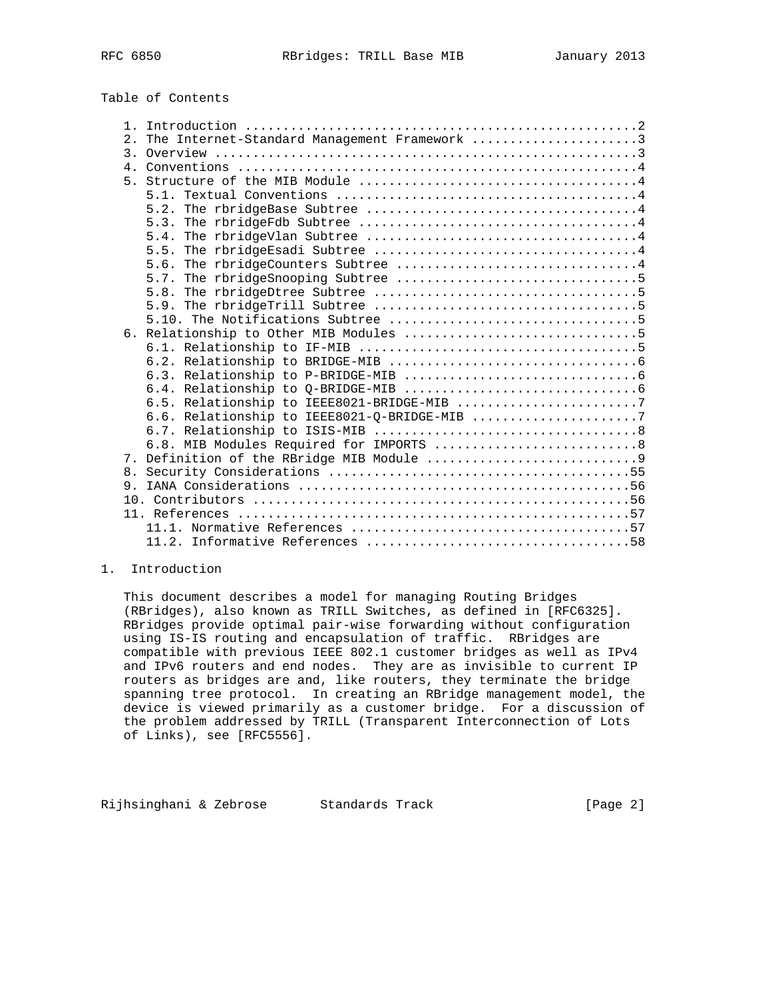Table of Contents

| 2. | The Internet-Standard Management Framework 3                                                                |
|----|-------------------------------------------------------------------------------------------------------------|
|    |                                                                                                             |
|    | 4. Conventions $\ldots \ldots \ldots \ldots \ldots \ldots \ldots \ldots \ldots \ldots \ldots \ldots \ldots$ |
|    |                                                                                                             |
|    |                                                                                                             |
|    | 5.2.                                                                                                        |
|    |                                                                                                             |
|    | 5.4.                                                                                                        |
|    | 5.5.                                                                                                        |
|    | The rbridgeCounters Subtree 4<br>5.6.                                                                       |
|    |                                                                                                             |
|    |                                                                                                             |
|    | 5.9.                                                                                                        |
|    |                                                                                                             |
|    |                                                                                                             |
|    |                                                                                                             |
|    |                                                                                                             |
|    |                                                                                                             |
|    |                                                                                                             |
|    | 6.5. Relationship to IEEE8021-BRIDGE-MIB 7                                                                  |
|    | 6.6. Relationship to IEEE8021-Q-BRIDGE-MIB 7                                                                |
|    |                                                                                                             |
|    | 6.8. MIB Modules Required for IMPORTS  8                                                                    |
|    |                                                                                                             |
| 8. |                                                                                                             |
|    |                                                                                                             |
|    |                                                                                                             |
|    |                                                                                                             |
|    |                                                                                                             |
|    |                                                                                                             |
|    |                                                                                                             |

### 1. Introduction

 This document describes a model for managing Routing Bridges (RBridges), also known as TRILL Switches, as defined in [RFC6325]. RBridges provide optimal pair-wise forwarding without configuration using IS-IS routing and encapsulation of traffic. RBridges are compatible with previous IEEE 802.1 customer bridges as well as IPv4 and IPv6 routers and end nodes. They are as invisible to current IP routers as bridges are and, like routers, they terminate the bridge spanning tree protocol. In creating an RBridge management model, the device is viewed primarily as a customer bridge. For a discussion of the problem addressed by TRILL (Transparent Interconnection of Lots of Links), see [RFC5556].

Rijhsinghani & Zebrose Standards Track [Page 2]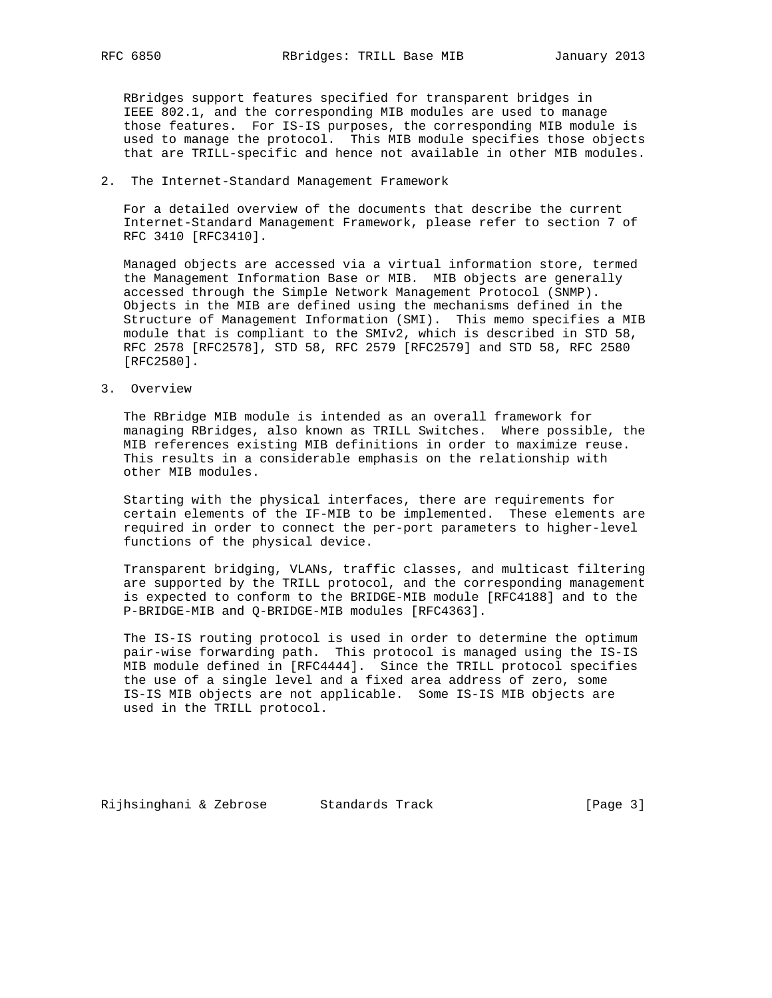RBridges support features specified for transparent bridges in IEEE 802.1, and the corresponding MIB modules are used to manage those features. For IS-IS purposes, the corresponding MIB module is used to manage the protocol. This MIB module specifies those objects that are TRILL-specific and hence not available in other MIB modules.

2. The Internet-Standard Management Framework

 For a detailed overview of the documents that describe the current Internet-Standard Management Framework, please refer to section 7 of RFC 3410 [RFC3410].

 Managed objects are accessed via a virtual information store, termed the Management Information Base or MIB. MIB objects are generally accessed through the Simple Network Management Protocol (SNMP). Objects in the MIB are defined using the mechanisms defined in the Structure of Management Information (SMI). This memo specifies a MIB module that is compliant to the SMIv2, which is described in STD 58, RFC 2578 [RFC2578], STD 58, RFC 2579 [RFC2579] and STD 58, RFC 2580 [RFC2580].

3. Overview

 The RBridge MIB module is intended as an overall framework for managing RBridges, also known as TRILL Switches. Where possible, the MIB references existing MIB definitions in order to maximize reuse. This results in a considerable emphasis on the relationship with other MIB modules.

 Starting with the physical interfaces, there are requirements for certain elements of the IF-MIB to be implemented. These elements are required in order to connect the per-port parameters to higher-level functions of the physical device.

 Transparent bridging, VLANs, traffic classes, and multicast filtering are supported by the TRILL protocol, and the corresponding management is expected to conform to the BRIDGE-MIB module [RFC4188] and to the P-BRIDGE-MIB and Q-BRIDGE-MIB modules [RFC4363].

 The IS-IS routing protocol is used in order to determine the optimum pair-wise forwarding path. This protocol is managed using the IS-IS MIB module defined in [RFC4444]. Since the TRILL protocol specifies the use of a single level and a fixed area address of zero, some IS-IS MIB objects are not applicable. Some IS-IS MIB objects are used in the TRILL protocol.

Rijhsinghani & Zebrose Standards Track [Page 3]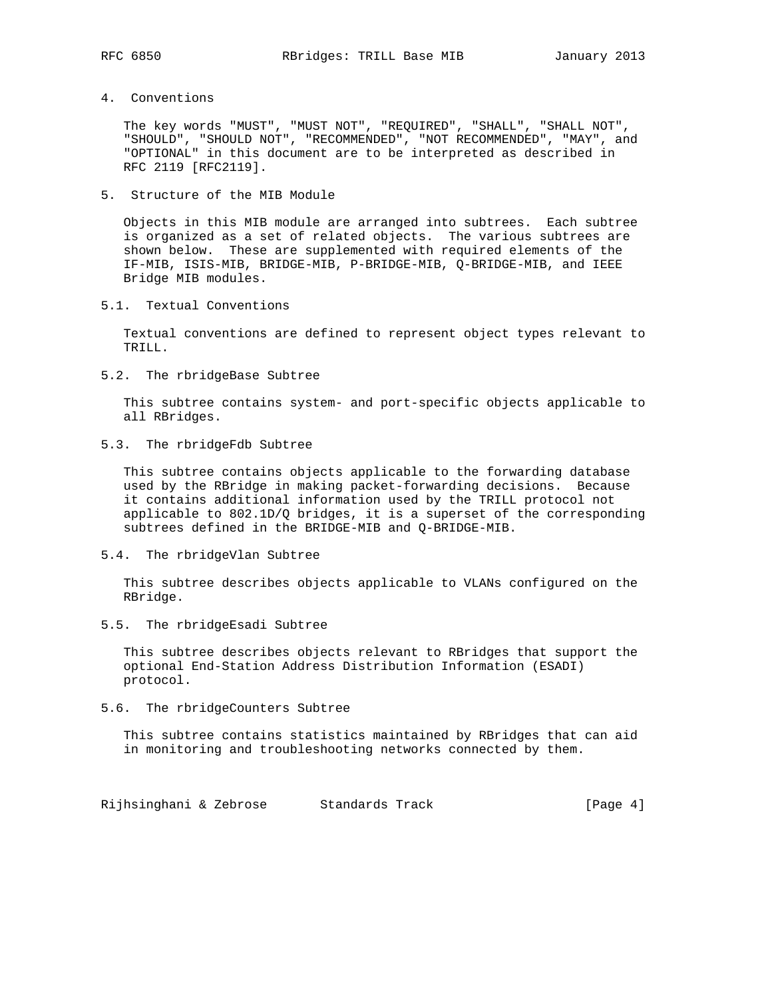4. Conventions

 The key words "MUST", "MUST NOT", "REQUIRED", "SHALL", "SHALL NOT", "SHOULD", "SHOULD NOT", "RECOMMENDED", "NOT RECOMMENDED", "MAY", and "OPTIONAL" in this document are to be interpreted as described in RFC 2119 [RFC2119].

5. Structure of the MIB Module

 Objects in this MIB module are arranged into subtrees. Each subtree is organized as a set of related objects. The various subtrees are shown below. These are supplemented with required elements of the IF-MIB, ISIS-MIB, BRIDGE-MIB, P-BRIDGE-MIB, Q-BRIDGE-MIB, and IEEE Bridge MIB modules.

5.1. Textual Conventions

 Textual conventions are defined to represent object types relevant to TRILL.

5.2. The rbridgeBase Subtree

 This subtree contains system- and port-specific objects applicable to all RBridges.

5.3. The rbridgeFdb Subtree

 This subtree contains objects applicable to the forwarding database used by the RBridge in making packet-forwarding decisions. Because it contains additional information used by the TRILL protocol not applicable to 802.1D/Q bridges, it is a superset of the corresponding subtrees defined in the BRIDGE-MIB and Q-BRIDGE-MIB.

5.4. The rbridgeVlan Subtree

 This subtree describes objects applicable to VLANs configured on the RBridge.

5.5. The rbridgeEsadi Subtree

 This subtree describes objects relevant to RBridges that support the optional End-Station Address Distribution Information (ESADI) protocol.

5.6. The rbridgeCounters Subtree

 This subtree contains statistics maintained by RBridges that can aid in monitoring and troubleshooting networks connected by them.

Rijhsinghani & Zebrose Standards Track Track [Page 4]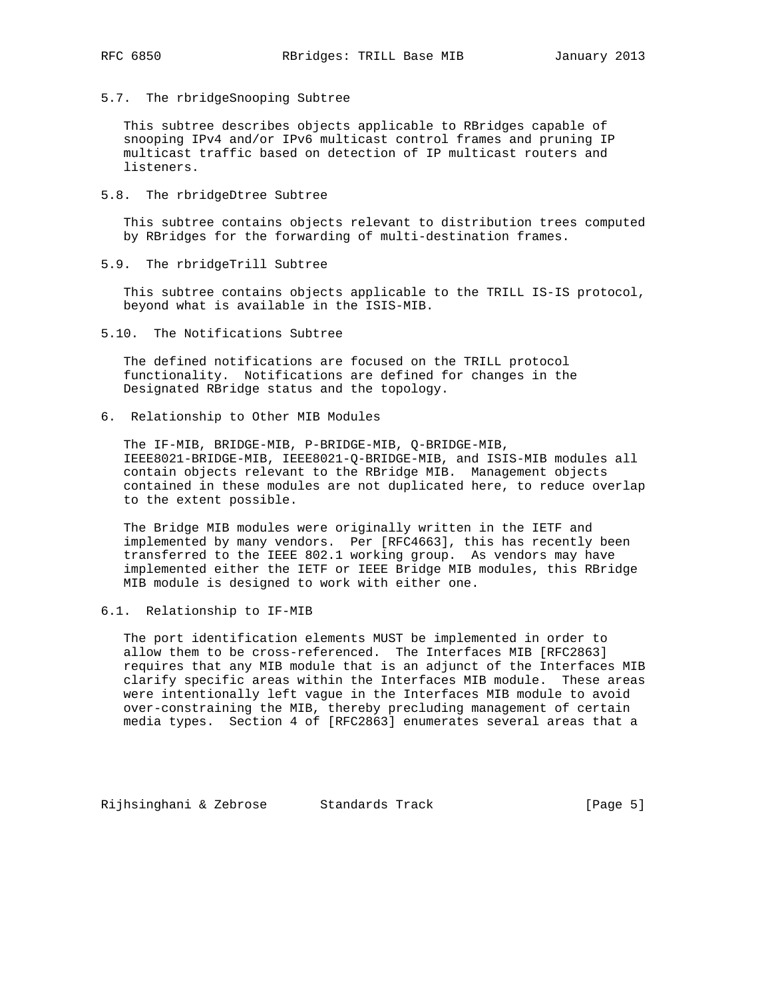5.7. The rbridgeSnooping Subtree

 This subtree describes objects applicable to RBridges capable of snooping IPv4 and/or IPv6 multicast control frames and pruning IP multicast traffic based on detection of IP multicast routers and listeners.

5.8. The rbridgeDtree Subtree

 This subtree contains objects relevant to distribution trees computed by RBridges for the forwarding of multi-destination frames.

5.9. The rbridgeTrill Subtree

 This subtree contains objects applicable to the TRILL IS-IS protocol, beyond what is available in the ISIS-MIB.

5.10. The Notifications Subtree

 The defined notifications are focused on the TRILL protocol functionality. Notifications are defined for changes in the Designated RBridge status and the topology.

6. Relationship to Other MIB Modules

 The IF-MIB, BRIDGE-MIB, P-BRIDGE-MIB, Q-BRIDGE-MIB, IEEE8021-BRIDGE-MIB, IEEE8021-Q-BRIDGE-MIB, and ISIS-MIB modules all contain objects relevant to the RBridge MIB. Management objects contained in these modules are not duplicated here, to reduce overlap to the extent possible.

 The Bridge MIB modules were originally written in the IETF and implemented by many vendors. Per [RFC4663], this has recently been transferred to the IEEE 802.1 working group. As vendors may have implemented either the IETF or IEEE Bridge MIB modules, this RBridge MIB module is designed to work with either one.

6.1. Relationship to IF-MIB

 The port identification elements MUST be implemented in order to allow them to be cross-referenced. The Interfaces MIB [RFC2863] requires that any MIB module that is an adjunct of the Interfaces MIB clarify specific areas within the Interfaces MIB module. These areas were intentionally left vague in the Interfaces MIB module to avoid over-constraining the MIB, thereby precluding management of certain media types. Section 4 of [RFC2863] enumerates several areas that a

Rijhsinghani & Zebrose Standards Track (Page 5)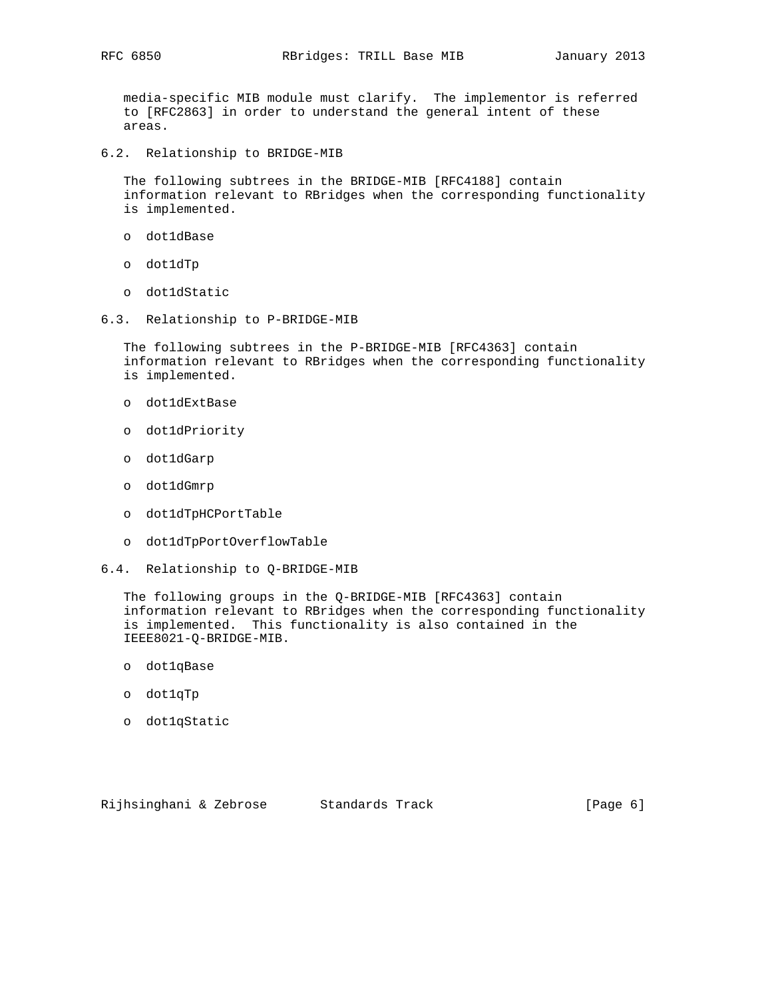media-specific MIB module must clarify. The implementor is referred to [RFC2863] in order to understand the general intent of these areas.

6.2. Relationship to BRIDGE-MIB

 The following subtrees in the BRIDGE-MIB [RFC4188] contain information relevant to RBridges when the corresponding functionality is implemented.

- o dot1dBase
- o dot1dTp
- o dot1dStatic
- 6.3. Relationship to P-BRIDGE-MIB

 The following subtrees in the P-BRIDGE-MIB [RFC4363] contain information relevant to RBridges when the corresponding functionality is implemented.

- o dot1dExtBase
- o dot1dPriority
- o dot1dGarp
- o dot1dGmrp
- o dot1dTpHCPortTable
- o dot1dTpPortOverflowTable
- 6.4. Relationship to Q-BRIDGE-MIB

 The following groups in the Q-BRIDGE-MIB [RFC4363] contain information relevant to RBridges when the corresponding functionality is implemented. This functionality is also contained in the IEEE8021-Q-BRIDGE-MIB.

- o dot1qBase
- o dot1qTp
- o dot1qStatic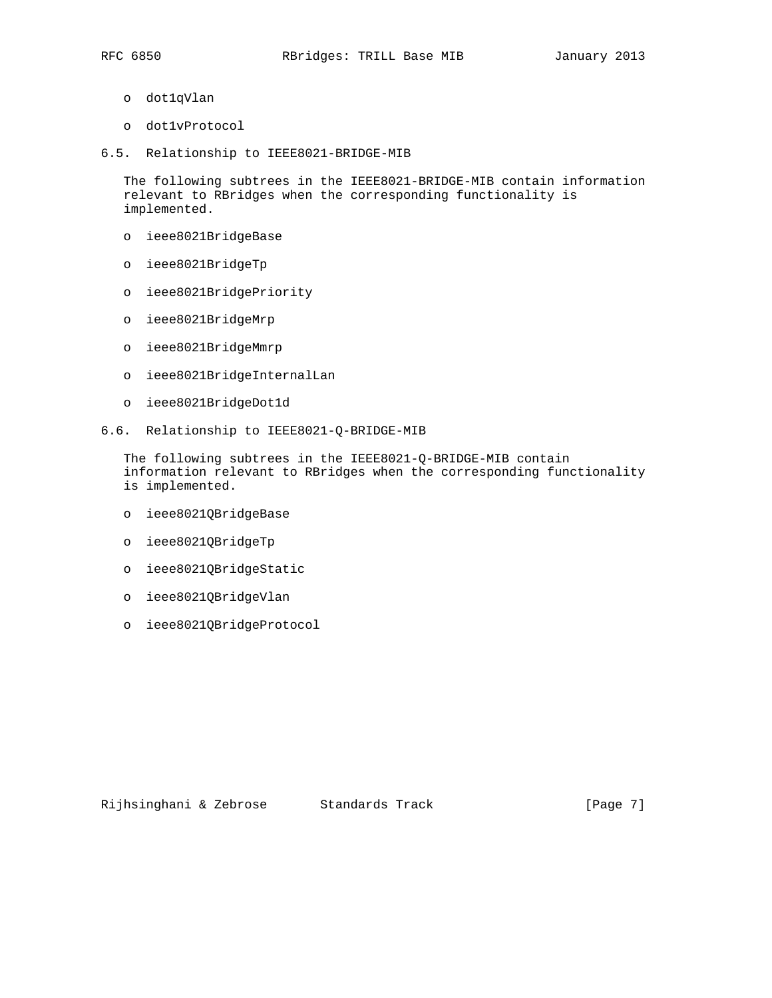- o dot1qVlan
- o dot1vProtocol
- 6.5. Relationship to IEEE8021-BRIDGE-MIB

 The following subtrees in the IEEE8021-BRIDGE-MIB contain information relevant to RBridges when the corresponding functionality is implemented.

- o ieee8021BridgeBase
- o ieee8021BridgeTp
- o ieee8021BridgePriority
- o ieee8021BridgeMrp
- o ieee8021BridgeMmrp
- o ieee8021BridgeInternalLan
- o ieee8021BridgeDot1d
- 6.6. Relationship to IEEE8021-Q-BRIDGE-MIB

 The following subtrees in the IEEE8021-Q-BRIDGE-MIB contain information relevant to RBridges when the corresponding functionality is implemented.

- o ieee8021QBridgeBase
- o ieee8021QBridgeTp
- o ieee8021QBridgeStatic
- o ieee8021QBridgeVlan
- o ieee8021QBridgeProtocol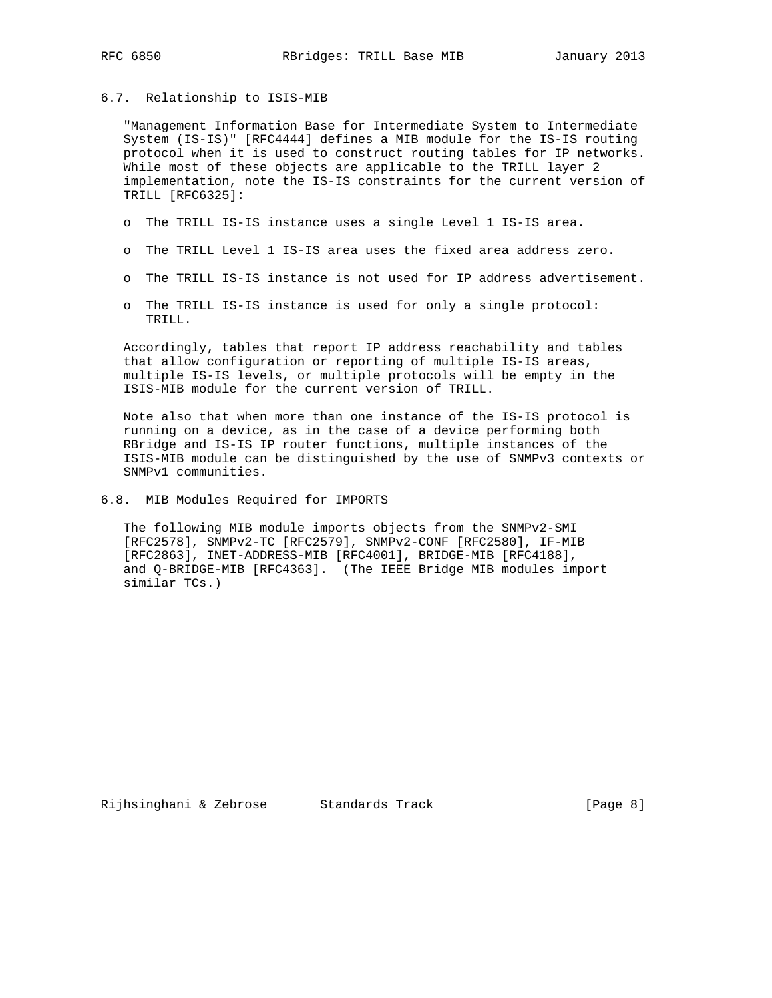# 6.7. Relationship to ISIS-MIB

 "Management Information Base for Intermediate System to Intermediate System (IS-IS)" [RFC4444] defines a MIB module for the IS-IS routing protocol when it is used to construct routing tables for IP networks. While most of these objects are applicable to the TRILL layer 2 implementation, note the IS-IS constraints for the current version of TRILL [RFC6325]:

- o The TRILL IS-IS instance uses a single Level 1 IS-IS area.
- o The TRILL Level 1 IS-IS area uses the fixed area address zero.
- o The TRILL IS-IS instance is not used for IP address advertisement.
- o The TRILL IS-IS instance is used for only a single protocol: TRILL.

 Accordingly, tables that report IP address reachability and tables that allow configuration or reporting of multiple IS-IS areas, multiple IS-IS levels, or multiple protocols will be empty in the ISIS-MIB module for the current version of TRILL.

 Note also that when more than one instance of the IS-IS protocol is running on a device, as in the case of a device performing both RBridge and IS-IS IP router functions, multiple instances of the ISIS-MIB module can be distinguished by the use of SNMPv3 contexts or SNMPv1 communities.

6.8. MIB Modules Required for IMPORTS

 The following MIB module imports objects from the SNMPv2-SMI [RFC2578], SNMPv2-TC [RFC2579], SNMPv2-CONF [RFC2580], IF-MIB [RFC2863], INET-ADDRESS-MIB [RFC4001], BRIDGE-MIB [RFC4188], and Q-BRIDGE-MIB [RFC4363]. (The IEEE Bridge MIB modules import similar TCs.)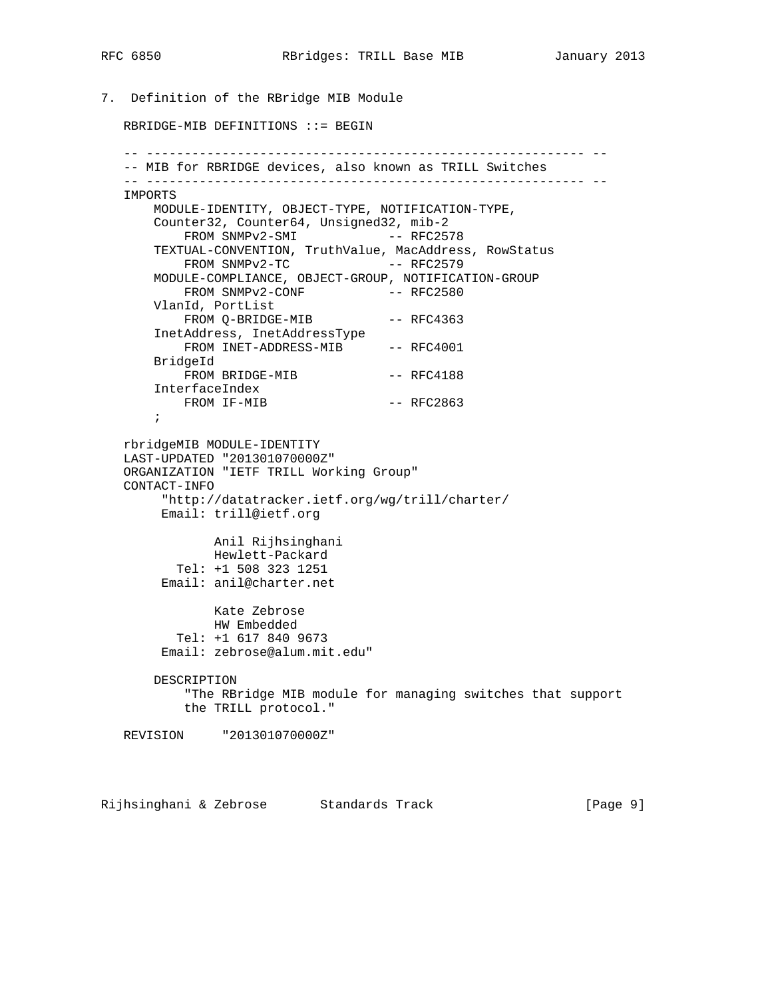7. Definition of the RBridge MIB Module RBRIDGE-MIB DEFINITIONS ::= BEGIN -- ---------------------------------------------------------- -- -- MIB for RBRIDGE devices, also known as TRILL Switches -- ---------------------------------------------------------- -- IMPORTS MODULE-IDENTITY, OBJECT-TYPE, NOTIFICATION-TYPE, Counter32, Counter64, Unsigned32, mib-2 FROM SNMPv2-SMI -- RFC2578 TEXTUAL-CONVENTION, TruthValue, MacAddress, RowStatus FROM SNMPv2-TC -- RFC2579 MODULE-COMPLIANCE, OBJECT-GROUP, NOTIFICATION-GROUP FROM SNMPv2-CONF -- RFC2580 VlanId, PortList FROM Q-BRIDGE-MIB -- RFC4363 InetAddress, InetAddressType FROM INET-ADDRESS-MIB -- RFC4001 BridgeId -<br>FROM BRIDGE-MIB -- RFC4188 InterfaceIndex FROM IF-MIB -- RFC2863 ; rbridgeMIB MODULE-IDENTITY LAST-UPDATED "201301070000Z" ORGANIZATION "IETF TRILL Working Group" CONTACT-INFO "http://datatracker.ietf.org/wg/trill/charter/ Email: trill@ietf.org Anil Rijhsinghani Hewlett-Packard Tel: +1 508 323 1251 Email: anil@charter.net Kate Zebrose HW Embedded Tel: +1 617 840 9673 Email: zebrose@alum.mit.edu" DESCRIPTION "The RBridge MIB module for managing switches that support the TRILL protocol." REVISION "201301070000Z"

Rijhsinghani & Zebrose Standards Track (Page 9)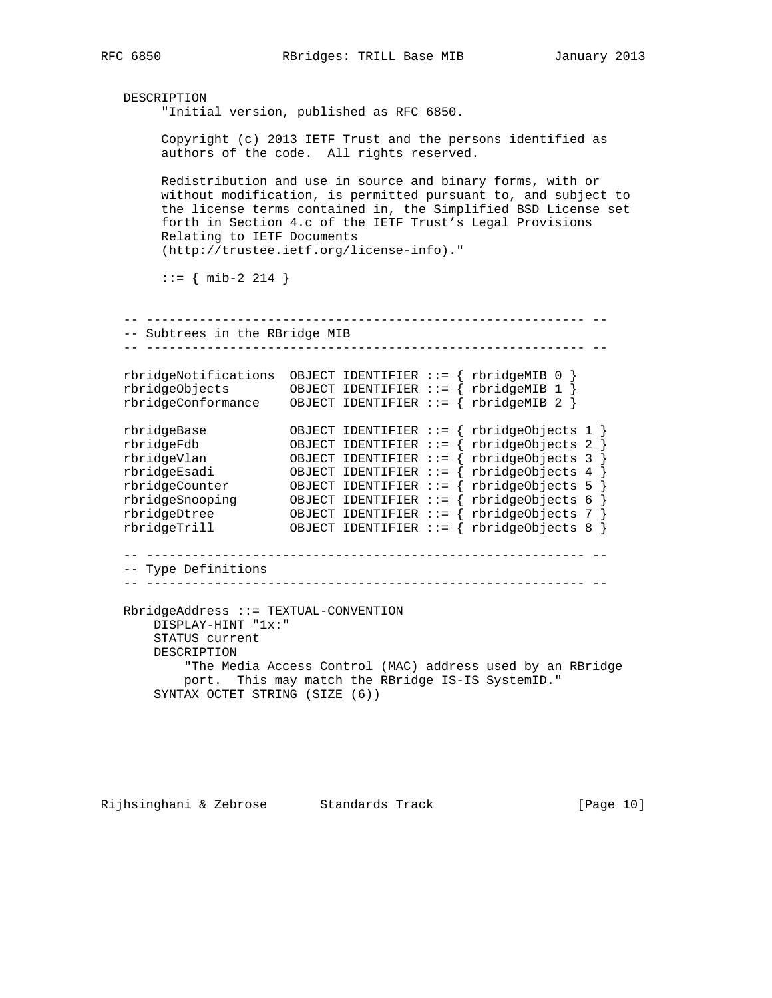```
 DESCRIPTION
        "Initial version, published as RFC 6850.
        Copyright (c) 2013 IETF Trust and the persons identified as
        authors of the code. All rights reserved.
        Redistribution and use in source and binary forms, with or
        without modification, is permitted pursuant to, and subject to
        the license terms contained in, the Simplified BSD License set
        forth in Section 4.c of the IETF Trust's Legal Provisions
        Relating to IETF Documents
        (http://trustee.ietf.org/license-info)."
       ::= { mib-2 214 }
   -- ---------------------------------------------------------- --
   -- Subtrees in the RBridge MIB
   -- ---------------------------------------------------------- --
   rbridgeNotifications OBJECT IDENTIFIER ::= { rbridgeMIB 0 }
 rbridgeObjects OBJECT IDENTIFIER ::= { rbridgeMIB 1 }
 rbridgeConformance OBJECT IDENTIFIER ::= { rbridgeMIB 2 }
 rbridgeBase OBJECT IDENTIFIER ::= { rbridgeObjects 1 }
 rbridgeFdb OBJECT IDENTIFIER ::= { rbridgeObjects 2 }
 rbridgeVlan OBJECT IDENTIFIER ::= { rbridgeObjects 3 }
 rbridgeEsadi OBJECT IDENTIFIER ::= { rbridgeObjects 4 }
 rbridgeCounter OBJECT IDENTIFIER ::= { rbridgeObjects 5 }
 rbridgeSnooping OBJECT IDENTIFIER ::= { rbridgeObjects 6 }
 rbridgeDtree OBJECT IDENTIFIER ::= { rbridgeObjects 7 }
 rbridgeTrill OBJECT IDENTIFIER ::= { rbridgeObjects 8 }
   -- ---------------------------------------------------------- --
   -- Type Definitions
   -- ---------------------------------------------------------- --
   RbridgeAddress ::= TEXTUAL-CONVENTION
       DISPLAY-HINT "1x:"
       STATUS current
       DESCRIPTION
           "The Media Access Control (MAC) address used by an RBridge
           port. This may match the RBridge IS-IS SystemID."
       SYNTAX OCTET STRING (SIZE (6))
```
Rijhsinghani & Zebrose Standards Track [Page 10]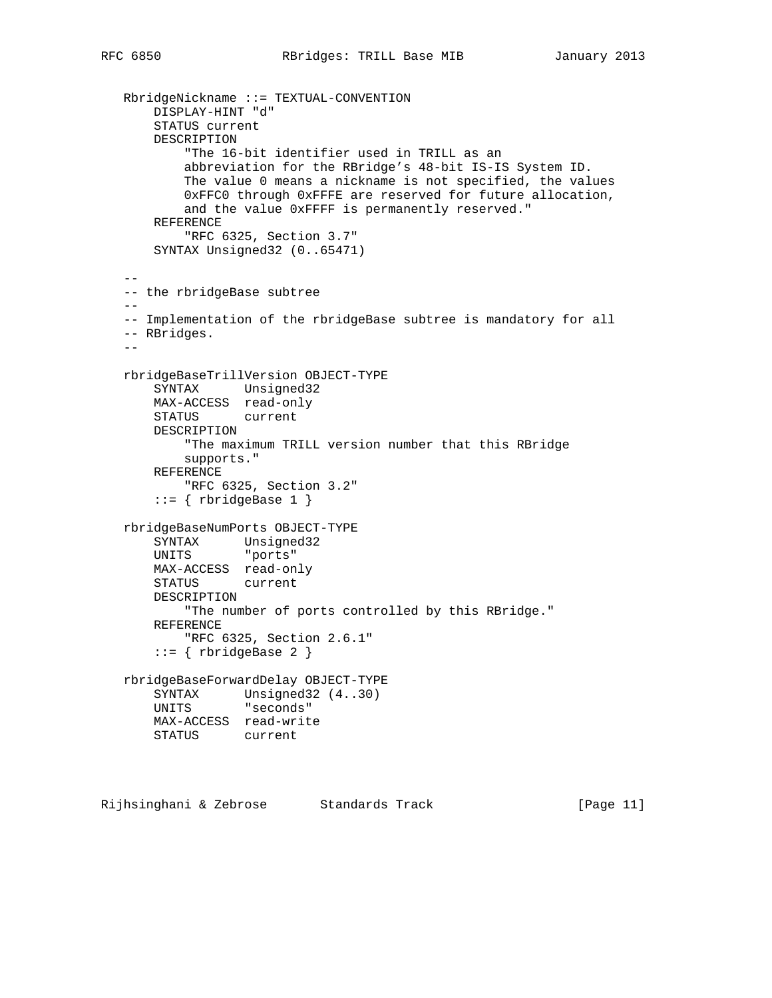```
 RbridgeNickname ::= TEXTUAL-CONVENTION
       DISPLAY-HINT "d"
       STATUS current
       DESCRIPTION
            "The 16-bit identifier used in TRILL as an
           abbreviation for the RBridge's 48-bit IS-IS System ID.
           The value 0 means a nickname is not specified, the values
           0xFFC0 through 0xFFFE are reserved for future allocation,
           and the value 0xFFFF is permanently reserved."
       REFERENCE
            "RFC 6325, Section 3.7"
       SYNTAX Unsigned32 (0..65471)
 --
   -- the rbridgeBase subtree
   --
   -- Implementation of the rbridgeBase subtree is mandatory for all
   -- RBridges.
  - rbridgeBaseTrillVersion OBJECT-TYPE
       SYNTAX Unsigned32
       MAX-ACCESS read-only
       STATUS current
       DESCRIPTION
           "The maximum TRILL version number that this RBridge
           supports."
       REFERENCE
           "RFC 6325, Section 3.2"
      ::= { rbridgeBase 1 }
   rbridgeBaseNumPorts OBJECT-TYPE
       SYNTAX Unsigned32
       UNITS "ports"
       MAX-ACCESS read-only
       STATUS current
       DESCRIPTION
           "The number of ports controlled by this RBridge."
       REFERENCE
           "RFC 6325, Section 2.6.1"
      ::= \{ rbrideBase 2 \} rbridgeBaseForwardDelay OBJECT-TYPE
       SYNTAX Unsigned32 (4..30)
       UNITS "seconds"
       MAX-ACCESS read-write
       STATUS current
```
Rijhsinghani & Zebrose Standards Track (Page 11)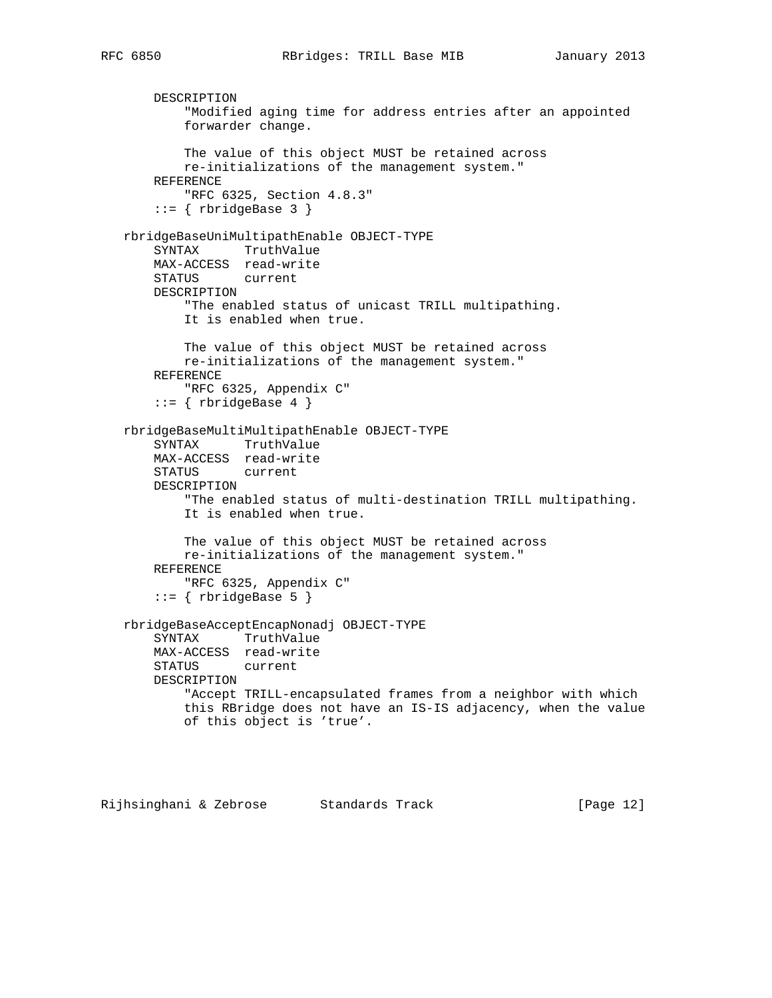```
 DESCRIPTION
         "Modified aging time for address entries after an appointed
         forwarder change.
         The value of this object MUST be retained across
         re-initializations of the management system."
    REFERENCE
        "RFC 6325, Section 4.8.3"
    ::= { rbridgeBase 3 }
 rbridgeBaseUniMultipathEnable OBJECT-TYPE
    SYNTAX TruthValue
    MAX-ACCESS read-write
    STATUS current
    DESCRIPTION
         "The enabled status of unicast TRILL multipathing.
         It is enabled when true.
         The value of this object MUST be retained across
         re-initializations of the management system."
    REFERENCE
         "RFC 6325, Appendix C"
     ::= { rbridgeBase 4 }
 rbridgeBaseMultiMultipathEnable OBJECT-TYPE
     SYNTAX TruthValue
    MAX-ACCESS read-write
    STATUS current
    DESCRIPTION
         "The enabled status of multi-destination TRILL multipathing.
         It is enabled when true.
         The value of this object MUST be retained across
        re-initializations of the management system."
    REFERENCE
         "RFC 6325, Appendix C"
     ::= { rbridgeBase 5 }
 rbridgeBaseAcceptEncapNonadj OBJECT-TYPE
    SYNTAX TruthValue
    MAX-ACCESS read-write
    STATUS current
    DESCRIPTION
         "Accept TRILL-encapsulated frames from a neighbor with which
         this RBridge does not have an IS-IS adjacency, when the value
         of this object is 'true'.
```
Rijhsinghani & Zebrose Standards Track [Page 12]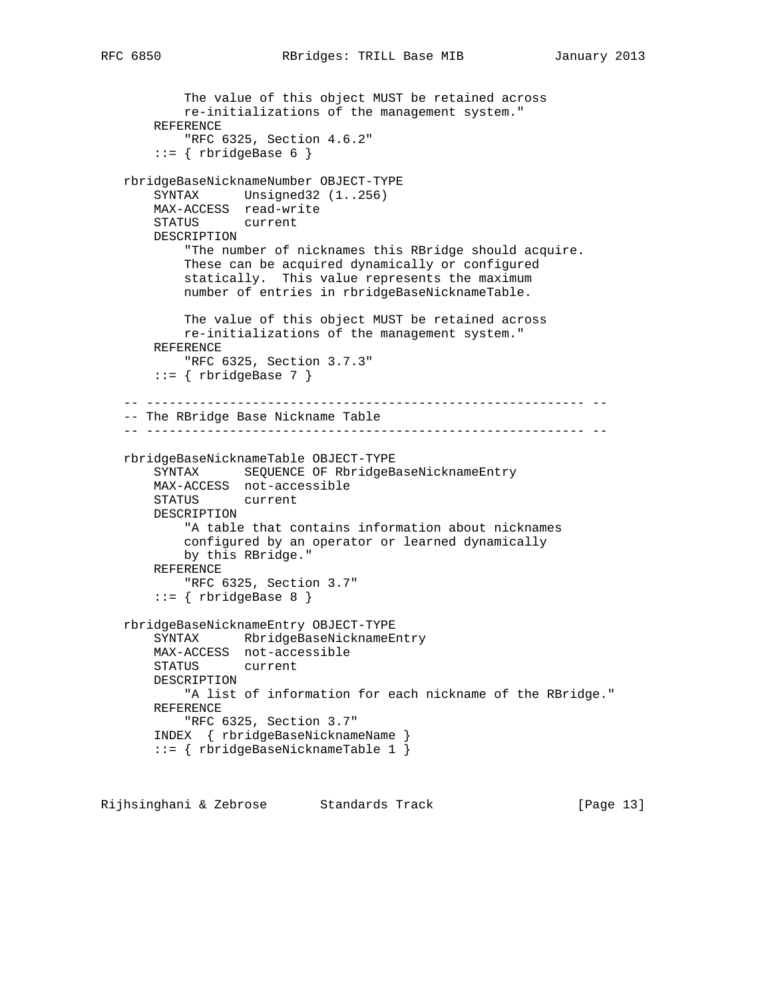```
 The value of this object MUST be retained across
         re-initializations of the management system."
    REFERENCE
         "RFC 6325, Section 4.6.2"
    ::= { rbridgeBase 6 }
 rbridgeBaseNicknameNumber OBJECT-TYPE
    SYNTAX Unsigned32 (1..256)
    MAX-ACCESS read-write
    STATUS current
    DESCRIPTION
         "The number of nicknames this RBridge should acquire.
         These can be acquired dynamically or configured
         statically. This value represents the maximum
         number of entries in rbridgeBaseNicknameTable.
         The value of this object MUST be retained across
         re-initializations of the management system."
    REFERENCE
        "RFC 6325, Section 3.7.3"
    ::= { rbridgeBase 7 }
 -- ---------------------------------------------------------- --
 -- The RBridge Base Nickname Table
 -- ---------------------------------------------------------- --
 rbridgeBaseNicknameTable OBJECT-TYPE
     SYNTAX SEQUENCE OF RbridgeBaseNicknameEntry
    MAX-ACCESS not-accessible
    STATUS current
    DESCRIPTION
         "A table that contains information about nicknames
         configured by an operator or learned dynamically
        by this RBridge."
    REFERENCE
         "RFC 6325, Section 3.7"
     ::= { rbridgeBase 8 } rbridgeBaseNicknameEntry OBJECT-TYPE
    SYNTAX RbridgeBaseNicknameEntry
    MAX-ACCESS not-accessible
    STATUS current
    DESCRIPTION
        "A list of information for each nickname of the RBridge."
    REFERENCE
         "RFC 6325, Section 3.7"
    INDEX { rbridgeBaseNicknameName }
     ::= { rbridgeBaseNicknameTable 1 }
```
Rijhsinghani & Zebrose Standards Track [Page 13]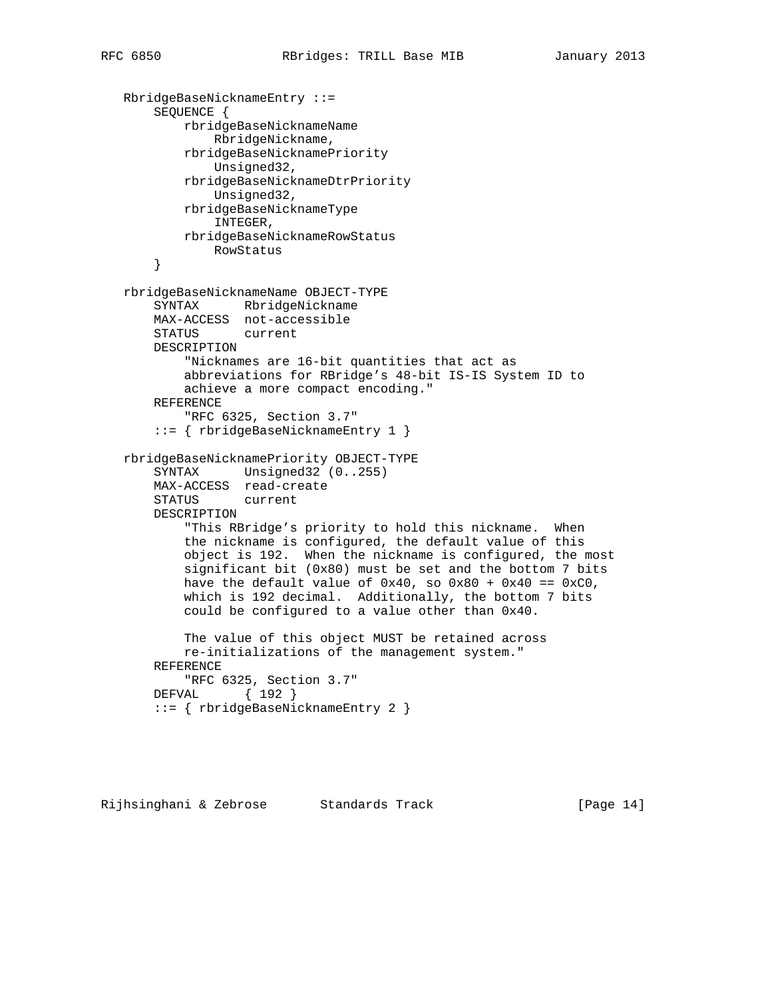```
 RbridgeBaseNicknameEntry ::=
     SEQUENCE {
         rbridgeBaseNicknameName
             RbridgeNickname,
         rbridgeBaseNicknamePriority
             Unsigned32,
         rbridgeBaseNicknameDtrPriority
             Unsigned32,
         rbridgeBaseNicknameType
             INTEGER,
        rbridgeBaseNicknameRowStatus
            RowStatus
     }
 rbridgeBaseNicknameName OBJECT-TYPE
     SYNTAX RbridgeNickname
    MAX-ACCESS not-accessible
    STATUS current
    DESCRIPTION
         "Nicknames are 16-bit quantities that act as
         abbreviations for RBridge's 48-bit IS-IS System ID to
        achieve a more compact encoding."
    REFERENCE
         "RFC 6325, Section 3.7"
     ::= { rbridgeBaseNicknameEntry 1 }
 rbridgeBaseNicknamePriority OBJECT-TYPE
     SYNTAX Unsigned32 (0..255)
    MAX-ACCESS read-create
    STATUS current
    DESCRIPTION
         "This RBridge's priority to hold this nickname. When
         the nickname is configured, the default value of this
         object is 192. When the nickname is configured, the most
         significant bit (0x80) must be set and the bottom 7 bits
        have the default value of 0x40, so 0x80 + 0x40 == 0xC0,
         which is 192 decimal. Additionally, the bottom 7 bits
         could be configured to a value other than 0x40.
         The value of this object MUST be retained across
         re-initializations of the management system."
    REFERENCE
        "RFC 6325, Section 3.7"
    DEFVAL { 192 }
     ::= { rbridgeBaseNicknameEntry 2 }
```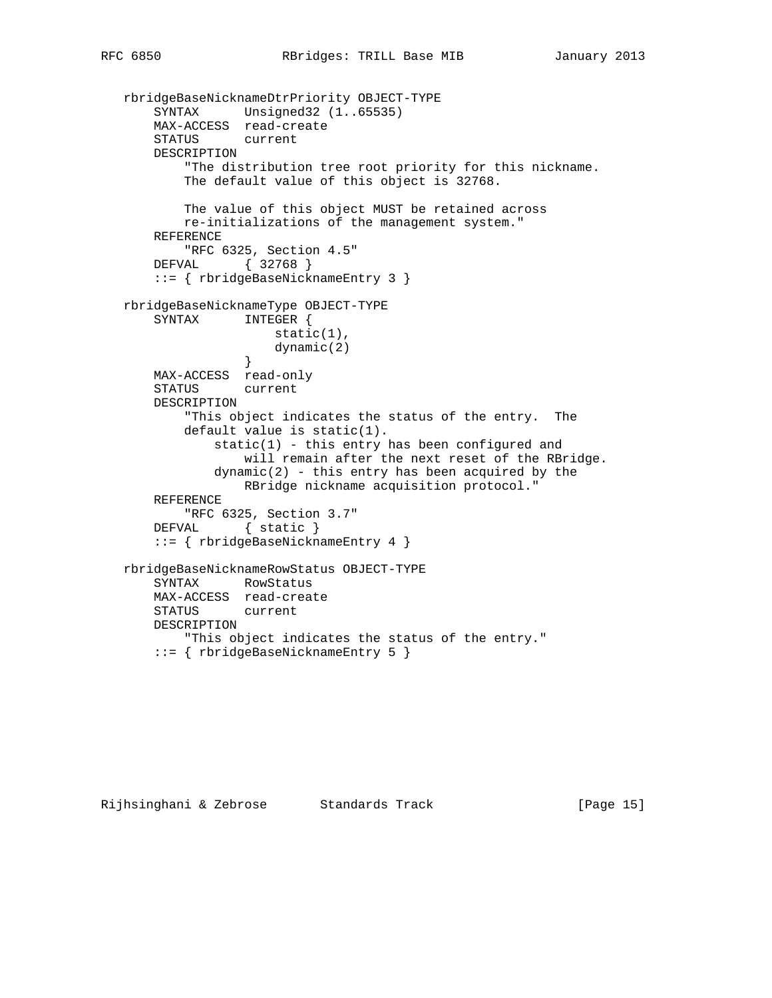```
 rbridgeBaseNicknameDtrPriority OBJECT-TYPE
       SYNTAX Unsigned32 (1..65535)
       MAX-ACCESS read-create
       STATUS current
       DESCRIPTION
           "The distribution tree root priority for this nickname.
           The default value of this object is 32768.
           The value of this object MUST be retained across
           re-initializations of the management system."
       REFERENCE
           "RFC 6325, Section 4.5"
       DEFVAL { 32768 }
       ::= { rbridgeBaseNicknameEntry 3 }
   rbridgeBaseNicknameType OBJECT-TYPE
       SYNTAX INTEGER {
                     static(1),
                  dynamic(2)<br>}
 }
       MAX-ACCESS read-only
       STATUS current
       DESCRIPTION
           "This object indicates the status of the entry. The
           default value is static(1).
               static(1) - this entry has been configured and
                   will remain after the next reset of the RBridge.
              dynamic(2) - this entry has been acquired by the
                   RBridge nickname acquisition protocol."
       REFERENCE
           "RFC 6325, Section 3.7"
      DEFVAL { static }
       ::= { rbridgeBaseNicknameEntry 4 }
   rbridgeBaseNicknameRowStatus OBJECT-TYPE
       SYNTAX RowStatus
       MAX-ACCESS read-create
       STATUS current
       DESCRIPTION
           "This object indicates the status of the entry."
       ::= { rbridgeBaseNicknameEntry 5 }
```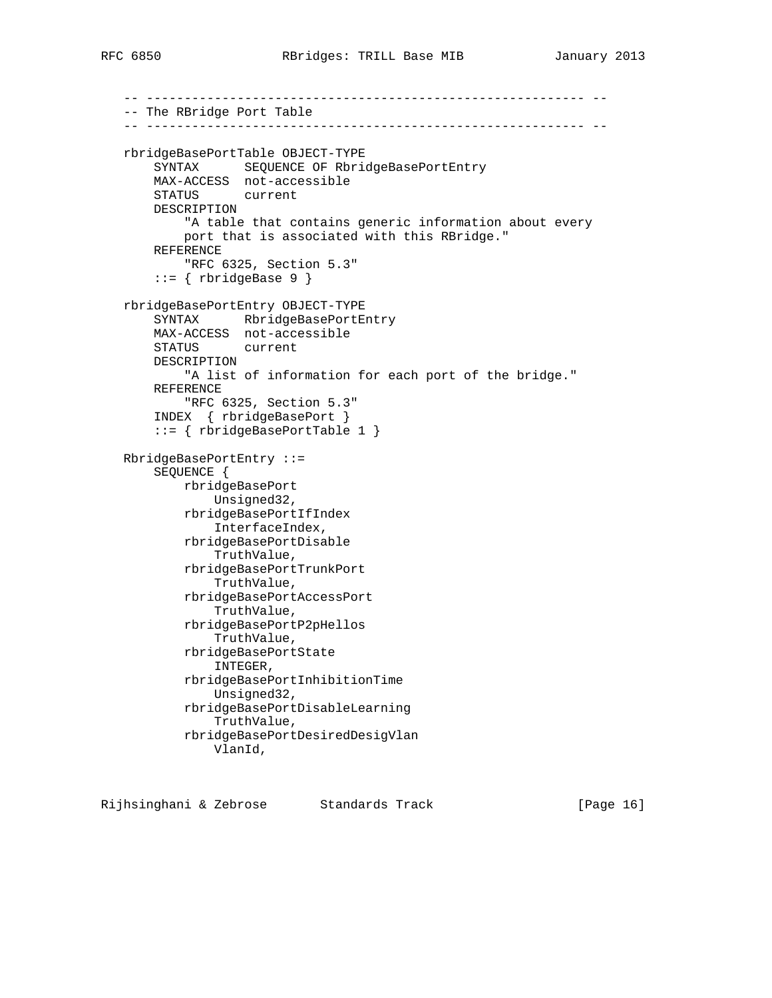```
 -- ---------------------------------------------------------- --
 -- The RBridge Port Table
 -- ---------------------------------------------------------- --
 rbridgeBasePortTable OBJECT-TYPE
     SYNTAX SEQUENCE OF RbridgeBasePortEntry
     MAX-ACCESS not-accessible
     STATUS current
     DESCRIPTION
         "A table that contains generic information about every
        port that is associated with this RBridge."
     REFERENCE
         "RFC 6325, Section 5.3"
     ::= { rbridgeBase 9 }
 rbridgeBasePortEntry OBJECT-TYPE
     SYNTAX RbridgeBasePortEntry
     MAX-ACCESS not-accessible
     STATUS current
     DESCRIPTION
         "A list of information for each port of the bridge."
     REFERENCE
         "RFC 6325, Section 5.3"
     INDEX { rbridgeBasePort }
     ::= { rbridgeBasePortTable 1 }
 RbridgeBasePortEntry ::=
     SEQUENCE {
         rbridgeBasePort
             Unsigned32,
         rbridgeBasePortIfIndex
            InterfaceIndex,
         rbridgeBasePortDisable
             TruthValue,
         rbridgeBasePortTrunkPort
             TruthValue,
         rbridgeBasePortAccessPort
             TruthValue,
         rbridgeBasePortP2pHellos
             TruthValue,
         rbridgeBasePortState
             INTEGER,
         rbridgeBasePortInhibitionTime
             Unsigned32,
         rbridgeBasePortDisableLearning
             TruthValue,
         rbridgeBasePortDesiredDesigVlan
             VlanId,
```
Rijhsinghani & Zebrose Standards Track [Page 16]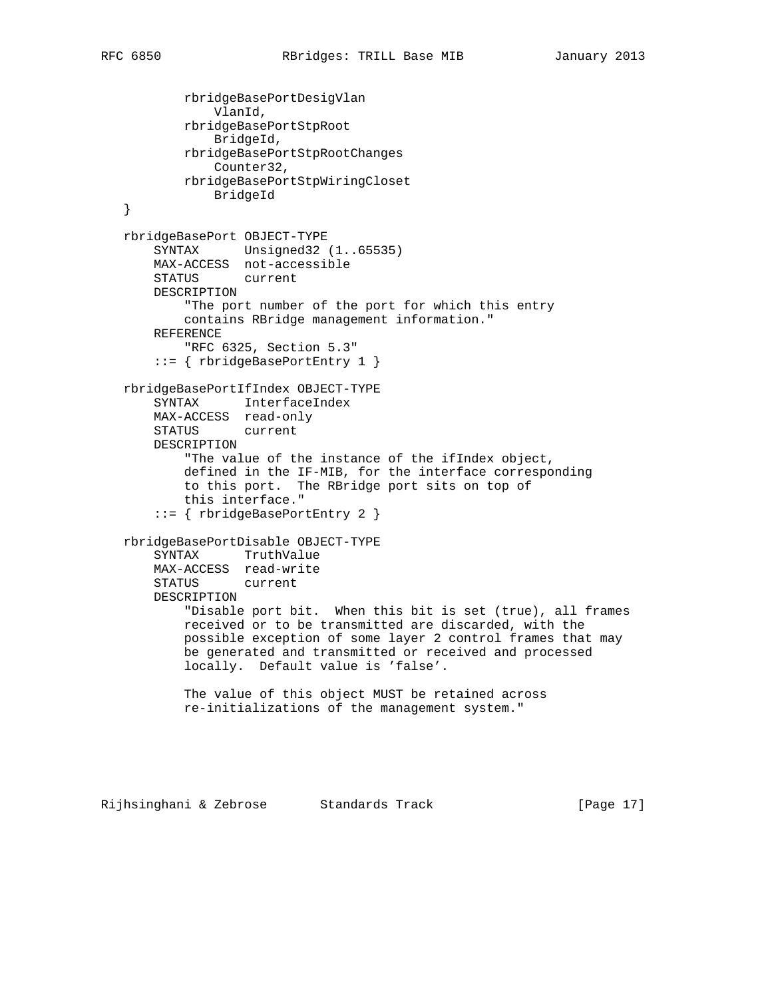rbridgeBasePortDesigVlan VlanId, rbridgeBasePortStpRoot BridgeId, rbridgeBasePortStpRootChanges Counter32, rbridgeBasePortStpWiringCloset BridgeId } rbridgeBasePort OBJECT-TYPE SYNTAX Unsigned32 (1..65535) MAX-ACCESS not-accessible STATUS current DESCRIPTION "The port number of the port for which this entry contains RBridge management information." REFERENCE "RFC 6325, Section 5.3" ::= { rbridgeBasePortEntry 1 } rbridgeBasePortIfIndex OBJECT-TYPE SYNTAX InterfaceIndex MAX-ACCESS read-only STATUS current DESCRIPTION "The value of the instance of the ifIndex object, defined in the IF-MIB, for the interface corresponding to this port. The RBridge port sits on top of this interface." ::= { rbridgeBasePortEntry 2 } rbridgeBasePortDisable OBJECT-TYPE SYNTAX TruthValue MAX-ACCESS read-write STATUS current DESCRIPTION "Disable port bit. When this bit is set (true), all frames received or to be transmitted are discarded, with the possible exception of some layer 2 control frames that may be generated and transmitted or received and processed locally. Default value is 'false'. The value of this object MUST be retained across re-initializations of the management system."

Rijhsinghani & Zebrose Standards Track [Page 17]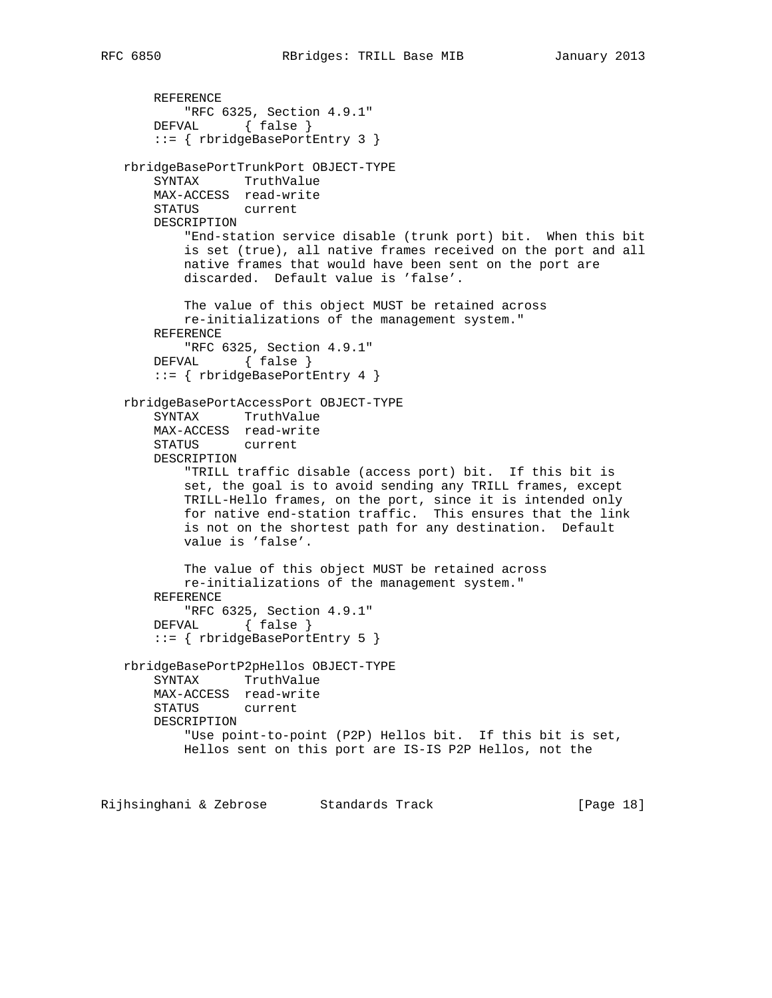```
 REFERENCE
        "RFC 6325, Section 4.9.1"
    DEFVAL { false }
     ::= { rbridgeBasePortEntry 3 }
 rbridgeBasePortTrunkPort OBJECT-TYPE
     SYNTAX TruthValue
    MAX-ACCESS read-write
    STATUS current
    DESCRIPTION
         "End-station service disable (trunk port) bit. When this bit
         is set (true), all native frames received on the port and all
        native frames that would have been sent on the port are
         discarded. Default value is 'false'.
         The value of this object MUST be retained across
        re-initializations of the management system."
     REFERENCE
        "RFC 6325, Section 4.9.1"
    DEFVAL { false }
     ::= { rbridgeBasePortEntry 4 }
 rbridgeBasePortAccessPort OBJECT-TYPE
     SYNTAX TruthValue
    MAX-ACCESS read-write
    STATUS current
    DESCRIPTION
         "TRILL traffic disable (access port) bit. If this bit is
         set, the goal is to avoid sending any TRILL frames, except
         TRILL-Hello frames, on the port, since it is intended only
         for native end-station traffic. This ensures that the link
         is not on the shortest path for any destination. Default
        value is 'false'.
         The value of this object MUST be retained across
        re-initializations of the management system."
     REFERENCE
       "RFC 6325, Section 4.9.1"
    DEFVAL { false }
     ::= { rbridgeBasePortEntry 5 }
 rbridgeBasePortP2pHellos OBJECT-TYPE
     SYNTAX TruthValue
    MAX-ACCESS read-write
    STATUS current
     DESCRIPTION
         "Use point-to-point (P2P) Hellos bit. If this bit is set,
        Hellos sent on this port are IS-IS P2P Hellos, not the
```
Rijhsinghani & Zebrose Standards Track [Page 18]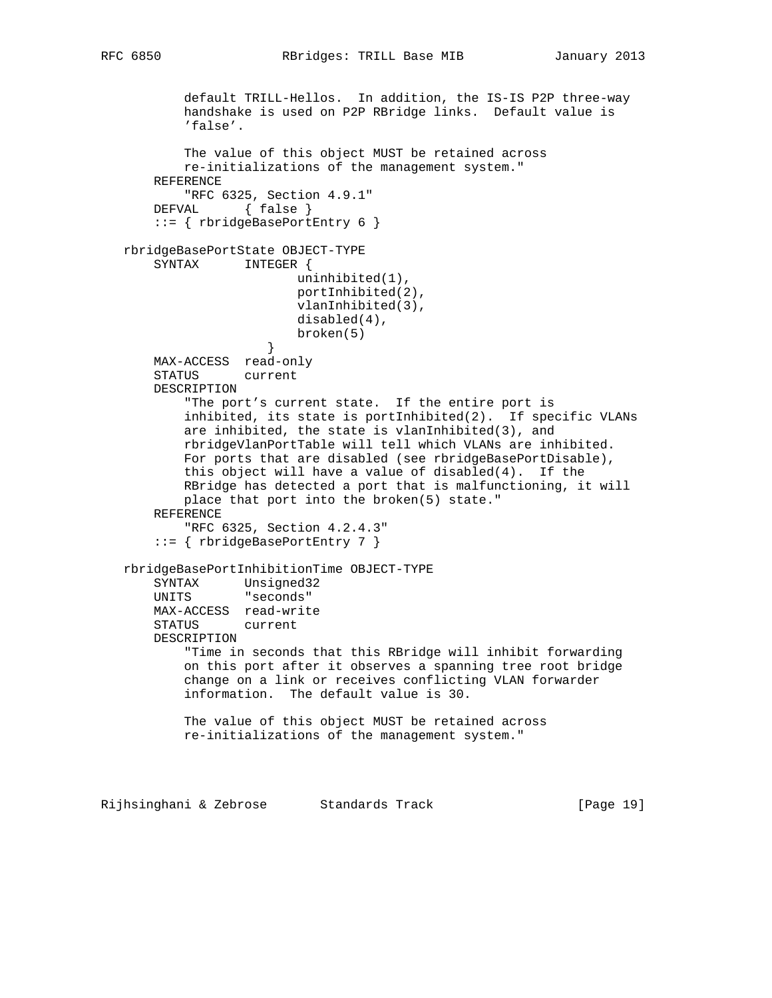default TRILL-Hellos. In addition, the IS-IS P2P three-way handshake is used on P2P RBridge links. Default value is 'false'. The value of this object MUST be retained across re-initializations of the management system." REFERENCE "RFC 6325, Section 4.9.1" DEFVAL { false } ::= { rbridgeBasePortEntry 6 } rbridgeBasePortState OBJECT-TYPE SYNTAX INTEGER { uninhibited(1), portInhibited(2), vlanInhibited(3), disabled(4), broken(5)<br>} } MAX-ACCESS read-only STATUS current DESCRIPTION "The port's current state. If the entire port is inhibited, its state is portInhibited(2). If specific VLANs are inhibited, the state is vlanInhibited(3), and rbridgeVlanPortTable will tell which VLANs are inhibited. For ports that are disabled (see rbridgeBasePortDisable), this object will have a value of disabled(4). If the RBridge has detected a port that is malfunctioning, it will place that port into the broken(5) state." REFERENCE "RFC 6325, Section 4.2.4.3" ::= { rbridgeBasePortEntry 7 } rbridgeBasePortInhibitionTime OBJECT-TYPE SYNTAX Unsigned32 UNITS "seconds" MAX-ACCESS read-write STATUS current DESCRIPTION "Time in seconds that this RBridge will inhibit forwarding on this port after it observes a spanning tree root bridge change on a link or receives conflicting VLAN forwarder information. The default value is 30. The value of this object MUST be retained across re-initializations of the management system."

Rijhsinghani & Zebrose Standards Track [Page 19]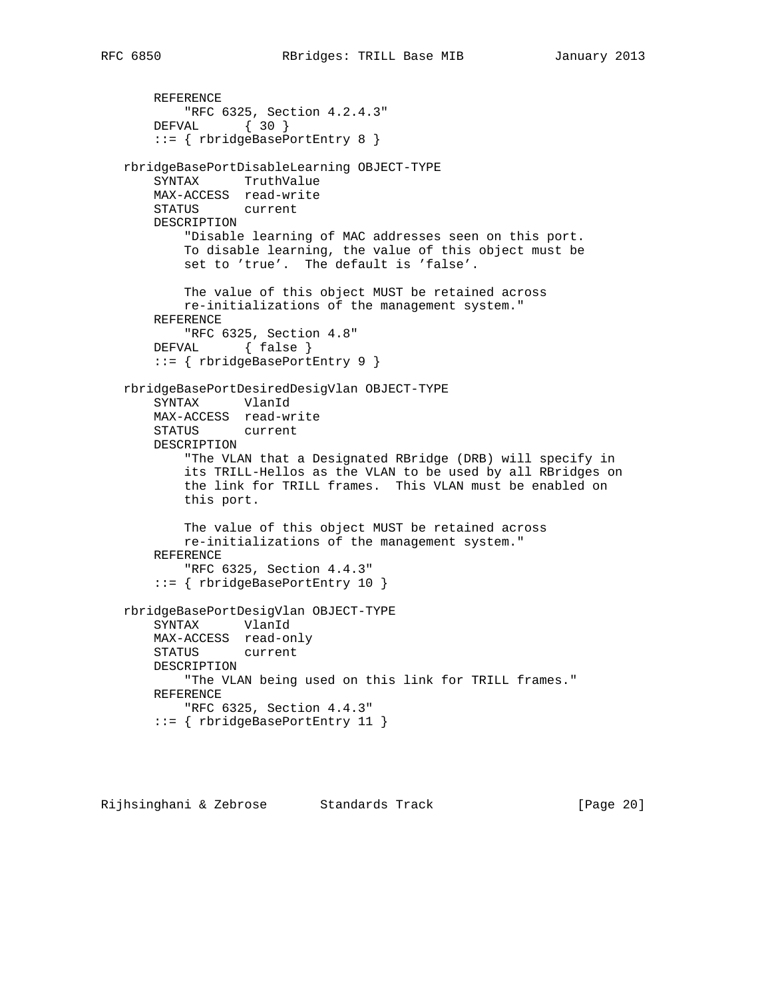```
 REFERENCE
        "RFC 6325, Section 4.2.4.3"
     DEFVAL { 30 }
     ::= { rbridgeBasePortEntry 8 }
 rbridgeBasePortDisableLearning OBJECT-TYPE
     SYNTAX TruthValue
    MAX-ACCESS read-write
    STATUS current
    DESCRIPTION
         "Disable learning of MAC addresses seen on this port.
         To disable learning, the value of this object must be
         set to 'true'. The default is 'false'.
         The value of this object MUST be retained across
        re-initializations of the management system."
    REFERENCE
        "RFC 6325, Section 4.8"
    DEFVAL { false }
     ::= { rbridgeBasePortEntry 9 }
 rbridgeBasePortDesiredDesigVlan OBJECT-TYPE
    SYNTAX VlanId
    MAX-ACCESS read-write
    STATUS current
    DESCRIPTION
         "The VLAN that a Designated RBridge (DRB) will specify in
         its TRILL-Hellos as the VLAN to be used by all RBridges on
         the link for TRILL frames. This VLAN must be enabled on
         this port.
        The value of this object MUST be retained across
        re-initializations of the management system."
     REFERENCE
         "RFC 6325, Section 4.4.3"
     ::= { rbridgeBasePortEntry 10 }
 rbridgeBasePortDesigVlan OBJECT-TYPE
     SYNTAX VlanId
    MAX-ACCESS read-only
     STATUS current
    DESCRIPTION
        "The VLAN being used on this link for TRILL frames."
    REFERENCE
        "RFC 6325, Section 4.4.3"
     ::= { rbridgeBasePortEntry 11 }
```
Rijhsinghani & Zebrose Standards Track (Page 20)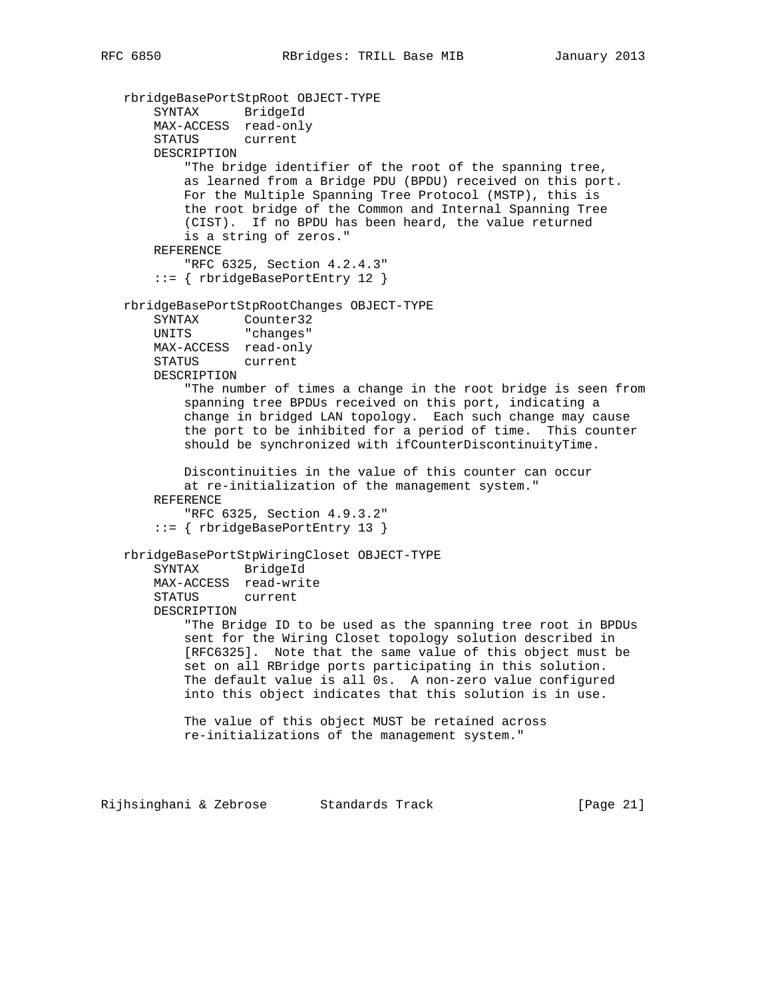```
 rbridgeBasePortStpRoot OBJECT-TYPE
     SYNTAX BridgeId
     MAX-ACCESS read-only
     STATUS current
    DESCRIPTION
         "The bridge identifier of the root of the spanning tree,
         as learned from a Bridge PDU (BPDU) received on this port.
         For the Multiple Spanning Tree Protocol (MSTP), this is
         the root bridge of the Common and Internal Spanning Tree
         (CIST). If no BPDU has been heard, the value returned
         is a string of zeros."
     REFERENCE
         "RFC 6325, Section 4.2.4.3"
     ::= { rbridgeBasePortEntry 12 }
 rbridgeBasePortStpRootChanges OBJECT-TYPE
     SYNTAX Counter32
    UNITS "changes"
    MAX-ACCESS read-only
     STATUS current
    DESCRIPTION
         "The number of times a change in the root bridge is seen from
         spanning tree BPDUs received on this port, indicating a
         change in bridged LAN topology. Each such change may cause
         the port to be inhibited for a period of time. This counter
         should be synchronized with ifCounterDiscontinuityTime.
        Discontinuities in the value of this counter can occur
         at re-initialization of the management system."
     REFERENCE
         "RFC 6325, Section 4.9.3.2"
     ::= { rbridgeBasePortEntry 13 }
 rbridgeBasePortStpWiringCloset OBJECT-TYPE
     SYNTAX BridgeId
    MAX-ACCESS read-write
     STATUS current
     DESCRIPTION
         "The Bridge ID to be used as the spanning tree root in BPDUs
         sent for the Wiring Closet topology solution described in
         [RFC6325]. Note that the same value of this object must be
         set on all RBridge ports participating in this solution.
         The default value is all 0s. A non-zero value configured
         into this object indicates that this solution is in use.
         The value of this object MUST be retained across
         re-initializations of the management system."
```
Rijhsinghani & Zebrose Standards Track (Page 21)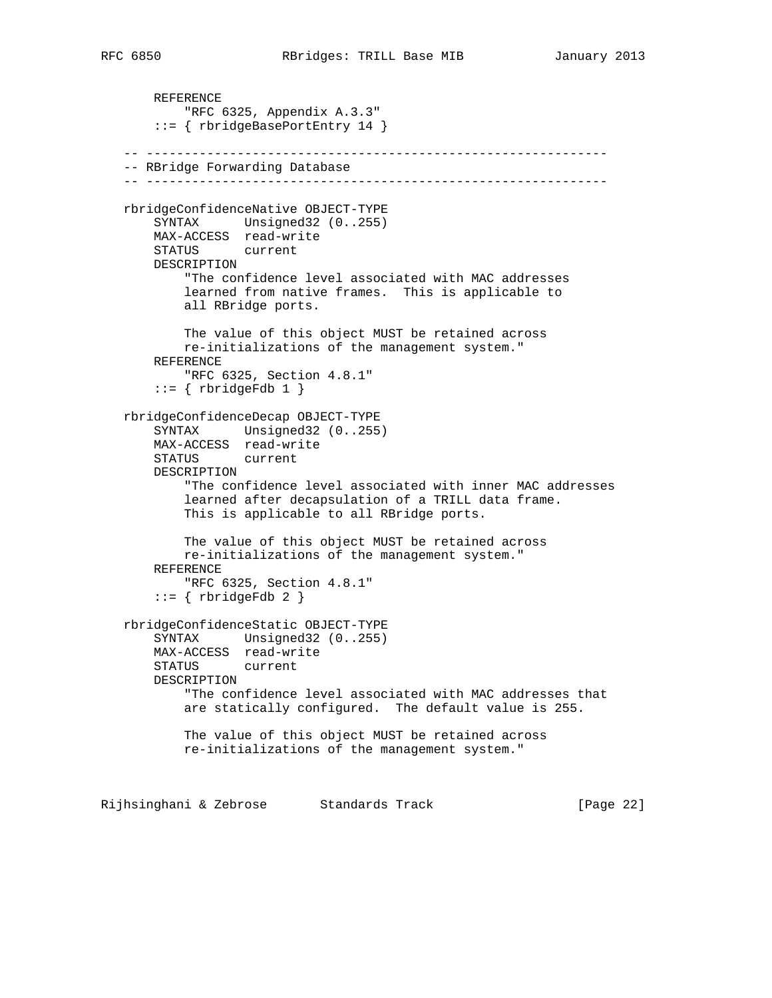```
 REFERENCE
         "RFC 6325, Appendix A.3.3"
     ::= { rbridgeBasePortEntry 14 }
 -- -------------------------------------------------------------
 -- RBridge Forwarding Database
 -- -------------------------------------------------------------
 rbridgeConfidenceNative OBJECT-TYPE
    SYNTAX Unsigned32 (0..255)
    MAX-ACCESS read-write
    STATUS current
    DESCRIPTION
         "The confidence level associated with MAC addresses
         learned from native frames. This is applicable to
         all RBridge ports.
         The value of this object MUST be retained across
        re-initializations of the management system."
    REFERENCE
        "RFC 6325, Section 4.8.1"
    ::= { rbridgeFdb 1 }
 rbridgeConfidenceDecap OBJECT-TYPE
     SYNTAX Unsigned32 (0..255)
    MAX-ACCESS read-write
    STATUS current
    DESCRIPTION
         "The confidence level associated with inner MAC addresses
         learned after decapsulation of a TRILL data frame.
         This is applicable to all RBridge ports.
         The value of this object MUST be retained across
        re-initializations of the management system."
    REFERENCE
         "RFC 6325, Section 4.8.1"
    ::= { rbridgeFdb 2 }
 rbridgeConfidenceStatic OBJECT-TYPE
    SYNTAX Unsigned32 (0..255)
    MAX-ACCESS read-write
    STATUS current
    DESCRIPTION
         "The confidence level associated with MAC addresses that
         are statically configured. The default value is 255.
         The value of this object MUST be retained across
         re-initializations of the management system."
```
Rijhsinghani & Zebrose Standards Track [Page 22]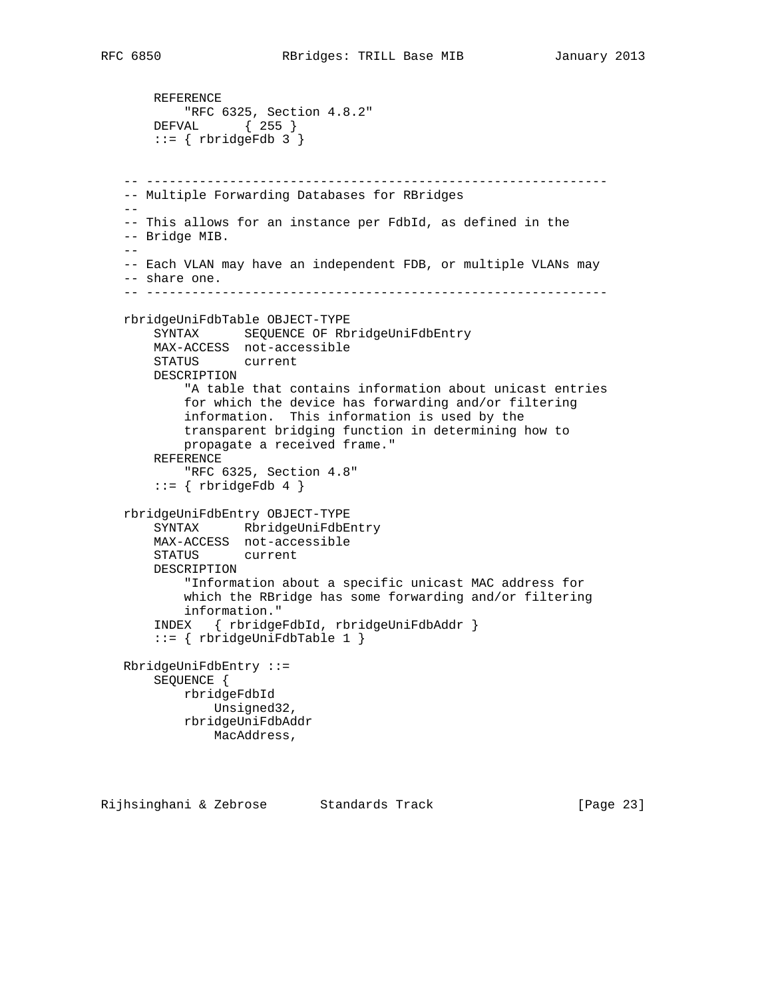```
 REFERENCE
       "RFC 6325, Section 4.8.2"
     DEFVAL { 255 }
    ::= { rbridgeFdb 3 }
 -- -------------------------------------------------------------
 -- Multiple Forwarding Databases for RBridges
- - -- This allows for an instance per FdbId, as defined in the
 -- Bridge MIB.
- -- Each VLAN may have an independent FDB, or multiple VLANs may
 -- share one.
 -- -------------------------------------------------------------
 rbridgeUniFdbTable OBJECT-TYPE
     SYNTAX SEQUENCE OF RbridgeUniFdbEntry
     MAX-ACCESS not-accessible
     STATUS current
     DESCRIPTION
         "A table that contains information about unicast entries
         for which the device has forwarding and/or filtering
         information. This information is used by the
         transparent bridging function in determining how to
         propagate a received frame."
     REFERENCE
         "RFC 6325, Section 4.8"
    ::= \{ rbridgeFdb 4 \} rbridgeUniFdbEntry OBJECT-TYPE
     SYNTAX RbridgeUniFdbEntry
     MAX-ACCESS not-accessible
     STATUS current
     DESCRIPTION
         "Information about a specific unicast MAC address for
         which the RBridge has some forwarding and/or filtering
         information."
     INDEX { rbridgeFdbId, rbridgeUniFdbAddr }
     ::= { rbridgeUniFdbTable 1 }
 RbridgeUniFdbEntry ::=
     SEQUENCE {
        rbridgeFdbId
            Unsigned32,
         rbridgeUniFdbAddr
            MacAddress,
```
Rijhsinghani & Zebrose Standards Track [Page 23]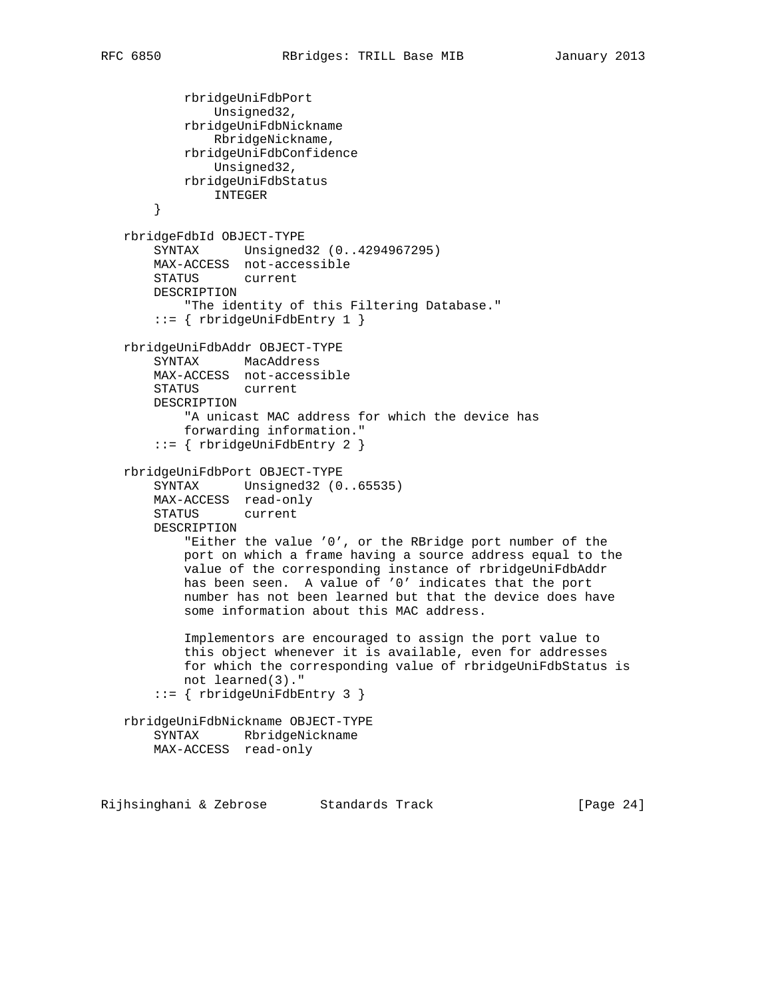```
 rbridgeUniFdbPort
             Unsigned32,
         rbridgeUniFdbNickname
             RbridgeNickname,
         rbridgeUniFdbConfidence
             Unsigned32,
         rbridgeUniFdbStatus
            INTEGER
     }
 rbridgeFdbId OBJECT-TYPE
     SYNTAX Unsigned32 (0..4294967295)
    MAX-ACCESS not-accessible
    STATUS current
    DESCRIPTION
        "The identity of this Filtering Database."
     ::= { rbridgeUniFdbEntry 1 }
 rbridgeUniFdbAddr OBJECT-TYPE
    SYNTAX MacAddress
    MAX-ACCESS not-accessible
    STATUS current
    DESCRIPTION
         "A unicast MAC address for which the device has
         forwarding information."
     ::= { rbridgeUniFdbEntry 2 }
 rbridgeUniFdbPort OBJECT-TYPE
    SYNTAX Unsigned32 (0..65535)
    MAX-ACCESS read-only
    STATUS current
    DESCRIPTION
         "Either the value '0', or the RBridge port number of the
        port on which a frame having a source address equal to the
        value of the corresponding instance of rbridgeUniFdbAddr
        has been seen. A value of '0' indicates that the port
        number has not been learned but that the device does have
         some information about this MAC address.
         Implementors are encouraged to assign the port value to
         this object whenever it is available, even for addresses
         for which the corresponding value of rbridgeUniFdbStatus is
        not learned(3)."
     ::= { rbridgeUniFdbEntry 3 }
 rbridgeUniFdbNickname OBJECT-TYPE
    SYNTAX RbridgeNickname
    MAX-ACCESS read-only
```
Rijhsinghani & Zebrose Standards Track [Page 24]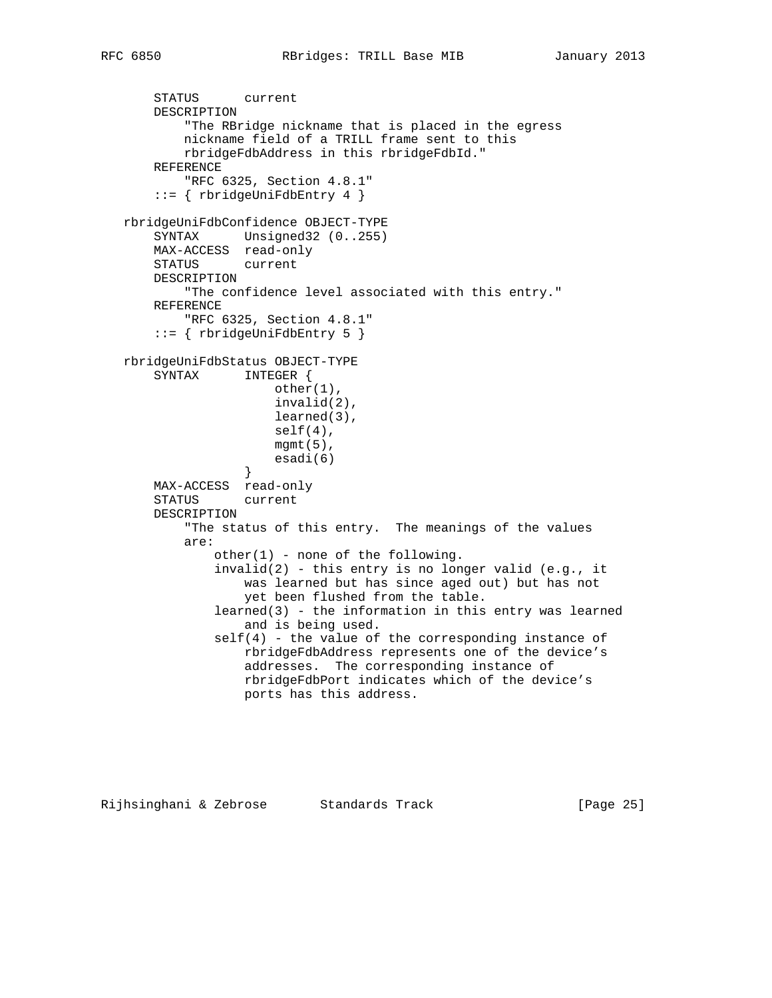```
 STATUS current
       DESCRIPTION
            "The RBridge nickname that is placed in the egress
           nickname field of a TRILL frame sent to this
           rbridgeFdbAddress in this rbridgeFdbId."
       REFERENCE
           "RFC 6325, Section 4.8.1"
       ::= { rbridgeUniFdbEntry 4 }
   rbridgeUniFdbConfidence OBJECT-TYPE
       SYNTAX Unsigned32 (0..255)
       MAX-ACCESS read-only
       STATUS current
       DESCRIPTION
           "The confidence level associated with this entry."
       REFERENCE
           "RFC 6325, Section 4.8.1"
       ::= { rbridgeUniFdbEntry 5 }
   rbridgeUniFdbStatus OBJECT-TYPE
       SYNTAX INTEGER {
                       other(1),
                       invalid(2),
                       learned(3),
                       self(4),
                       mgmt(5),
                       esadi(6)
 }
       MAX-ACCESS read-only
       STATUS current
       DESCRIPTION
           "The status of this entry. The meanings of the values
           are:
              other(1) - none of the following.
              invalid(2) - this entry is no longer valid (e.g., it
                   was learned but has since aged out) but has not
                   yet been flushed from the table.
               learned(3) - the information in this entry was learned
                   and is being used.
               self(4) - the value of the corresponding instance of
                   rbridgeFdbAddress represents one of the device's
                   addresses. The corresponding instance of
                   rbridgeFdbPort indicates which of the device's
                   ports has this address.
```
Rijhsinghani & Zebrose Standards Track [Page 25]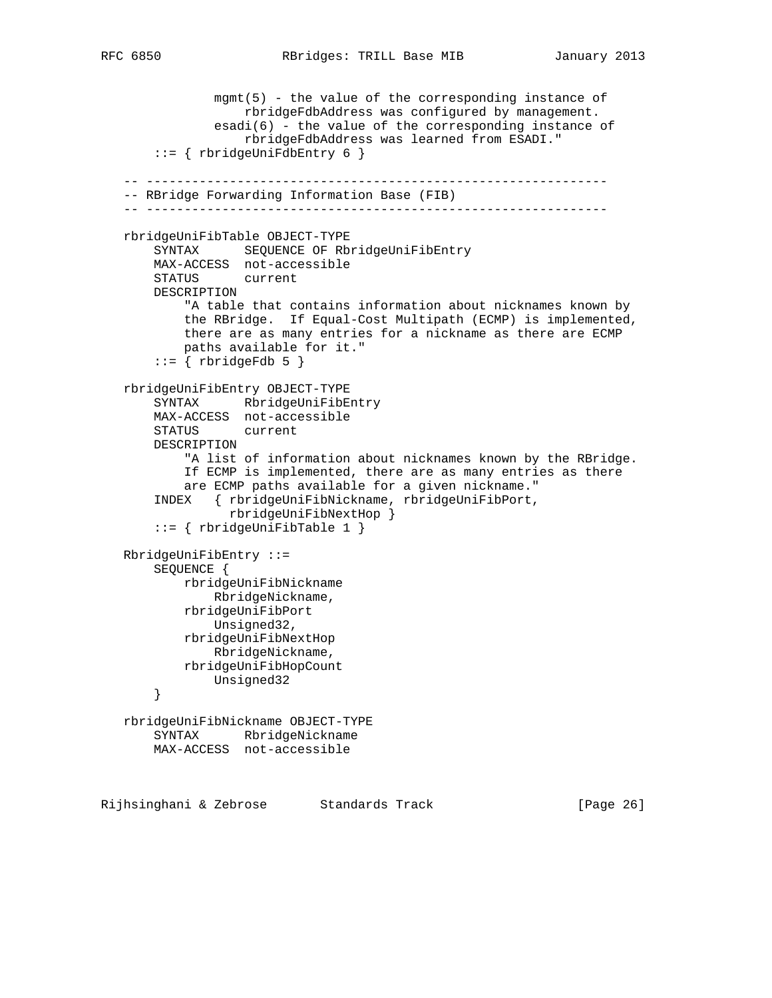```
 mgmt(5) - the value of the corresponding instance of
                 rbridgeFdbAddress was configured by management.
            esadi(6) - the value of the corresponding instance of
                 rbridgeFdbAddress was learned from ESADI."
     ::= { rbridgeUniFdbEntry 6 }
 -- -------------------------------------------------------------
 -- RBridge Forwarding Information Base (FIB)
 -- -------------------------------------------------------------
 rbridgeUniFibTable OBJECT-TYPE
   SYNTAX SEQUENCE OF RbridgeUniFibEntry
    MAX-ACCESS not-accessible
    STATUS current
    DESCRIPTION
         "A table that contains information about nicknames known by
         the RBridge. If Equal-Cost Multipath (ECMP) is implemented,
         there are as many entries for a nickname as there are ECMP
         paths available for it."
    ::= { rbridgeFdb 5 }
 rbridgeUniFibEntry OBJECT-TYPE
     SYNTAX RbridgeUniFibEntry
    MAX-ACCESS not-accessible
    STATUS current
    DESCRIPTION
         "A list of information about nicknames known by the RBridge.
         If ECMP is implemented, there are as many entries as there
         are ECMP paths available for a given nickname."
     INDEX { rbridgeUniFibNickname, rbridgeUniFibPort,
               rbridgeUniFibNextHop }
     ::= { rbridgeUniFibTable 1 }
 RbridgeUniFibEntry ::=
    SEQUENCE {
         rbridgeUniFibNickname
            RbridgeNickname,
         rbridgeUniFibPort
            Unsigned32,
         rbridgeUniFibNextHop
            RbridgeNickname,
         rbridgeUniFibHopCount
            Unsigned32
     }
 rbridgeUniFibNickname OBJECT-TYPE
     SYNTAX RbridgeNickname
    MAX-ACCESS not-accessible
```
Rijhsinghani & Zebrose Standards Track [Page 26]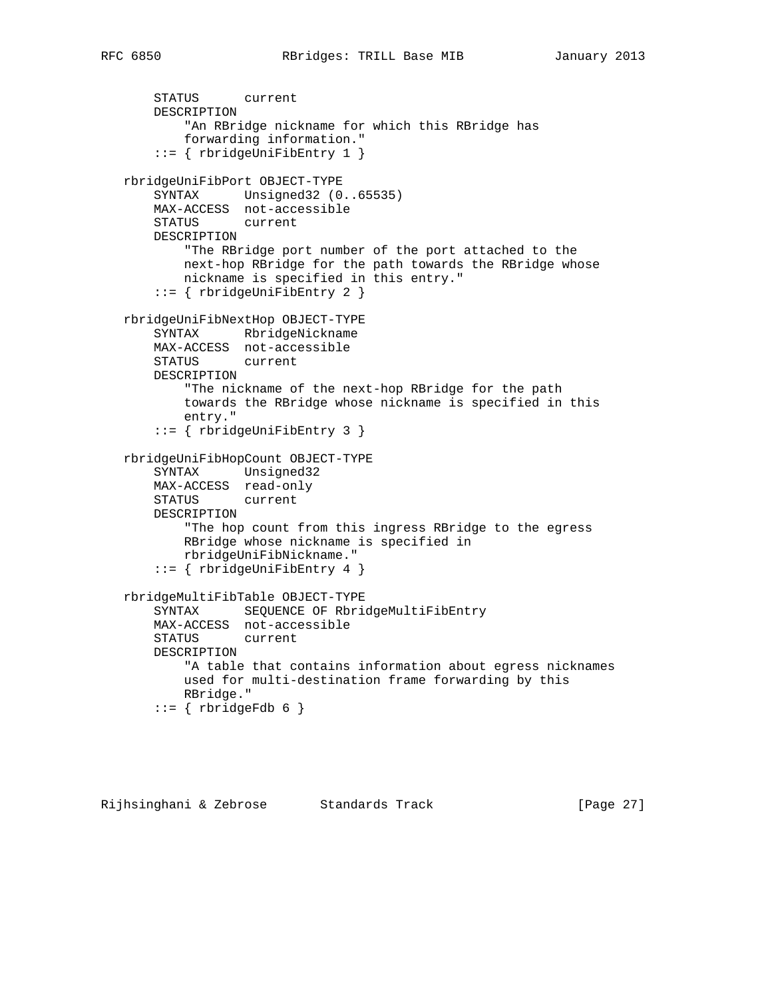```
 STATUS current
    DESCRIPTION
         "An RBridge nickname for which this RBridge has
         forwarding information."
     ::= { rbridgeUniFibEntry 1 }
 rbridgeUniFibPort OBJECT-TYPE
    SYNTAX Unsigned32 (0..65535)
    MAX-ACCESS not-accessible
    STATUS current
    DESCRIPTION
         "The RBridge port number of the port attached to the
        next-hop RBridge for the path towards the RBridge whose
        nickname is specified in this entry."
     ::= { rbridgeUniFibEntry 2 }
 rbridgeUniFibNextHop OBJECT-TYPE
    SYNTAX RbridgeNickname
    MAX-ACCESS not-accessible
    STATUS current
    DESCRIPTION
        "The nickname of the next-hop RBridge for the path
        towards the RBridge whose nickname is specified in this
        entry."
     ::= { rbridgeUniFibEntry 3 }
 rbridgeUniFibHopCount OBJECT-TYPE
     SYNTAX Unsigned32
    MAX-ACCESS read-only
    STATUS current
    DESCRIPTION
         "The hop count from this ingress RBridge to the egress
        RBridge whose nickname is specified in
        rbridgeUniFibNickname."
     ::= { rbridgeUniFibEntry 4 }
 rbridgeMultiFibTable OBJECT-TYPE
    SYNTAX SEQUENCE OF RbridgeMultiFibEntry
    MAX-ACCESS not-accessible
    STATUS current
    DESCRIPTION
         "A table that contains information about egress nicknames
        used for multi-destination frame forwarding by this
        RBridge."
    ::= { rbridgeFdb 6 }
```
Rijhsinghani & Zebrose Standards Track [Page 27]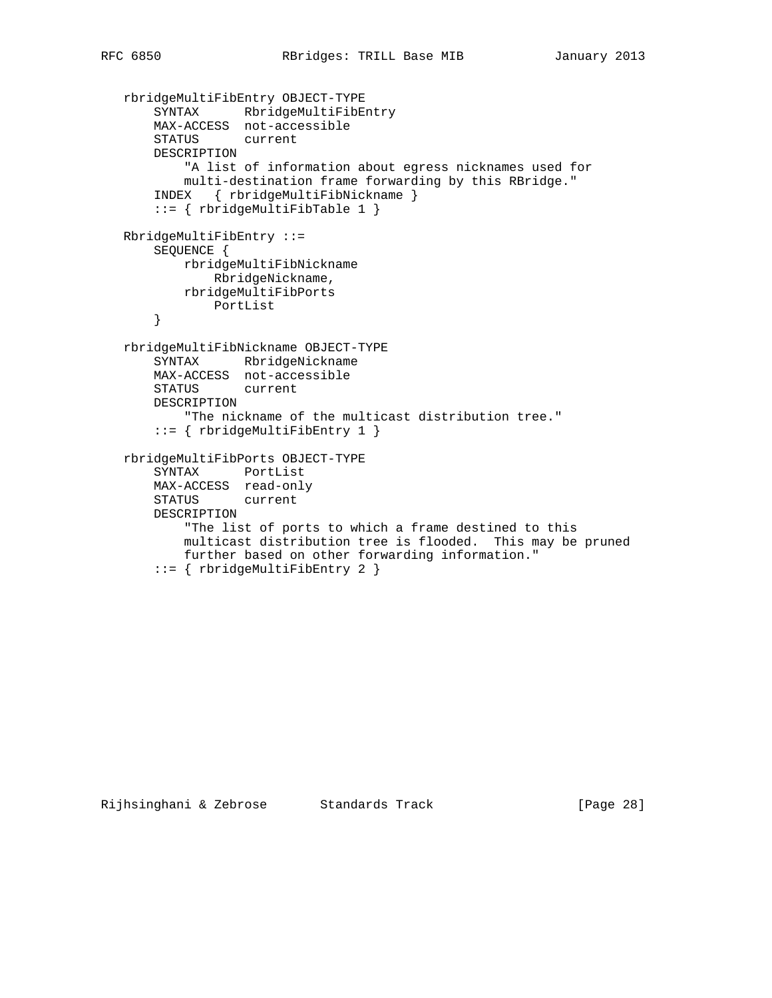```
 rbridgeMultiFibEntry OBJECT-TYPE
 SYNTAX RbridgeMultiFibEntry
 MAX-ACCESS not-accessible
       STATUS current
       DESCRIPTION
           "A list of information about egress nicknames used for
           multi-destination frame forwarding by this RBridge."
       INDEX { rbridgeMultiFibNickname }
       ::= { rbridgeMultiFibTable 1 }
   RbridgeMultiFibEntry ::=
       SEQUENCE {
           rbridgeMultiFibNickname
              RbridgeNickname,
           rbridgeMultiFibPorts
              PortList
       }
   rbridgeMultiFibNickname OBJECT-TYPE
       SYNTAX RbridgeNickname
       MAX-ACCESS not-accessible
       STATUS current
       DESCRIPTION
           "The nickname of the multicast distribution tree."
       ::= { rbridgeMultiFibEntry 1 }
   rbridgeMultiFibPorts OBJECT-TYPE
       SYNTAX PortList
       MAX-ACCESS read-only
       STATUS current
       DESCRIPTION
           "The list of ports to which a frame destined to this
           multicast distribution tree is flooded. This may be pruned
           further based on other forwarding information."
       ::= { rbridgeMultiFibEntry 2 }
```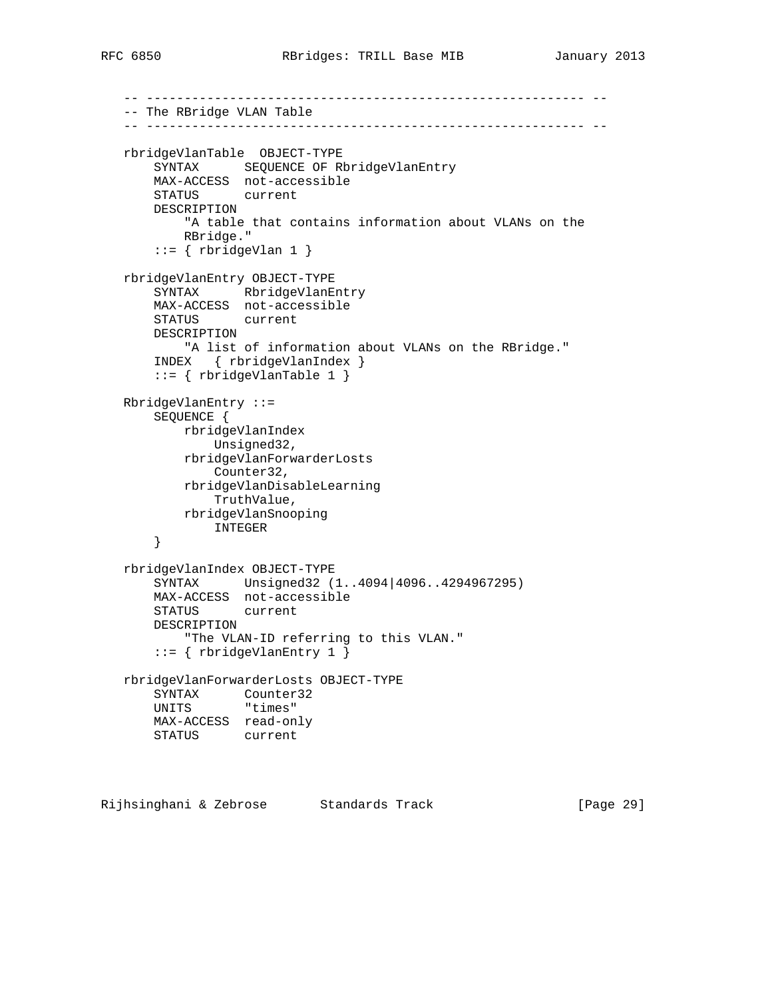```
 -- ---------------------------------------------------------- --
 -- The RBridge VLAN Table
 -- ---------------------------------------------------------- --
 rbridgeVlanTable OBJECT-TYPE
    SYNTAX SEQUENCE OF RbridgeVlanEntry
    MAX-ACCESS not-accessible
    STATUS current
    DESCRIPTION
         "A table that contains information about VLANs on the
        RBridge."
    ::= { rbridgeVlan 1 }
 rbridgeVlanEntry OBJECT-TYPE
     SYNTAX RbridgeVlanEntry
    MAX-ACCESS not-accessible
    STATUS current
    DESCRIPTION
        "A list of information about VLANs on the RBridge."
     INDEX { rbridgeVlanIndex }
     ::= { rbridgeVlanTable 1 }
 RbridgeVlanEntry ::=
     SEQUENCE {
        rbridgeVlanIndex
            Unsigned32,
        rbridgeVlanForwarderLosts
            Counter32,
        rbridgeVlanDisableLearning
            TruthValue,
        rbridgeVlanSnooping
           INTEGER
     }
 rbridgeVlanIndex OBJECT-TYPE
     SYNTAX Unsigned32 (1..4094|4096..4294967295)
    MAX-ACCESS not-accessible
    STATUS current
    DESCRIPTION
        "The VLAN-ID referring to this VLAN."
     ::= { rbridgeVlanEntry 1 }
 rbridgeVlanForwarderLosts OBJECT-TYPE
    SYNTAX Counter32
    UNITS "times"
    MAX-ACCESS read-only
    STATUS current
```
Rijhsinghani & Zebrose Standards Track [Page 29]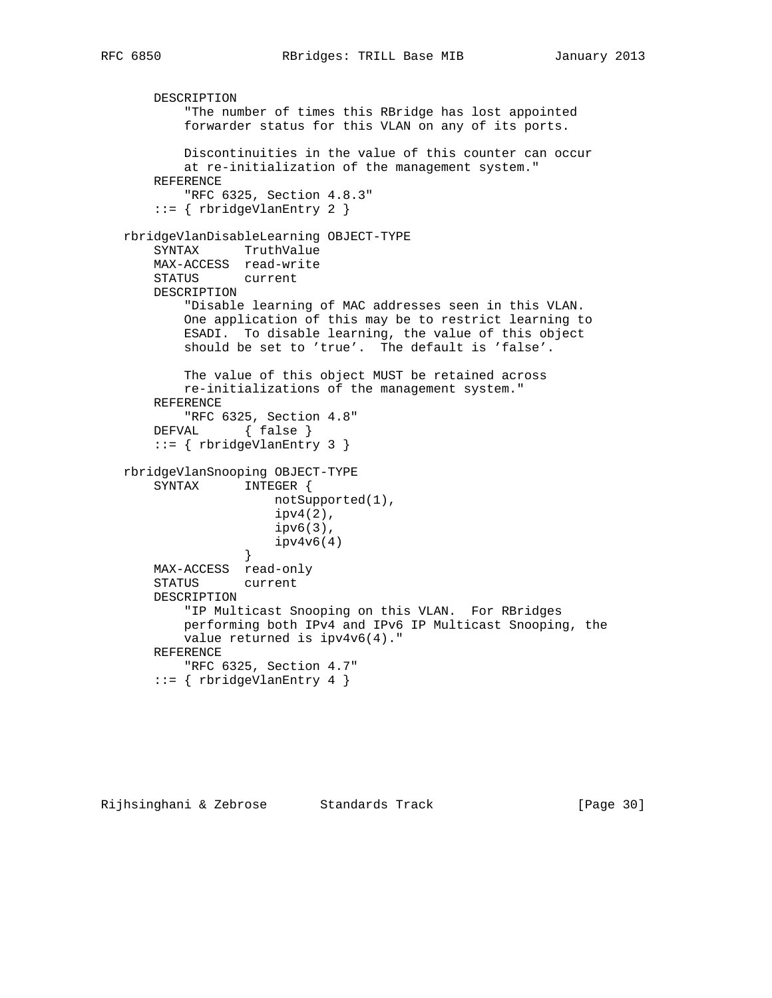```
 DESCRIPTION
           "The number of times this RBridge has lost appointed
           forwarder status for this VLAN on any of its ports.
           Discontinuities in the value of this counter can occur
           at re-initialization of the management system."
       REFERENCE
           "RFC 6325, Section 4.8.3"
       ::= { rbridgeVlanEntry 2 }
   rbridgeVlanDisableLearning OBJECT-TYPE
       SYNTAX TruthValue
       MAX-ACCESS read-write
       STATUS current
       DESCRIPTION
           "Disable learning of MAC addresses seen in this VLAN.
           One application of this may be to restrict learning to
           ESADI. To disable learning, the value of this object
           should be set to 'true'. The default is 'false'.
           The value of this object MUST be retained across
           re-initializations of the management system."
       REFERENCE
           "RFC 6325, Section 4.8"
      DEFVAL { false }
       ::= { rbridgeVlanEntry 3 }
   rbridgeVlanSnooping OBJECT-TYPE
       SYNTAX INTEGER {
                      notSupported(1),
                       ipv4(2),
                       ipv6(3),
                       ipv4v6(4)
 }
       MAX-ACCESS read-only
       STATUS current
       DESCRIPTION
           "IP Multicast Snooping on this VLAN. For RBridges
           performing both IPv4 and IPv6 IP Multicast Snooping, the
           value returned is ipv4v6(4)."
       REFERENCE
           "RFC 6325, Section 4.7"
       ::= { rbridgeVlanEntry 4 }
```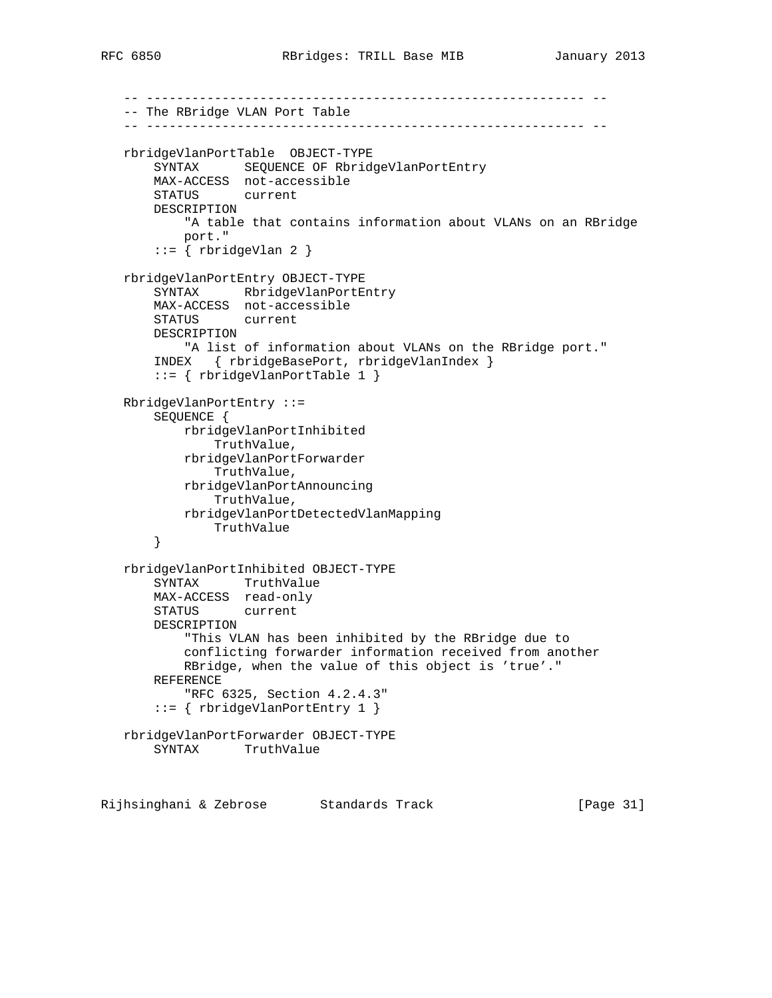```
 -- ---------------------------------------------------------- --
 -- The RBridge VLAN Port Table
 -- ---------------------------------------------------------- --
 rbridgeVlanPortTable OBJECT-TYPE
     SYNTAX SEQUENCE OF RbridgeVlanPortEntry
     MAX-ACCESS not-accessible
     STATUS current
     DESCRIPTION
         "A table that contains information about VLANs on an RBridge
         port."
    ::= { rbridgeVlan 2 }
 rbridgeVlanPortEntry OBJECT-TYPE
     SYNTAX RbridgeVlanPortEntry
     MAX-ACCESS not-accessible
     STATUS current
     DESCRIPTION
        "A list of information about VLANs on the RBridge port."
     INDEX { rbridgeBasePort, rbridgeVlanIndex }
     ::= { rbridgeVlanPortTable 1 }
 RbridgeVlanPortEntry ::=
     SEQUENCE {
         rbridgeVlanPortInhibited
             TruthValue,
         rbridgeVlanPortForwarder
             TruthValue,
         rbridgeVlanPortAnnouncing
             TruthValue,
         rbridgeVlanPortDetectedVlanMapping
            TruthValue
     }
 rbridgeVlanPortInhibited OBJECT-TYPE
     SYNTAX TruthValue
     MAX-ACCESS read-only
     STATUS current
     DESCRIPTION
         "This VLAN has been inhibited by the RBridge due to
         conflicting forwarder information received from another
         RBridge, when the value of this object is 'true'."
     REFERENCE
        "RFC 6325, Section 4.2.4.3"
     ::= { rbridgeVlanPortEntry 1 }
 rbridgeVlanPortForwarder OBJECT-TYPE
     SYNTAX TruthValue
```
Rijhsinghani & Zebrose Standards Track [Page 31]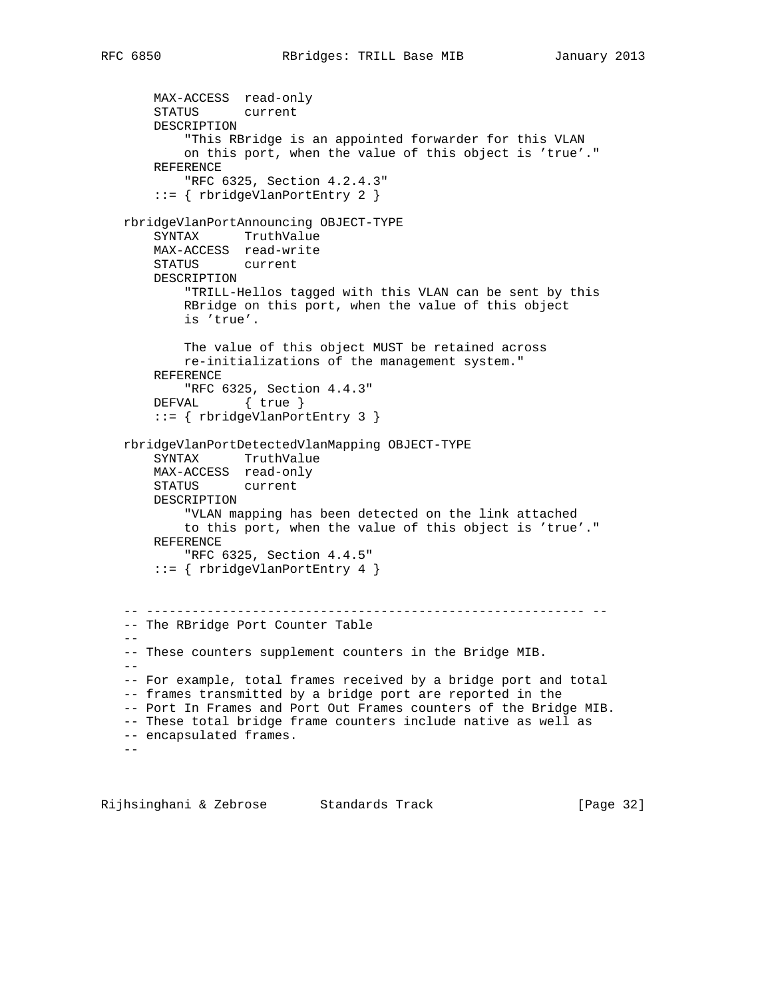MAX-ACCESS read-only STATUS current DESCRIPTION "This RBridge is an appointed forwarder for this VLAN on this port, when the value of this object is 'true'." REFERENCE "RFC 6325, Section 4.2.4.3" ::= { rbridgeVlanPortEntry 2 } rbridgeVlanPortAnnouncing OBJECT-TYPE SYNTAX TruthValue MAX-ACCESS read-write STATUS current DESCRIPTION "TRILL-Hellos tagged with this VLAN can be sent by this RBridge on this port, when the value of this object is 'true'. The value of this object MUST be retained across re-initializations of the management system." REFERENCE "RFC 6325, Section 4.4.3" DEFVAL { true } ::= { rbridgeVlanPortEntry 3 } rbridgeVlanPortDetectedVlanMapping OBJECT-TYPE SYNTAX TruthValue MAX-ACCESS read-only STATUS current DESCRIPTION "VLAN mapping has been detected on the link attached to this port, when the value of this object is 'true'." REFERENCE "RFC 6325, Section 4.4.5" ::= { rbridgeVlanPortEntry 4 } -- ---------------------------------------------------------- -- -- The RBridge Port Counter Table  $-$  -- These counters supplement counters in the Bridge MIB.  $-$  -- For example, total frames received by a bridge port and total -- frames transmitted by a bridge port are reported in the -- Port In Frames and Port Out Frames counters of the Bridge MIB. -- These total bridge frame counters include native as well as -- encapsulated frames.  $-$ 

Rijhsinghani & Zebrose Standards Track [Page 32]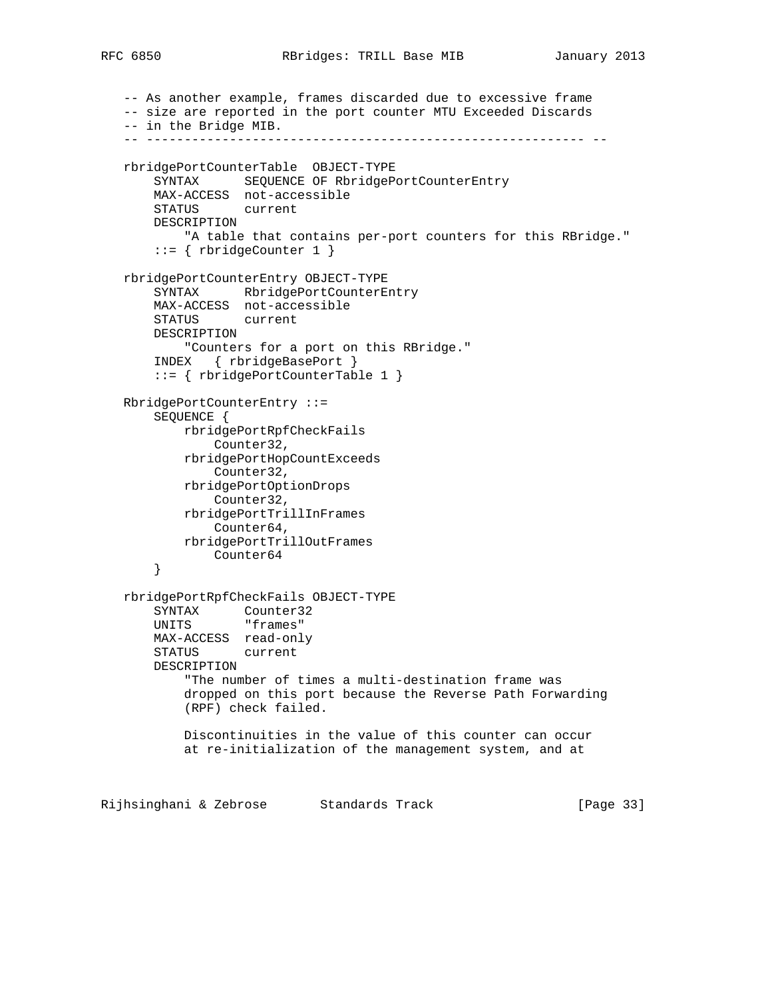-- As another example, frames discarded due to excessive frame -- size are reported in the port counter MTU Exceeded Discards -- in the Bridge MIB. -- ---------------------------------------------------------- - rbridgePortCounterTable OBJECT-TYPE SYNTAX SEQUENCE OF RbridgePortCounterEntry MAX-ACCESS not-accessible STATUS current DESCRIPTION "A table that contains per-port counters for this RBridge."  $::=$  { rbridgeCounter 1 } rbridgePortCounterEntry OBJECT-TYPE SYNTAX RbridgePortCounterEntry MAX-ACCESS not-accessible STATUS current DESCRIPTION "Counters for a port on this RBridge." INDEX { rbridgeBasePort } ::= { rbridgePortCounterTable 1 } RbridgePortCounterEntry ::= SEQUENCE { rbridgePortRpfCheckFails Counter32, rbridgePortHopCountExceeds Counter32, rbridgePortOptionDrops Counter32, rbridgePortTrillInFrames Counter64, rbridgePortTrillOutFrames Counter64 } rbridgePortRpfCheckFails OBJECT-TYPE SYNTAX Counter32 UNITS "frames" MAX-ACCESS read-only STATUS current DESCRIPTION "The number of times a multi-destination frame was dropped on this port because the Reverse Path Forwarding (RPF) check failed. Discontinuities in the value of this counter can occur at re-initialization of the management system, and at

Rijhsinghani & Zebrose Standards Track [Page 33]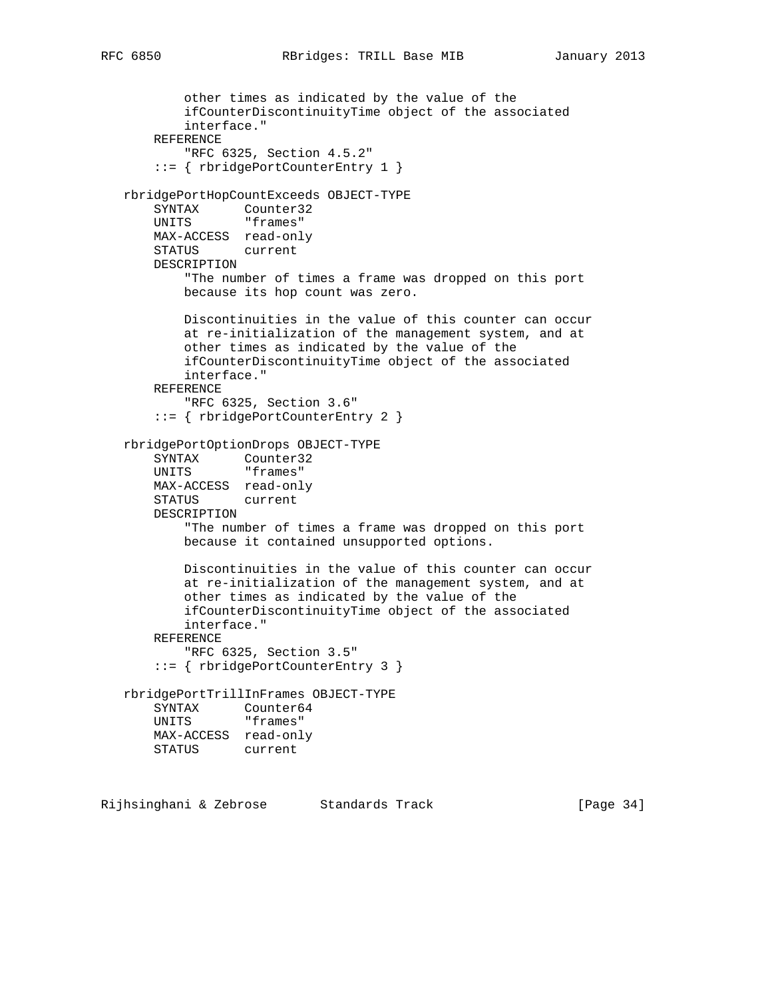```
 other times as indicated by the value of the
         ifCounterDiscontinuityTime object of the associated
         interface."
    REFERENCE
         "RFC 6325, Section 4.5.2"
     ::= { rbridgePortCounterEntry 1 }
 rbridgePortHopCountExceeds OBJECT-TYPE
    SYNTAX Counter32
   UNITS "frames"
    MAX-ACCESS read-only
    STATUS current
    DESCRIPTION
        "The number of times a frame was dropped on this port
        because its hop count was zero.
        Discontinuities in the value of this counter can occur
        at re-initialization of the management system, and at
        other times as indicated by the value of the
        ifCounterDiscontinuityTime object of the associated
        interface."
    REFERENCE
         "RFC 6325, Section 3.6"
     ::= { rbridgePortCounterEntry 2 }
 rbridgePortOptionDrops OBJECT-TYPE
    SYNTAX Counter32
   UNITS "frames"
    MAX-ACCESS read-only
    STATUS current
    DESCRIPTION
         "The number of times a frame was dropped on this port
        because it contained unsupported options.
        Discontinuities in the value of this counter can occur
        at re-initialization of the management system, and at
        other times as indicated by the value of the
         ifCounterDiscontinuityTime object of the associated
        interface."
    REFERENCE
        "RFC 6325, Section 3.5"
     ::= { rbridgePortCounterEntry 3 }
 rbridgePortTrillInFrames OBJECT-TYPE
    SYNTAX Counter64
   UNITS "frames"
    MAX-ACCESS read-only
    STATUS current
```
Rijhsinghani & Zebrose Standards Track [Page 34]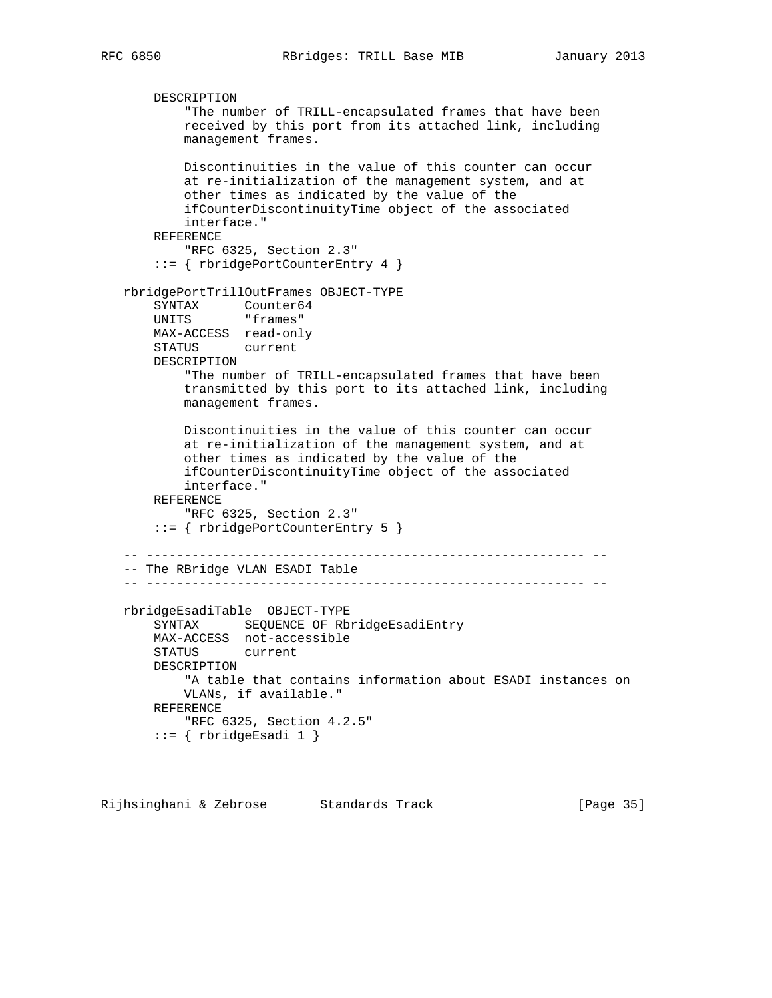```
 DESCRIPTION
            "The number of TRILL-encapsulated frames that have been
           received by this port from its attached link, including
           management frames.
           Discontinuities in the value of this counter can occur
           at re-initialization of the management system, and at
           other times as indicated by the value of the
           ifCounterDiscontinuityTime object of the associated
           interface."
       REFERENCE
           "RFC 6325, Section 2.3"
       ::= { rbridgePortCounterEntry 4 }
   rbridgePortTrillOutFrames OBJECT-TYPE
 SYNTAX Counter64
UNITS "frames"
       MAX-ACCESS read-only
       STATUS current
       DESCRIPTION
           "The number of TRILL-encapsulated frames that have been
           transmitted by this port to its attached link, including
           management frames.
           Discontinuities in the value of this counter can occur
           at re-initialization of the management system, and at
           other times as indicated by the value of the
           ifCounterDiscontinuityTime object of the associated
           interface."
       REFERENCE
           "RFC 6325, Section 2.3"
       ::= { rbridgePortCounterEntry 5 }
   -- ---------------------------------------------------------- --
   -- The RBridge VLAN ESADI Table
   -- ---------------------------------------------------------- --
   rbridgeEsadiTable OBJECT-TYPE
       SYNTAX SEQUENCE OF RbridgeEsadiEntry
       MAX-ACCESS not-accessible
       STATUS current
       DESCRIPTION
           "A table that contains information about ESADI instances on
           VLANs, if available."
       REFERENCE
           "RFC 6325, Section 4.2.5"
       ::= { rbridgeEsadi 1 }
```
Rijhsinghani & Zebrose Standards Track (Page 35)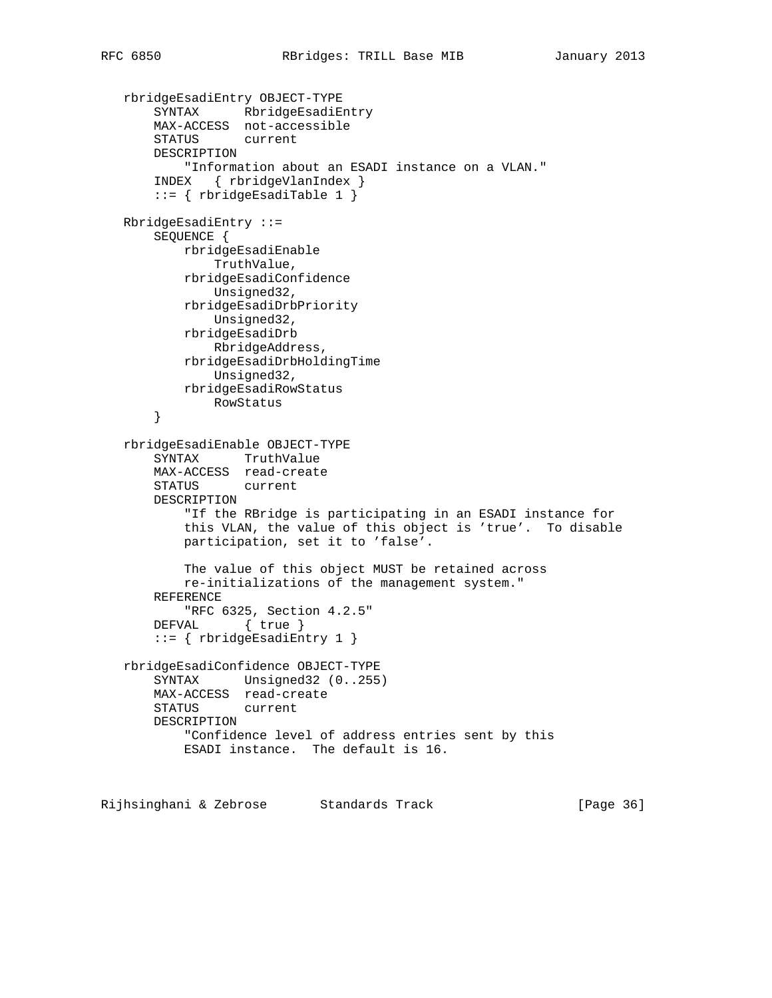```
 rbridgeEsadiEntry OBJECT-TYPE
 SYNTAX RbridgeEsadiEntry
 MAX-ACCESS not-accessible
       STATUS current
       DESCRIPTION
           "Information about an ESADI instance on a VLAN."
       INDEX { rbridgeVlanIndex }
       ::= { rbridgeEsadiTable 1 }
   RbridgeEsadiEntry ::=
       SEQUENCE {
           rbridgeEsadiEnable
               TruthValue,
           rbridgeEsadiConfidence
               Unsigned32,
           rbridgeEsadiDrbPriority
               Unsigned32,
           rbridgeEsadiDrb
               RbridgeAddress,
           rbridgeEsadiDrbHoldingTime
               Unsigned32,
           rbridgeEsadiRowStatus
               RowStatus
       }
   rbridgeEsadiEnable OBJECT-TYPE
       SYNTAX TruthValue
       MAX-ACCESS read-create
       STATUS current
       DESCRIPTION
           "If the RBridge is participating in an ESADI instance for
           this VLAN, the value of this object is 'true'. To disable
           participation, set it to 'false'.
           The value of this object MUST be retained across
           re-initializations of the management system."
       REFERENCE
          "RFC 6325, Section 4.2.5"
       DEFVAL { true }
       ::= { rbridgeEsadiEntry 1 }
   rbridgeEsadiConfidence OBJECT-TYPE
       SYNTAX Unsigned32 (0..255)
       MAX-ACCESS read-create
       STATUS current
       DESCRIPTION
          "Confidence level of address entries sent by this
           ESADI instance. The default is 16.
```
Rijhsinghani & Zebrose Standards Track (Page 36)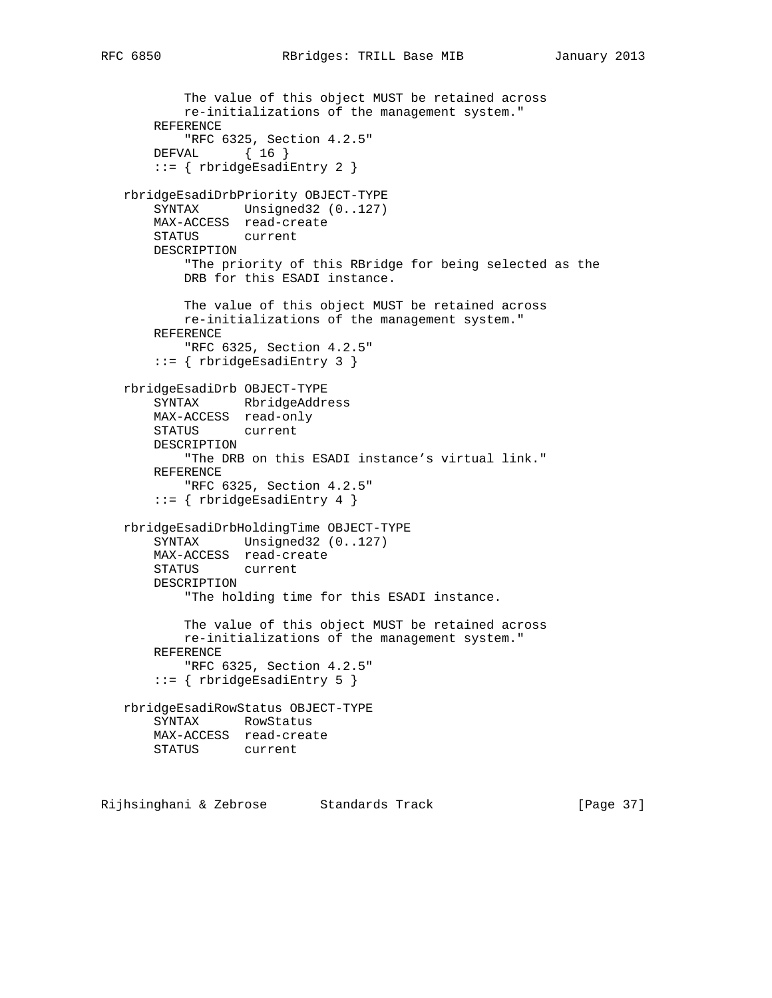```
 The value of this object MUST be retained across
           re-initializations of the management system."
       REFERENCE
           "RFC 6325, Section 4.2.5"
       DEFVAL { 16 }
        ::= { rbridgeEsadiEntry 2 }
   rbridgeEsadiDrbPriority OBJECT-TYPE
       SYNTAX Unsigned32 (0..127)
       MAX-ACCESS read-create
       STATUS current
       DESCRIPTION
           "The priority of this RBridge for being selected as the
           DRB for this ESADI instance.
           The value of this object MUST be retained across
           re-initializations of the management system."
       REFERENCE
           "RFC 6325, Section 4.2.5"
        ::= { rbridgeEsadiEntry 3 }
   rbridgeEsadiDrb OBJECT-TYPE
       SYNTAX RbridgeAddress
       MAX-ACCESS read-only
       STATUS current
       DESCRIPTION
           "The DRB on this ESADI instance's virtual link."
       REFERENCE
           "RFC 6325, Section 4.2.5"
        ::= { rbridgeEsadiEntry 4 }
   rbridgeEsadiDrbHoldingTime OBJECT-TYPE
       SYNTAX Unsigned32 (0..127)
       MAX-ACCESS read-create
       STATUS current
       DESCRIPTION
           "The holding time for this ESADI instance.
           The value of this object MUST be retained across
           re-initializations of the management system."
       REFERENCE
           "RFC 6325, Section 4.2.5"
        ::= { rbridgeEsadiEntry 5 }
   rbridgeEsadiRowStatus OBJECT-TYPE
       SYNTAX RowStatus
       MAX-ACCESS read-create
       STATUS current
Rijhsinghani & Zebrose Standards Track (Page 37)
```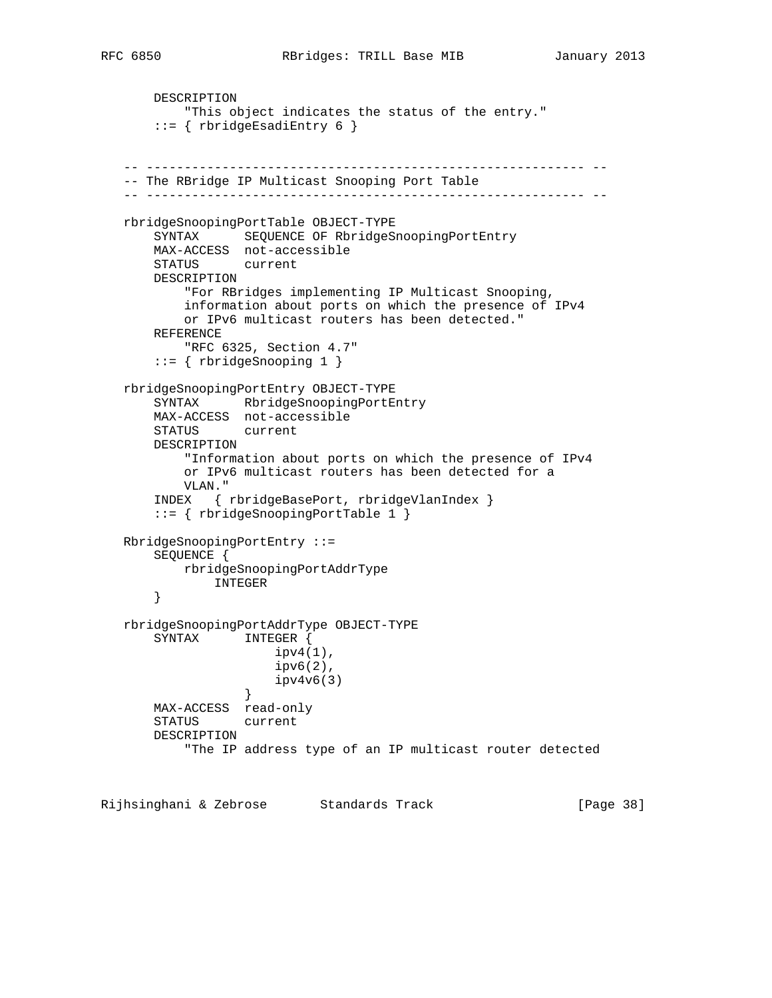```
 DESCRIPTION
           "This object indicates the status of the entry."
       ::= { rbridgeEsadiEntry 6 }
   -- ---------------------------------------------------------- --
   -- The RBridge IP Multicast Snooping Port Table
   -- ---------------------------------------------------------- --
   rbridgeSnoopingPortTable OBJECT-TYPE
       SYNTAX SEQUENCE OF RbridgeSnoopingPortEntry
       MAX-ACCESS not-accessible
       STATUS current
       DESCRIPTION
           "For RBridges implementing IP Multicast Snooping,
           information about ports on which the presence of IPv4
           or IPv6 multicast routers has been detected."
       REFERENCE
           "RFC 6325, Section 4.7"
       ::= { rbridgeSnooping 1 }
   rbridgeSnoopingPortEntry OBJECT-TYPE
       SYNTAX RbridgeSnoopingPortEntry
       MAX-ACCESS not-accessible
       STATUS current
       DESCRIPTION
           "Information about ports on which the presence of IPv4
           or IPv6 multicast routers has been detected for a
           VLAN."
       INDEX { rbridgeBasePort, rbridgeVlanIndex }
       ::= { rbridgeSnoopingPortTable 1 }
   RbridgeSnoopingPortEntry ::=
       SEQUENCE {
          rbridgeSnoopingPortAddrType
              INTEGER
       }
   rbridgeSnoopingPortAddrType OBJECT-TYPE
       SYNTAX INTEGER {
                      ipv4(1),
                       ipv6(2),
                  ipv4v6(3) }
       MAX-ACCESS read-only
       STATUS current
       DESCRIPTION
            "The IP address type of an IP multicast router detected
```
Rijhsinghani & Zebrose Standards Track [Page 38]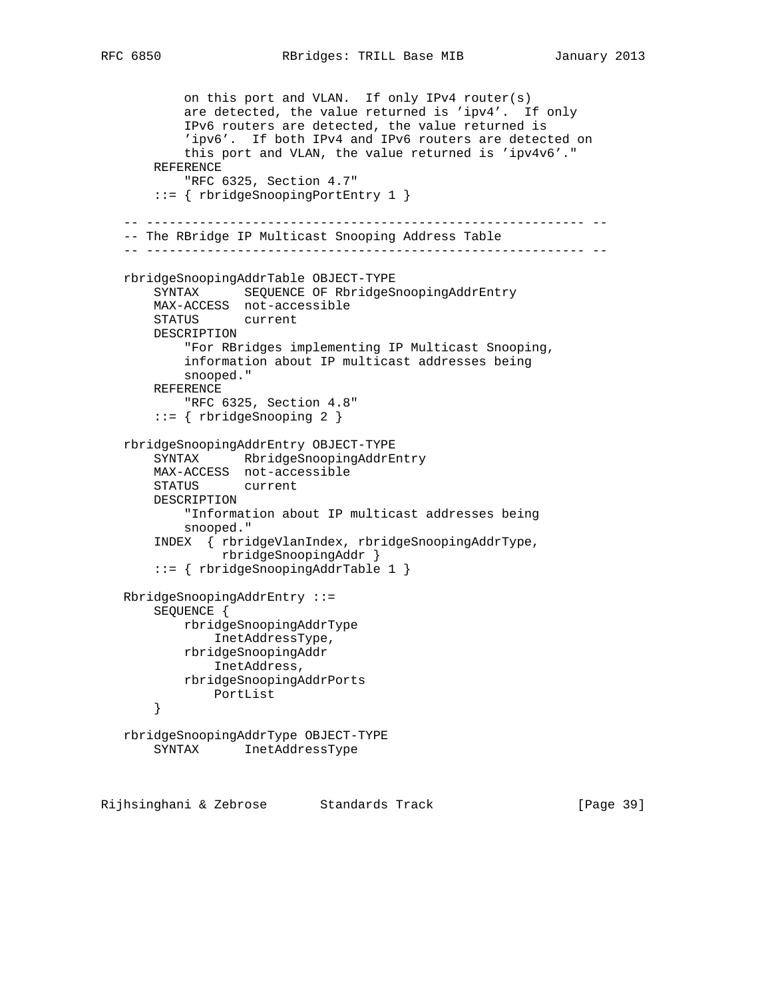on this port and VLAN. If only IPv4 router(s) are detected, the value returned is 'ipv4'. If only IPv6 routers are detected, the value returned is 'ipv6'. If both IPv4 and IPv6 routers are detected on this port and VLAN, the value returned is 'ipv4v6'." REFERENCE "RFC 6325, Section 4.7" ::= { rbridgeSnoopingPortEntry 1 } -- ---------------------------------------------------------- -- -- The RBridge IP Multicast Snooping Address Table -- ---------------------------------------------------------- - rbridgeSnoopingAddrTable OBJECT-TYPE SYNTAX SEQUENCE OF RbridgeSnoopingAddrEntry MAX-ACCESS not-accessible STATUS current DESCRIPTION "For RBridges implementing IP Multicast Snooping, information about IP multicast addresses being snooped." REFERENCE "RFC 6325, Section 4.8" ::= { rbridgeSnooping 2 } rbridgeSnoopingAddrEntry OBJECT-TYPE SYNTAX RbridgeSnoopingAddrEntry MAX-ACCESS not-accessible STATUS current DESCRIPTION "Information about IP multicast addresses being snooped." INDEX { rbridgeVlanIndex, rbridgeSnoopingAddrType, rbridgeSnoopingAddr } ::= { rbridgeSnoopingAddrTable 1 } RbridgeSnoopingAddrEntry ::= SEQUENCE { rbridgeSnoopingAddrType InetAddressType, rbridgeSnoopingAddr InetAddress, rbridgeSnoopingAddrPorts PortList } rbridgeSnoopingAddrType OBJECT-TYPE SYNTAX InetAddressType

Rijhsinghani & Zebrose Standards Track [Page 39]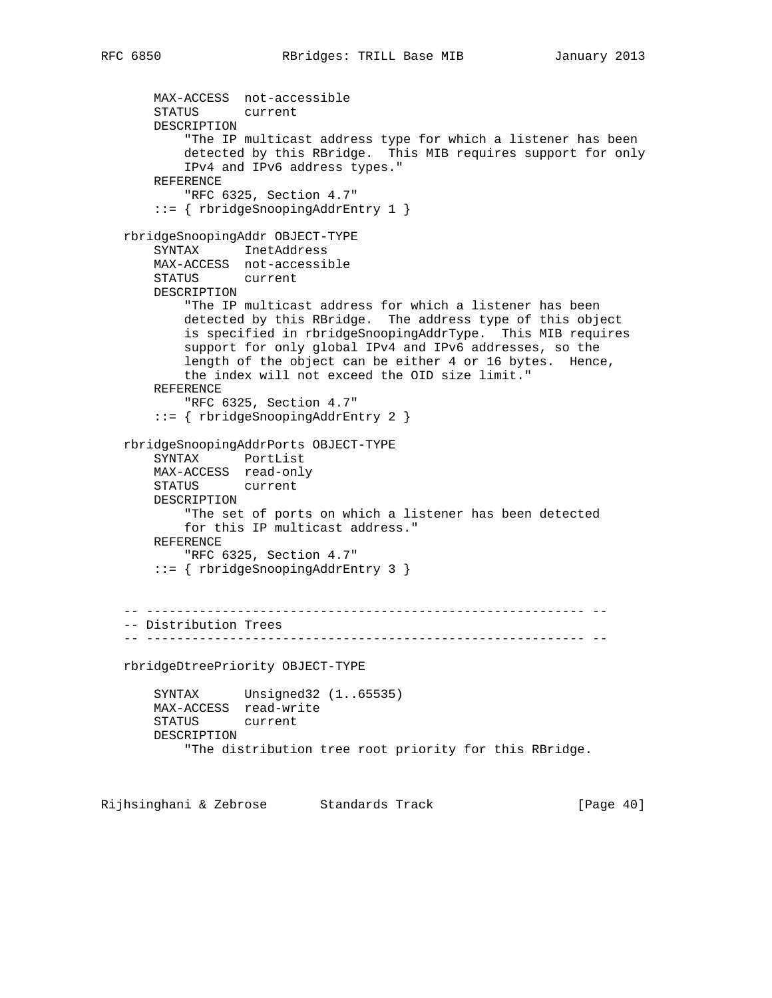```
 MAX-ACCESS not-accessible
     STATUS current
     DESCRIPTION
         "The IP multicast address type for which a listener has been
         detected by this RBridge. This MIB requires support for only
         IPv4 and IPv6 address types."
     REFERENCE
         "RFC 6325, Section 4.7"
     ::= { rbridgeSnoopingAddrEntry 1 }
 rbridgeSnoopingAddr OBJECT-TYPE
     SYNTAX InetAddress
     MAX-ACCESS not-accessible
     STATUS current
     DESCRIPTION
         "The IP multicast address for which a listener has been
         detected by this RBridge. The address type of this object
         is specified in rbridgeSnoopingAddrType. This MIB requires
         support for only global IPv4 and IPv6 addresses, so the
         length of the object can be either 4 or 16 bytes. Hence,
         the index will not exceed the OID size limit."
     REFERENCE
         "RFC 6325, Section 4.7"
     ::= { rbridgeSnoopingAddrEntry 2 }
 rbridgeSnoopingAddrPorts OBJECT-TYPE
     SYNTAX PortList
     MAX-ACCESS read-only
     STATUS current
     DESCRIPTION
         "The set of ports on which a listener has been detected
         for this IP multicast address."
     REFERENCE
         "RFC 6325, Section 4.7"
     ::= { rbridgeSnoopingAddrEntry 3 }
  -- ---------------------------------------------------------- --
 -- Distribution Trees
 -- ---------------------------------------------------------- --
 rbridgeDtreePriority OBJECT-TYPE
     SYNTAX Unsigned32 (1..65535)
     MAX-ACCESS read-write
     STATUS current
     DESCRIPTION
         "The distribution tree root priority for this RBridge.
```
Rijhsinghani & Zebrose Standards Track [Page 40]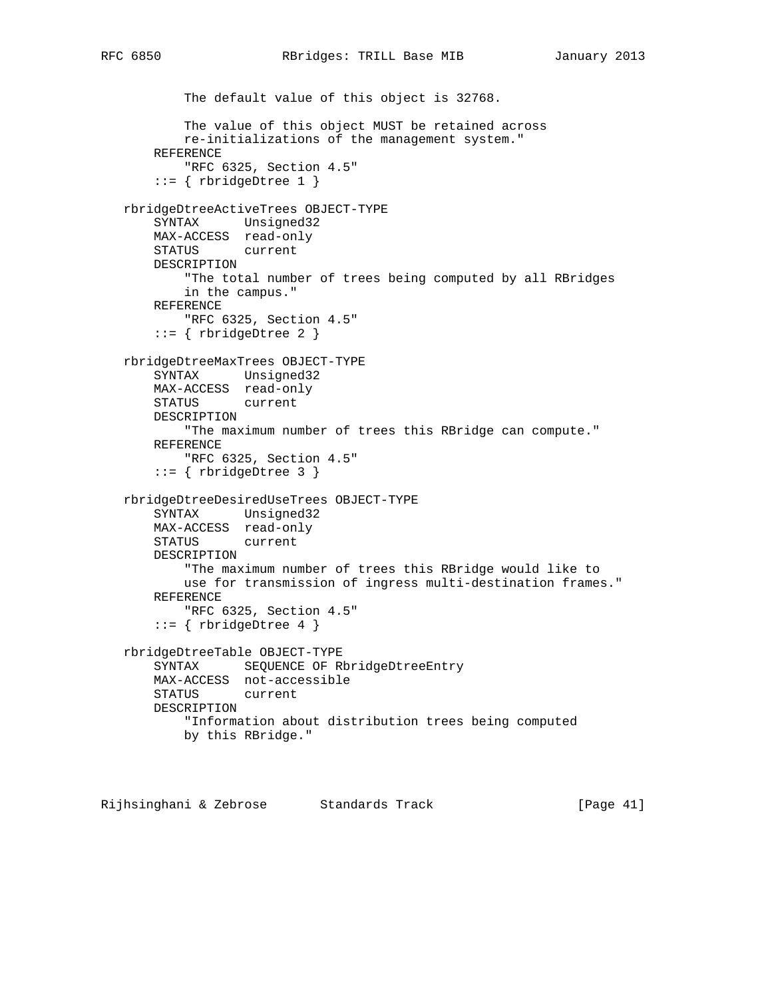```
 The default value of this object is 32768.
        The value of this object MUST be retained across
        re-initializations of the management system."
    REFERENCE
         "RFC 6325, Section 4.5"
    ::= { rbridgeDtree 1 }
 rbridgeDtreeActiveTrees OBJECT-TYPE
    SYNTAX Unsigned32
    MAX-ACCESS read-only
    STATUS current
    DESCRIPTION
        "The total number of trees being computed by all RBridges
        in the campus."
    REFERENCE
        "RFC 6325, Section 4.5"
    ::= { rbridgeDtree 2 }
 rbridgeDtreeMaxTrees OBJECT-TYPE
    SYNTAX Unsigned32
    MAX-ACCESS read-only
    STATUS current
    DESCRIPTION
         "The maximum number of trees this RBridge can compute."
    REFERENCE
         "RFC 6325, Section 4.5"
     ::= { rbridgeDtree 3 }
 rbridgeDtreeDesiredUseTrees OBJECT-TYPE
    SYNTAX Unsigned32
    MAX-ACCESS read-only
    STATUS current
    DESCRIPTION
         "The maximum number of trees this RBridge would like to
        use for transmission of ingress multi-destination frames."
    REFERENCE
        "RFC 6325, Section 4.5"
    ::= { rbridgeDtree 4 }
 rbridgeDtreeTable OBJECT-TYPE
    SYNTAX SEQUENCE OF RbridgeDtreeEntry
    MAX-ACCESS not-accessible
    STATUS current
    DESCRIPTION
         "Information about distribution trees being computed
        by this RBridge."
```
Rijhsinghani & Zebrose Standards Track [Page 41]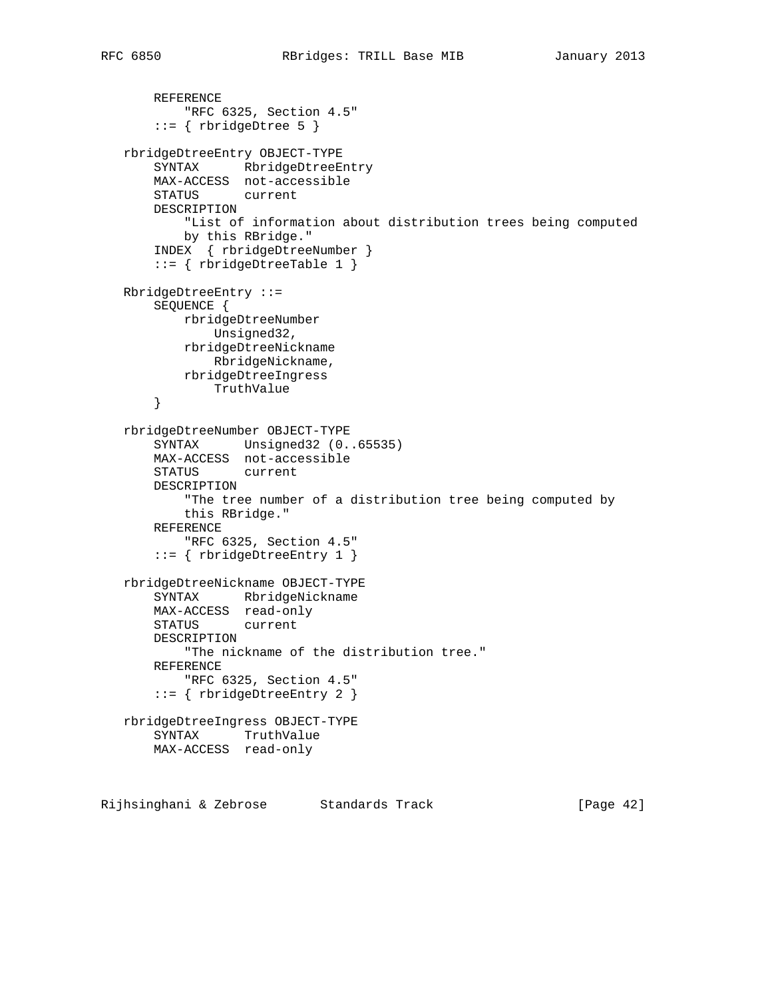```
 REFERENCE
        "RFC 6325, Section 4.5"
    ::= { rbridgeDtree 5 }
 rbridgeDtreeEntry OBJECT-TYPE
    SYNTAX RbridgeDtreeEntry
    MAX-ACCESS not-accessible
    STATUS current
    DESCRIPTION
         "List of information about distribution trees being computed
        by this RBridge."
     INDEX { rbridgeDtreeNumber }
     ::= { rbridgeDtreeTable 1 }
 RbridgeDtreeEntry ::=
    SEQUENCE {
        rbridgeDtreeNumber
            Unsigned32,
        rbridgeDtreeNickname
            RbridgeNickname,
        rbridgeDtreeIngress
            TruthValue
     }
 rbridgeDtreeNumber OBJECT-TYPE
     SYNTAX Unsigned32 (0..65535)
    MAX-ACCESS not-accessible
    STATUS current
    DESCRIPTION
         "The tree number of a distribution tree being computed by
        this RBridge."
    REFERENCE
         "RFC 6325, Section 4.5"
     ::= { rbridgeDtreeEntry 1 }
 rbridgeDtreeNickname OBJECT-TYPE
    SYNTAX RbridgeNickname
    MAX-ACCESS read-only
    STATUS current
     DESCRIPTION
        "The nickname of the distribution tree."
    REFERENCE
        "RFC 6325, Section 4.5"
     ::= { rbridgeDtreeEntry 2 }
 rbridgeDtreeIngress OBJECT-TYPE
    SYNTAX TruthValue
    MAX-ACCESS read-only
```
Rijhsinghani & Zebrose Standards Track [Page 42]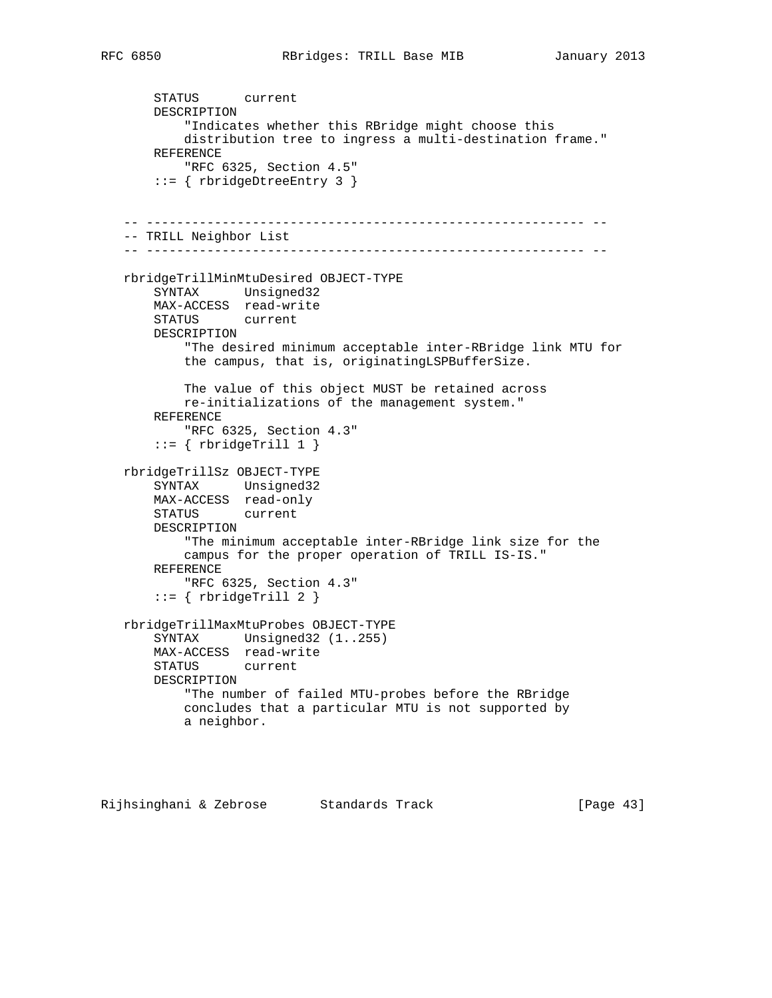STATUS current DESCRIPTION "Indicates whether this RBridge might choose this distribution tree to ingress a multi-destination frame." REFERENCE "RFC 6325, Section 4.5" ::= { rbridgeDtreeEntry 3 } -- ---------------------------------------------------------- -- -- TRILL Neighbor List -- ---------------------------------------------------------- - rbridgeTrillMinMtuDesired OBJECT-TYPE SYNTAX Unsigned32 MAX-ACCESS read-write STATUS current DESCRIPTION "The desired minimum acceptable inter-RBridge link MTU for the campus, that is, originatingLSPBufferSize. The value of this object MUST be retained across re-initializations of the management system." REFERENCE "RFC 6325, Section 4.3"  $::=$  { rbridgeTrill 1 } rbridgeTrillSz OBJECT-TYPE SYNTAX Unsigned32 MAX-ACCESS read-only STATUS current DESCRIPTION "The minimum acceptable inter-RBridge link size for the campus for the proper operation of TRILL IS-IS." REFERENCE "RFC 6325, Section 4.3" ::= { rbridgeTrill 2 } rbridgeTrillMaxMtuProbes OBJECT-TYPE SYNTAX Unsigned32 (1..255) MAX-ACCESS read-write STATUS current DESCRIPTION "The number of failed MTU-probes before the RBridge concludes that a particular MTU is not supported by a neighbor.

Rijhsinghani & Zebrose Standards Track [Page 43]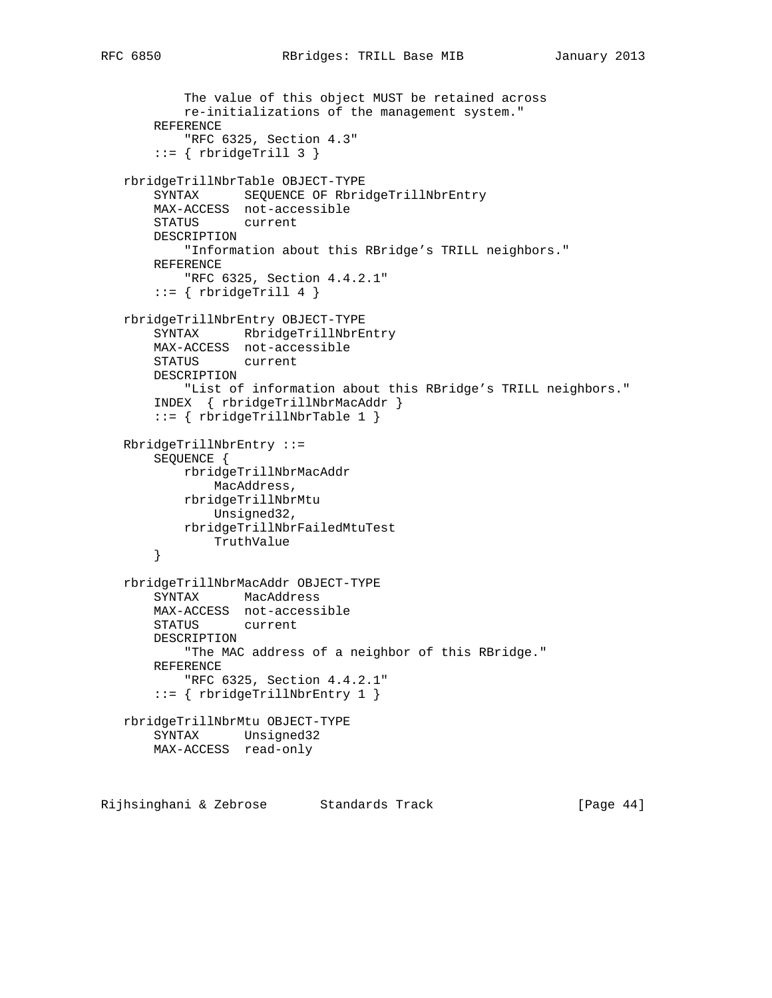```
 The value of this object MUST be retained across
         re-initializations of the management system."
     REFERENCE
         "RFC 6325, Section 4.3"
    ::= { rbridgeTrill 3 }
 rbridgeTrillNbrTable OBJECT-TYPE
     SYNTAX SEQUENCE OF RbridgeTrillNbrEntry
    MAX-ACCESS not-accessible
    STATUS current
    DESCRIPTION
        "Information about this RBridge's TRILL neighbors."
    REFERENCE
        "RFC 6325, Section 4.4.2.1"
    ::= { rbridgeTrill 4 }
 rbridgeTrillNbrEntry OBJECT-TYPE
     SYNTAX RbridgeTrillNbrEntry
    MAX-ACCESS not-accessible
    STATUS current
    DESCRIPTION
        "List of information about this RBridge's TRILL neighbors."
     INDEX { rbridgeTrillNbrMacAddr }
     ::= { rbridgeTrillNbrTable 1 }
 RbridgeTrillNbrEntry ::=
     SEQUENCE {
        rbridgeTrillNbrMacAddr
            MacAddress,
        rbridgeTrillNbrMtu
            Unsigned32,
        rbridgeTrillNbrFailedMtuTest
            TruthValue
     }
 rbridgeTrillNbrMacAddr OBJECT-TYPE
     SYNTAX MacAddress
    MAX-ACCESS not-accessible
    STATUS current
     DESCRIPTION
        "The MAC address of a neighbor of this RBridge."
    REFERENCE
        "RFC 6325, Section 4.4.2.1"
    ::= { rbridgeTrillNbrEntry 1 }
 rbridgeTrillNbrMtu OBJECT-TYPE
    SYNTAX Unsigned32
    MAX-ACCESS read-only
```
Rijhsinghani & Zebrose Standards Track (Page 44)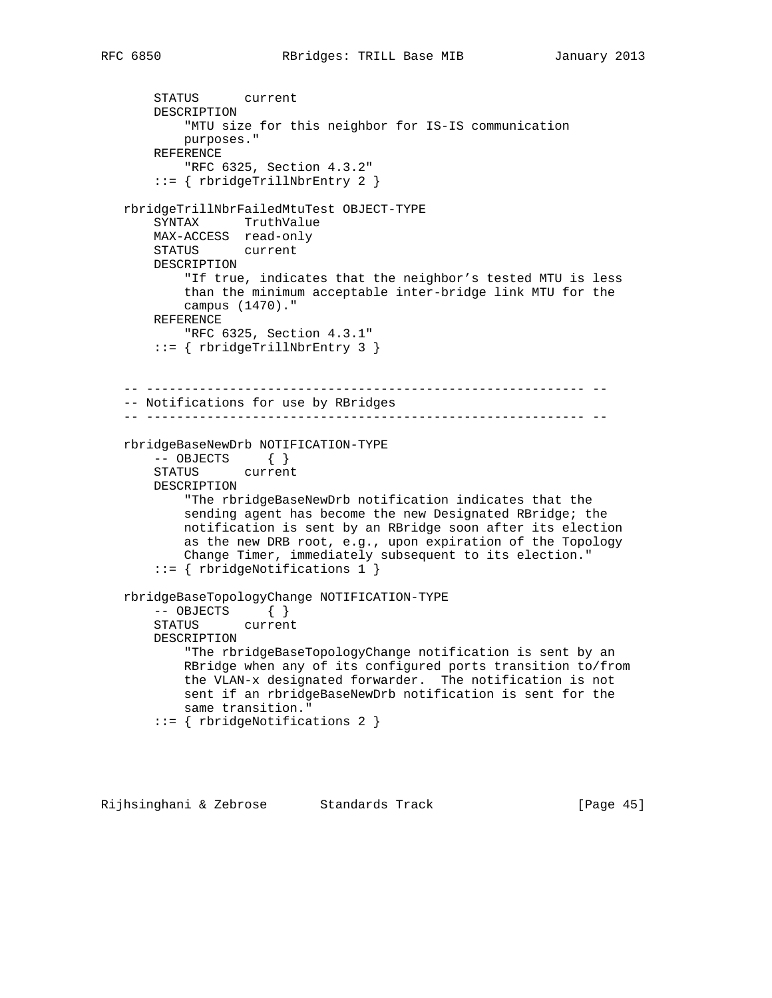```
 STATUS current
    DESCRIPTION
         "MTU size for this neighbor for IS-IS communication
        purposes."
    REFERENCE
         "RFC 6325, Section 4.3.2"
     ::= { rbridgeTrillNbrEntry 2 }
 rbridgeTrillNbrFailedMtuTest OBJECT-TYPE
    SYNTAX TruthValue
    MAX-ACCESS read-only
    STATUS current
    DESCRIPTION
         "If true, indicates that the neighbor's tested MTU is less
         than the minimum acceptable inter-bridge link MTU for the
         campus (1470)."
    REFERENCE
        "RFC 6325, Section 4.3.1"
     ::= { rbridgeTrillNbrEntry 3 }
```

```
 -- ---------------------------------------------------------- --
 -- Notifications for use by RBridges
```

```
 -- ---------------------------------------------------------- --
```

```
 rbridgeBaseNewDrb NOTIFICATION-TYPE
     -- OBJECTS { }
     STATUS current
    DESCRIPTION
         "The rbridgeBaseNewDrb notification indicates that the
        sending agent has become the new Designated RBridge; the
        notification is sent by an RBridge soon after its election
        as the new DRB root, e.g., upon expiration of the Topology
        Change Timer, immediately subsequent to its election."
     ::= { rbridgeNotifications 1 }
 rbridgeBaseTopologyChange NOTIFICATION-TYPE
     -- OBJECTS { }
     STATUS current
     DESCRIPTION
         "The rbridgeBaseTopologyChange notification is sent by an
        RBridge when any of its configured ports transition to/from
```
 the VLAN-x designated forwarder. The notification is not sent if an rbridgeBaseNewDrb notification is sent for the same transition."

```
 ::= { rbridgeNotifications 2 }
```
Rijhsinghani & Zebrose Standards Track [Page 45]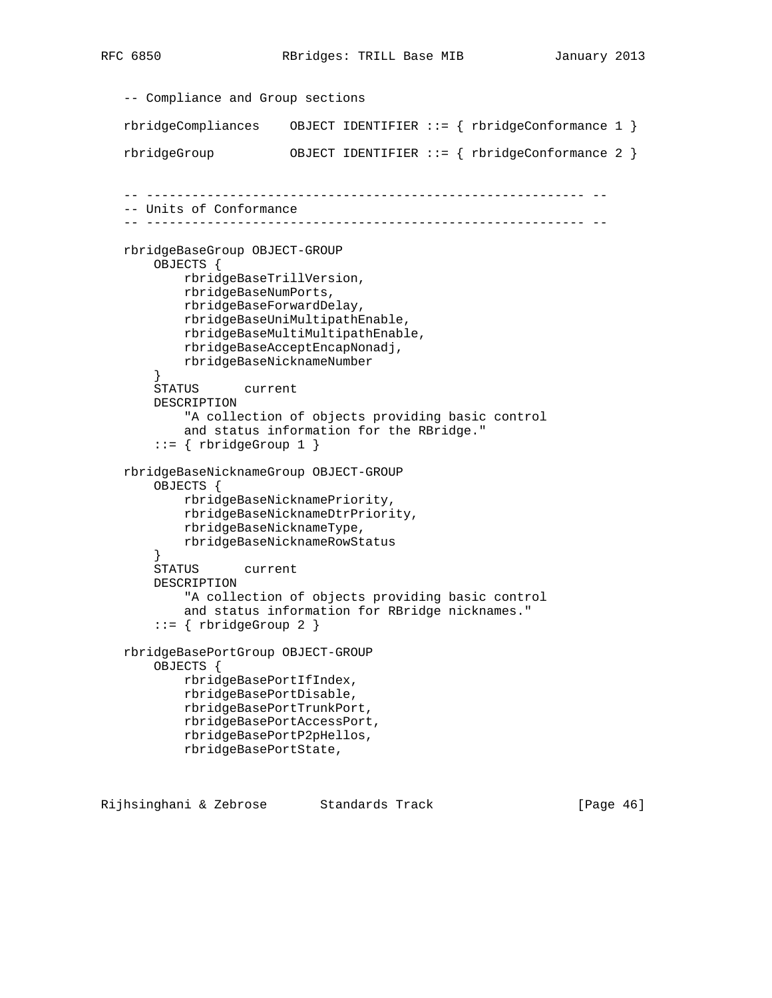```
 -- Compliance and Group sections
 rbridgeCompliances OBJECT IDENTIFIER ::= { rbridgeConformance 1 }
 rbridgeGroup OBJECT IDENTIFIER ::= { rbridgeConformance 2 }
 -- ---------------------------------------------------------- --
 -- Units of Conformance
 -- ---------------------------------------------------------- --
 rbridgeBaseGroup OBJECT-GROUP
     OBJECTS {
         rbridgeBaseTrillVersion,
         rbridgeBaseNumPorts,
         rbridgeBaseForwardDelay,
         rbridgeBaseUniMultipathEnable,
         rbridgeBaseMultiMultipathEnable,
         rbridgeBaseAcceptEncapNonadj,
         rbridgeBaseNicknameNumber
     }
     STATUS current
     DESCRIPTION
         "A collection of objects providing basic control
         and status information for the RBridge."
    ::= { rbridgeGroup 1 }
 rbridgeBaseNicknameGroup OBJECT-GROUP
     OBJECTS {
         rbridgeBaseNicknamePriority,
         rbridgeBaseNicknameDtrPriority,
         rbridgeBaseNicknameType,
         rbridgeBaseNicknameRowStatus
     }
     STATUS current
     DESCRIPTION
         "A collection of objects providing basic control
         and status information for RBridge nicknames."
    ::= { rbridgeGroup 2 }
 rbridgeBasePortGroup OBJECT-GROUP
     OBJECTS {
         rbridgeBasePortIfIndex,
         rbridgeBasePortDisable,
         rbridgeBasePortTrunkPort,
         rbridgeBasePortAccessPort,
         rbridgeBasePortP2pHellos,
         rbridgeBasePortState,
```
Rijhsinghani & Zebrose Standards Track [Page 46]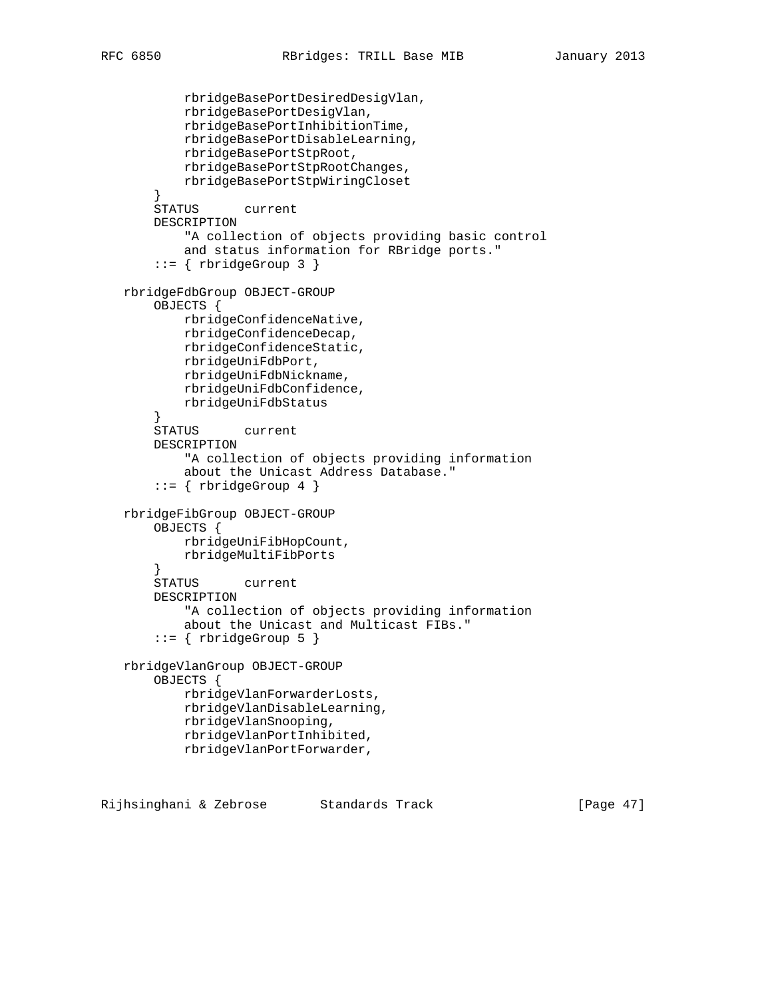```
 rbridgeBasePortDesiredDesigVlan,
         rbridgeBasePortDesigVlan,
         rbridgeBasePortInhibitionTime,
         rbridgeBasePortDisableLearning,
         rbridgeBasePortStpRoot,
         rbridgeBasePortStpRootChanges,
         rbridgeBasePortStpWiringCloset
     }
     STATUS current
     DESCRIPTION
         "A collection of objects providing basic control
         and status information for RBridge ports."
     ::= { rbridgeGroup 3 }
 rbridgeFdbGroup OBJECT-GROUP
     OBJECTS {
         rbridgeConfidenceNative,
         rbridgeConfidenceDecap,
         rbridgeConfidenceStatic,
         rbridgeUniFdbPort,
         rbridgeUniFdbNickname,
         rbridgeUniFdbConfidence,
         rbridgeUniFdbStatus
     }
     STATUS current
     DESCRIPTION
         "A collection of objects providing information
         about the Unicast Address Database."
    ::= \{ rbrideGroup 4 \} rbridgeFibGroup OBJECT-GROUP
     OBJECTS {
         rbridgeUniFibHopCount,
         rbridgeMultiFibPorts
     }
     STATUS current
     DESCRIPTION
         "A collection of objects providing information
         about the Unicast and Multicast FIBs."
    ::= { rbridgeGroup 5 }
 rbridgeVlanGroup OBJECT-GROUP
     OBJECTS {
         rbridgeVlanForwarderLosts,
         rbridgeVlanDisableLearning,
         rbridgeVlanSnooping,
         rbridgeVlanPortInhibited,
         rbridgeVlanPortForwarder,
```
Rijhsinghani & Zebrose Standards Track [Page 47]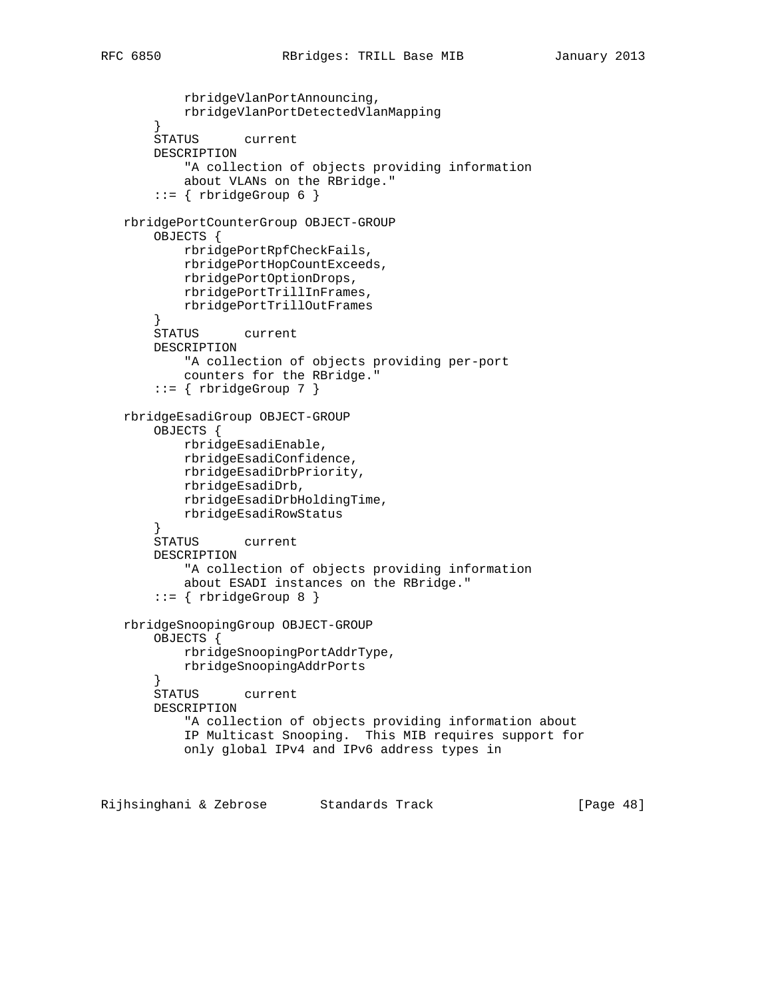```
 rbridgeVlanPortAnnouncing,
           rbridgeVlanPortDetectedVlanMapping
        }
       STATUS current
       DESCRIPTION
            "A collection of objects providing information
           about VLANs on the RBridge."
       ::= { rbridgeGroup 6 }
   rbridgePortCounterGroup OBJECT-GROUP
       OBJECTS {
           rbridgePortRpfCheckFails,
           rbridgePortHopCountExceeds,
           rbridgePortOptionDrops,
           rbridgePortTrillInFrames,
           rbridgePortTrillOutFrames
 }
       STATUS current
       DESCRIPTION
           "A collection of objects providing per-port
           counters for the RBridge."
       ::= { rbridgeGroup 7 }
   rbridgeEsadiGroup OBJECT-GROUP
       OBJECTS {
           rbridgeEsadiEnable,
           rbridgeEsadiConfidence,
           rbridgeEsadiDrbPriority,
           rbridgeEsadiDrb,
           rbridgeEsadiDrbHoldingTime,
           rbridgeEsadiRowStatus
        }
       STATUS current
       DESCRIPTION
            "A collection of objects providing information
           about ESADI instances on the RBridge."
       ::= { rbridgeGroup 8 }
   rbridgeSnoopingGroup OBJECT-GROUP
       OBJECTS {
           rbridgeSnoopingPortAddrType,
           rbridgeSnoopingAddrPorts
 }
       STATUS current
       DESCRIPTION
            "A collection of objects providing information about
           IP Multicast Snooping. This MIB requires support for
           only global IPv4 and IPv6 address types in
```
Rijhsinghani & Zebrose Standards Track [Page 48]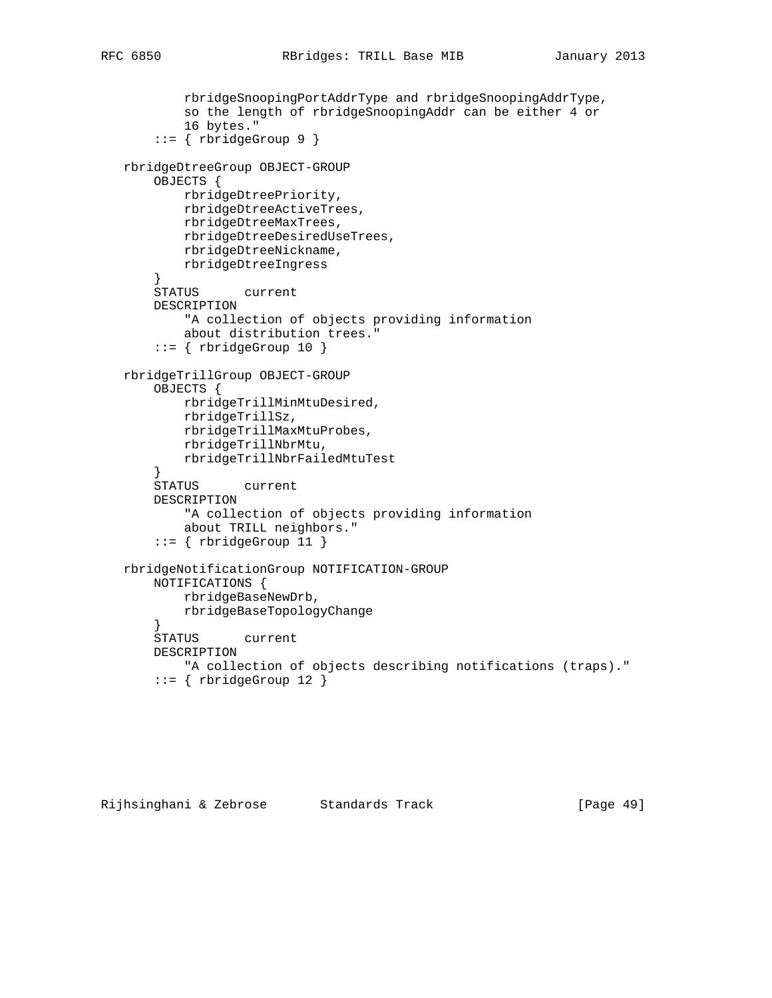```
 rbridgeSnoopingPortAddrType and rbridgeSnoopingAddrType,
            so the length of rbridgeSnoopingAddr can be either 4 or
            16 bytes."
        ::= { rbridgeGroup 9 }
   rbridgeDtreeGroup OBJECT-GROUP
        OBJECTS {
           rbridgeDtreePriority,
            rbridgeDtreeActiveTrees,
           rbridgeDtreeMaxTrees,
           rbridgeDtreeDesiredUseTrees,
           rbridgeDtreeNickname,
           rbridgeDtreeIngress
 }
        STATUS current
       DESCRIPTION
           "A collection of objects providing information
           about distribution trees."
       ::= { rbridgeGroup 10 }
   rbridgeTrillGroup OBJECT-GROUP
        OBJECTS {
           rbridgeTrillMinMtuDesired,
           rbridgeTrillSz,
           rbridgeTrillMaxMtuProbes,
           rbridgeTrillNbrMtu,
            rbridgeTrillNbrFailedMtuTest
        }
       STATUS current
       DESCRIPTION
            "A collection of objects providing information
           about TRILL neighbors."
       ::= { rbridgeGroup 11 }
   rbridgeNotificationGroup NOTIFICATION-GROUP
       NOTIFICATIONS {
           rbridgeBaseNewDrb,
           rbridgeBaseTopologyChange
        }
        STATUS current
       DESCRIPTION
           "A collection of objects describing notifications (traps)."
       ::= { rbridgeGroup 12 }
```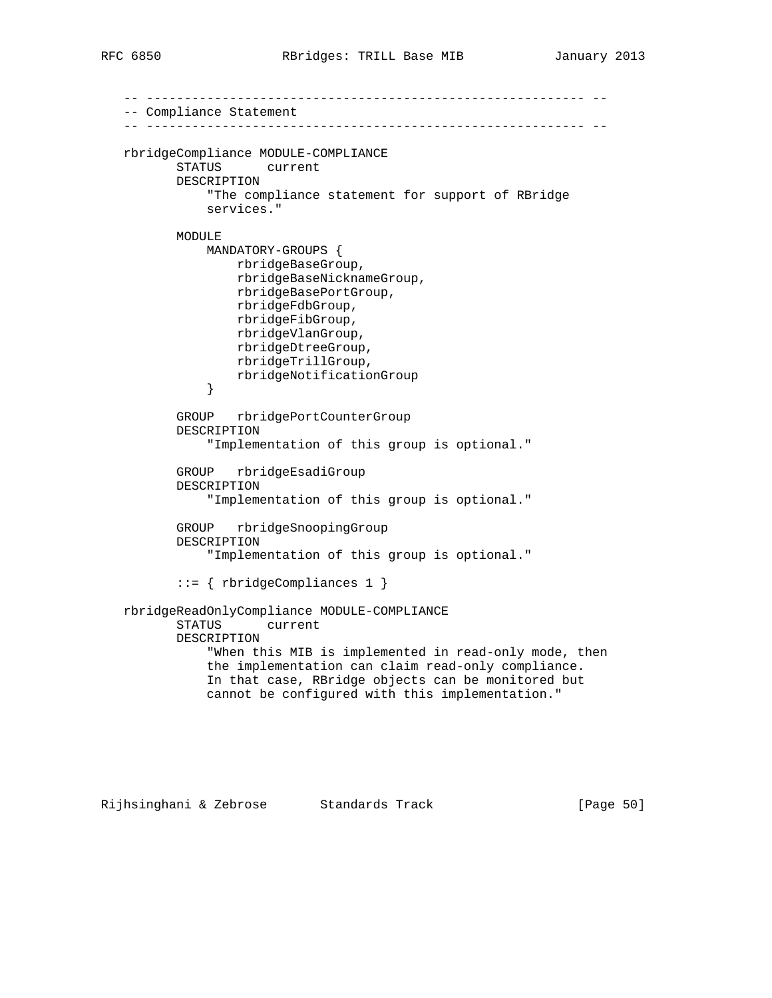```
 -- ---------------------------------------------------------- --
   -- Compliance Statement
   -- ---------------------------------------------------------- --
   rbridgeCompliance MODULE-COMPLIANCE
          STATUS current
          DESCRIPTION
              "The compliance statement for support of RBridge
              services."
          MODULE
              MANDATORY-GROUPS {
                  rbridgeBaseGroup,
                  rbridgeBaseNicknameGroup,
                  rbridgeBasePortGroup,
                  rbridgeFdbGroup,
                  rbridgeFibGroup,
                  rbridgeVlanGroup,
                  rbridgeDtreeGroup,
                  rbridgeTrillGroup,
              rbridgeNotificationGroup
 }
          GROUP rbridgePortCounterGroup
          DESCRIPTION
               "Implementation of this group is optional."
          GROUP rbridgeEsadiGroup
          DESCRIPTION
               "Implementation of this group is optional."
          GROUP rbridgeSnoopingGroup
          DESCRIPTION
               "Implementation of this group is optional."
           ::= { rbridgeCompliances 1 }
   rbridgeReadOnlyCompliance MODULE-COMPLIANCE
          STATUS current
          DESCRIPTION
               "When this MIB is implemented in read-only mode, then
              the implementation can claim read-only compliance.
              In that case, RBridge objects can be monitored but
              cannot be configured with this implementation."
```
Rijhsinghani & Zebrose Standards Track [Page 50]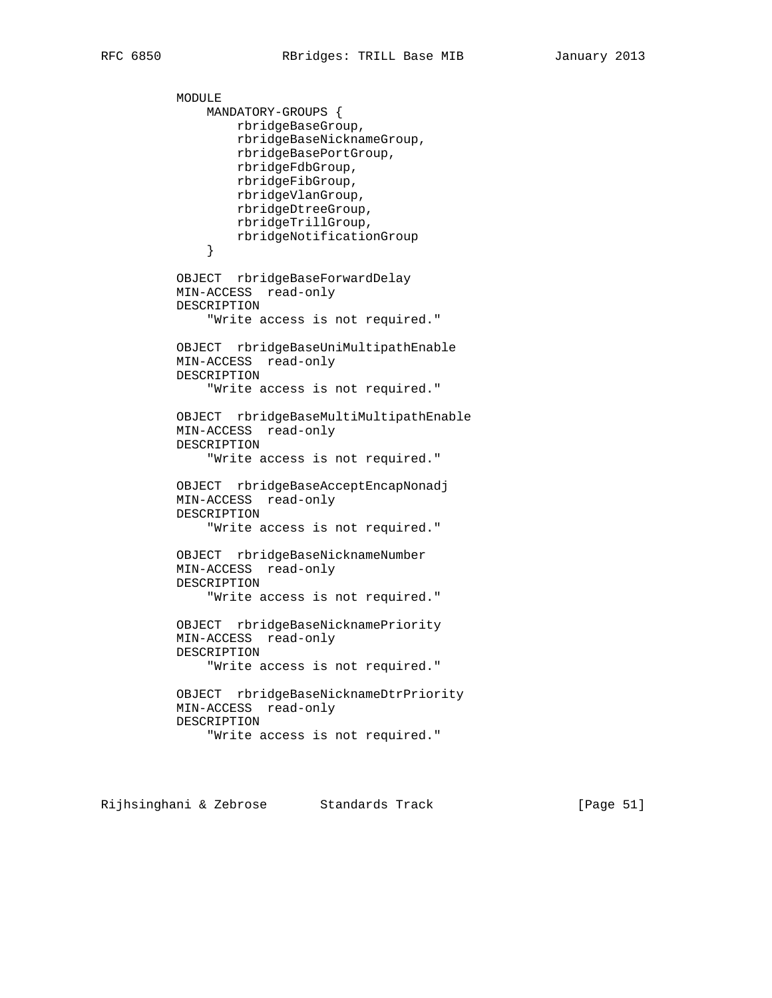MODULE

```
 MANDATORY-GROUPS {
                  rbridgeBaseGroup,
                  rbridgeBaseNicknameGroup,
                  rbridgeBasePortGroup,
                  rbridgeFdbGroup,
                  rbridgeFibGroup,
                  rbridgeVlanGroup,
                  rbridgeDtreeGroup,
                  rbridgeTrillGroup,
               rbridgeNotificationGroup
 }
          OBJECT rbridgeBaseForwardDelay
          MIN-ACCESS read-only
          DESCRIPTION
               "Write access is not required."
          OBJECT rbridgeBaseUniMultipathEnable
          MIN-ACCESS read-only
          DESCRIPTION
               "Write access is not required."
          OBJECT rbridgeBaseMultiMultipathEnable
          MIN-ACCESS read-only
          DESCRIPTION
               "Write access is not required."
          OBJECT rbridgeBaseAcceptEncapNonadj
          MIN-ACCESS read-only
          DESCRIPTION
               "Write access is not required."
          OBJECT rbridgeBaseNicknameNumber
          MIN-ACCESS read-only
          DESCRIPTION
               "Write access is not required."
          OBJECT rbridgeBaseNicknamePriority
          MIN-ACCESS read-only
          DESCRIPTION
               "Write access is not required."
          OBJECT rbridgeBaseNicknameDtrPriority
          MIN-ACCESS read-only
          DESCRIPTION
               "Write access is not required."
```
Rijhsinghani & Zebrose Standards Track [Page 51]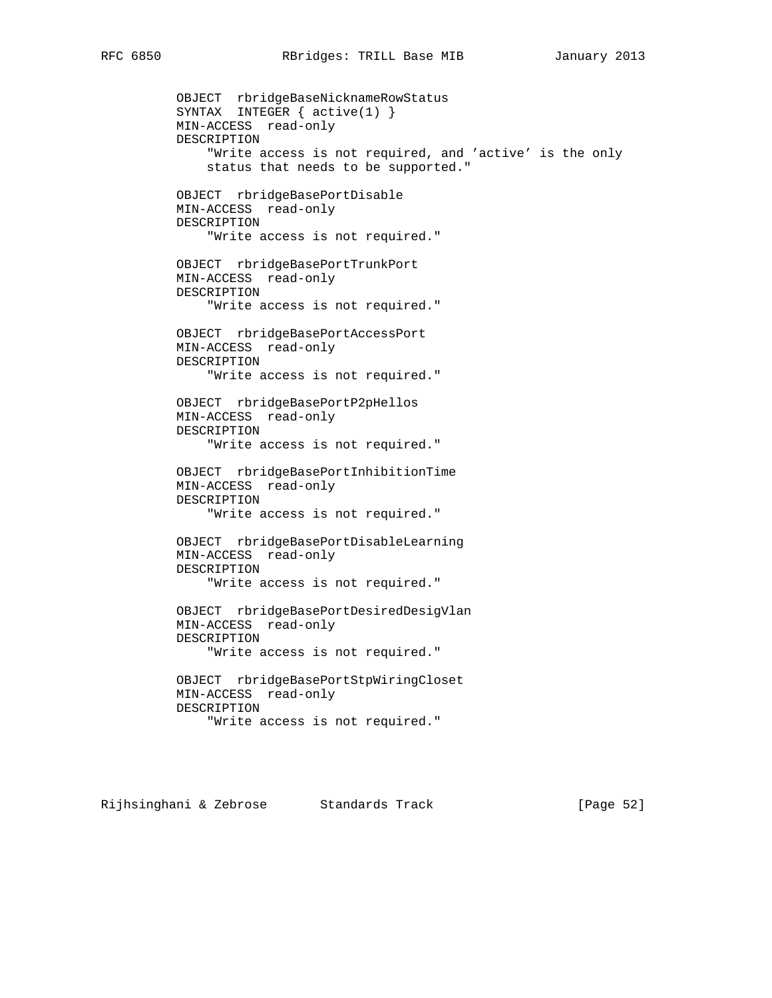OBJECT rbridgeBaseNicknameRowStatus SYNTAX INTEGER { active(1) } MIN-ACCESS read-only DESCRIPTION "Write access is not required, and 'active' is the only status that needs to be supported." OBJECT rbridgeBasePortDisable MIN-ACCESS read-only DESCRIPTION "Write access is not required." OBJECT rbridgeBasePortTrunkPort MIN-ACCESS read-only DESCRIPTION "Write access is not required." OBJECT rbridgeBasePortAccessPort MIN-ACCESS read-only DESCRIPTION "Write access is not required." OBJECT rbridgeBasePortP2pHellos MIN-ACCESS read-only DESCRIPTION "Write access is not required." OBJECT rbridgeBasePortInhibitionTime MIN-ACCESS read-only DESCRIPTION "Write access is not required." OBJECT rbridgeBasePortDisableLearning MIN-ACCESS read-only DESCRIPTION "Write access is not required." OBJECT rbridgeBasePortDesiredDesigVlan MIN-ACCESS read-only DESCRIPTION "Write access is not required." OBJECT rbridgeBasePortStpWiringCloset MIN-ACCESS read-only DESCRIPTION "Write access is not required."

Rijhsinghani & Zebrose Standards Track (Page 52)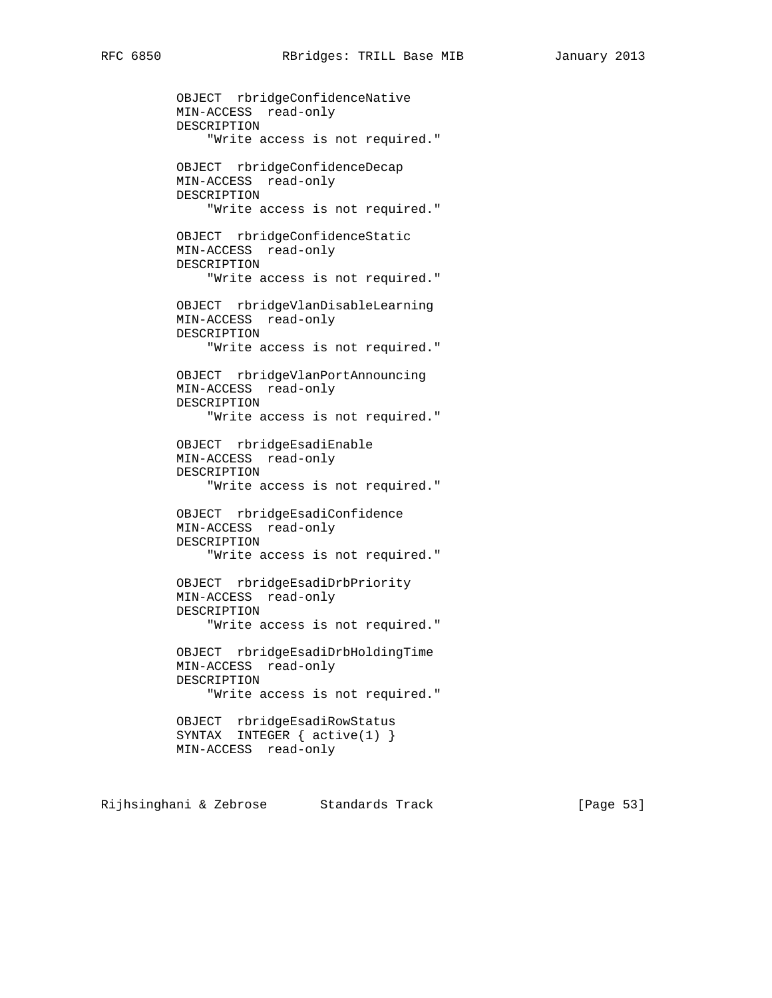OBJECT rbridgeConfidenceNative MIN-ACCESS read-only DESCRIPTION "Write access is not required." OBJECT rbridgeConfidenceDecap MIN-ACCESS read-only DESCRIPTION "Write access is not required." OBJECT rbridgeConfidenceStatic MIN-ACCESS read-only DESCRIPTION "Write access is not required." OBJECT rbridgeVlanDisableLearning MIN-ACCESS read-only DESCRIPTION "Write access is not required." OBJECT rbridgeVlanPortAnnouncing MIN-ACCESS read-only DESCRIPTION "Write access is not required." OBJECT rbridgeEsadiEnable MIN-ACCESS read-only DESCRIPTION "Write access is not required." OBJECT rbridgeEsadiConfidence MIN-ACCESS read-only DESCRIPTION "Write access is not required." OBJECT rbridgeEsadiDrbPriority MIN-ACCESS read-only DESCRIPTION "Write access is not required." OBJECT rbridgeEsadiDrbHoldingTime MIN-ACCESS read-only DESCRIPTION "Write access is not required." OBJECT rbridgeEsadiRowStatus SYNTAX INTEGER { active(1) } MIN-ACCESS read-only

Rijhsinghani & Zebrose Standards Track [Page 53]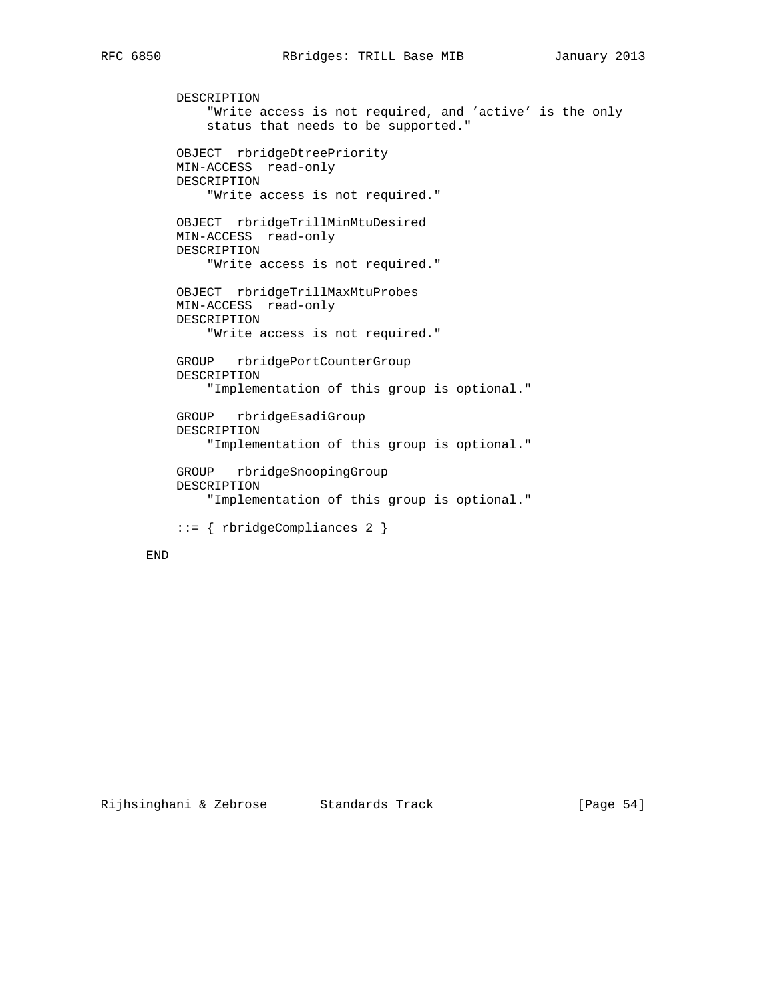```
 DESCRIPTION
     "Write access is not required, and 'active' is the only
     status that needs to be supported."
 OBJECT rbridgeDtreePriority
 MIN-ACCESS read-only
 DESCRIPTION
     "Write access is not required."
 OBJECT rbridgeTrillMinMtuDesired
 MIN-ACCESS read-only
 DESCRIPTION
     "Write access is not required."
 OBJECT rbridgeTrillMaxMtuProbes
 MIN-ACCESS read-only
 DESCRIPTION
    "Write access is not required."
 GROUP rbridgePortCounterGroup
 DESCRIPTION
     "Implementation of this group is optional."
 GROUP rbridgeEsadiGroup
 DESCRIPTION
     "Implementation of this group is optional."
 GROUP rbridgeSnoopingGroup
 DESCRIPTION
     "Implementation of this group is optional."
 ::= { rbridgeCompliances 2 }
```
### END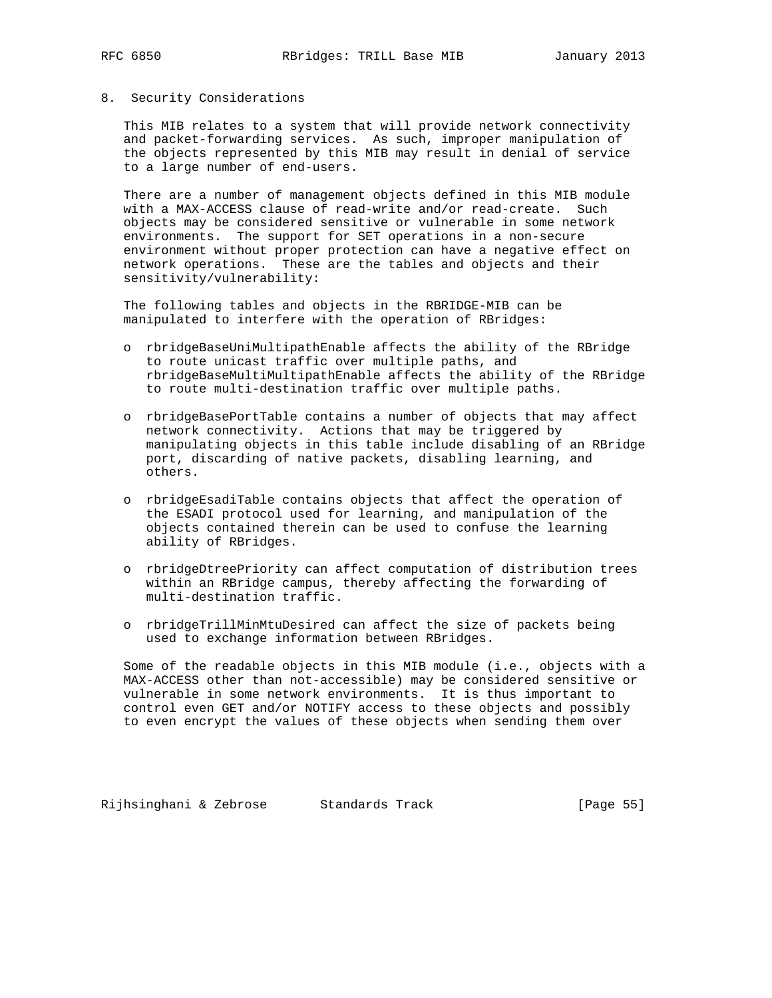### 8. Security Considerations

 This MIB relates to a system that will provide network connectivity and packet-forwarding services. As such, improper manipulation of the objects represented by this MIB may result in denial of service to a large number of end-users.

 There are a number of management objects defined in this MIB module with a MAX-ACCESS clause of read-write and/or read-create. Such objects may be considered sensitive or vulnerable in some network environments. The support for SET operations in a non-secure environment without proper protection can have a negative effect on network operations. These are the tables and objects and their sensitivity/vulnerability:

 The following tables and objects in the RBRIDGE-MIB can be manipulated to interfere with the operation of RBridges:

- o rbridgeBaseUniMultipathEnable affects the ability of the RBridge to route unicast traffic over multiple paths, and rbridgeBaseMultiMultipathEnable affects the ability of the RBridge to route multi-destination traffic over multiple paths.
- o rbridgeBasePortTable contains a number of objects that may affect network connectivity. Actions that may be triggered by manipulating objects in this table include disabling of an RBridge port, discarding of native packets, disabling learning, and others.
- o rbridgeEsadiTable contains objects that affect the operation of the ESADI protocol used for learning, and manipulation of the objects contained therein can be used to confuse the learning ability of RBridges.
- o rbridgeDtreePriority can affect computation of distribution trees within an RBridge campus, thereby affecting the forwarding of multi-destination traffic.
- o rbridgeTrillMinMtuDesired can affect the size of packets being used to exchange information between RBridges.

 Some of the readable objects in this MIB module (i.e., objects with a MAX-ACCESS other than not-accessible) may be considered sensitive or vulnerable in some network environments. It is thus important to control even GET and/or NOTIFY access to these objects and possibly to even encrypt the values of these objects when sending them over

Rijhsinghani & Zebrose Standards Track [Page 55]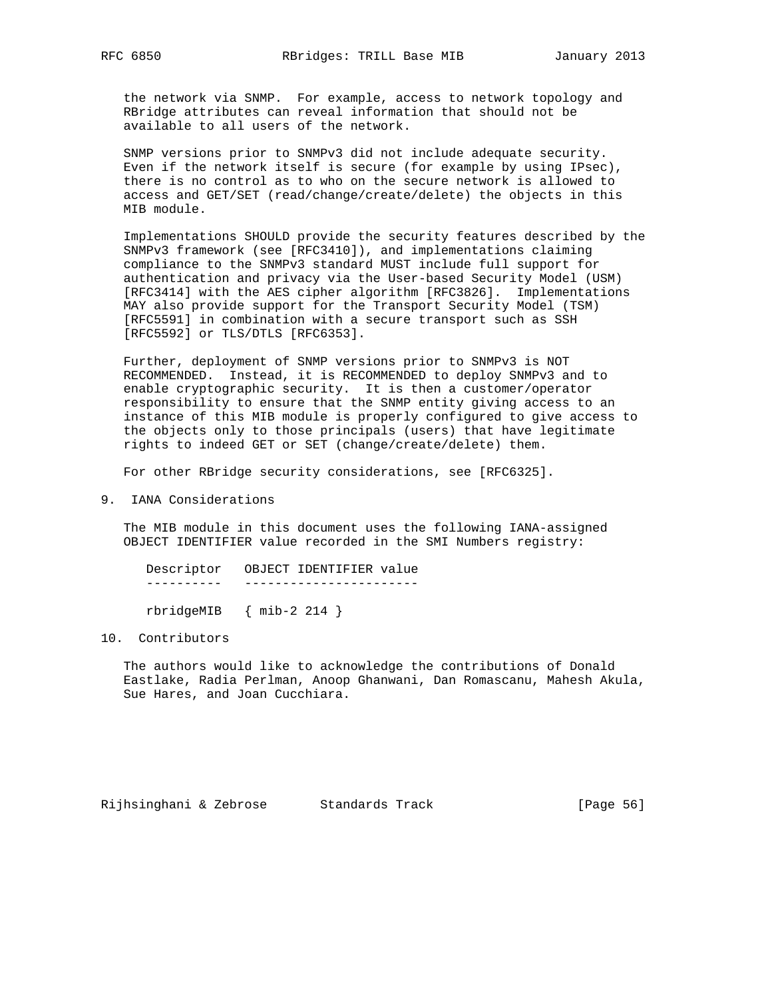the network via SNMP. For example, access to network topology and RBridge attributes can reveal information that should not be available to all users of the network.

 SNMP versions prior to SNMPv3 did not include adequate security. Even if the network itself is secure (for example by using IPsec), there is no control as to who on the secure network is allowed to access and GET/SET (read/change/create/delete) the objects in this MIB module.

 Implementations SHOULD provide the security features described by the SNMPv3 framework (see [RFC3410]), and implementations claiming compliance to the SNMPv3 standard MUST include full support for authentication and privacy via the User-based Security Model (USM) [RFC3414] with the AES cipher algorithm [RFC3826]. Implementations MAY also provide support for the Transport Security Model (TSM) [RFC5591] in combination with a secure transport such as SSH [RFC5592] or TLS/DTLS [RFC6353].

 Further, deployment of SNMP versions prior to SNMPv3 is NOT RECOMMENDED. Instead, it is RECOMMENDED to deploy SNMPv3 and to enable cryptographic security. It is then a customer/operator responsibility to ensure that the SNMP entity giving access to an instance of this MIB module is properly configured to give access to the objects only to those principals (users) that have legitimate rights to indeed GET or SET (change/create/delete) them.

For other RBridge security considerations, see [RFC6325].

9. IANA Considerations

 The MIB module in this document uses the following IANA-assigned OBJECT IDENTIFIER value recorded in the SMI Numbers registry:

| Descriptor OBJECT IDENTIFIER value |  |  |
|------------------------------------|--|--|
|                                    |  |  |
| $rbridgeMIB$ { mib-2 214 }         |  |  |

### 10. Contributors

 The authors would like to acknowledge the contributions of Donald Eastlake, Radia Perlman, Anoop Ghanwani, Dan Romascanu, Mahesh Akula, Sue Hares, and Joan Cucchiara.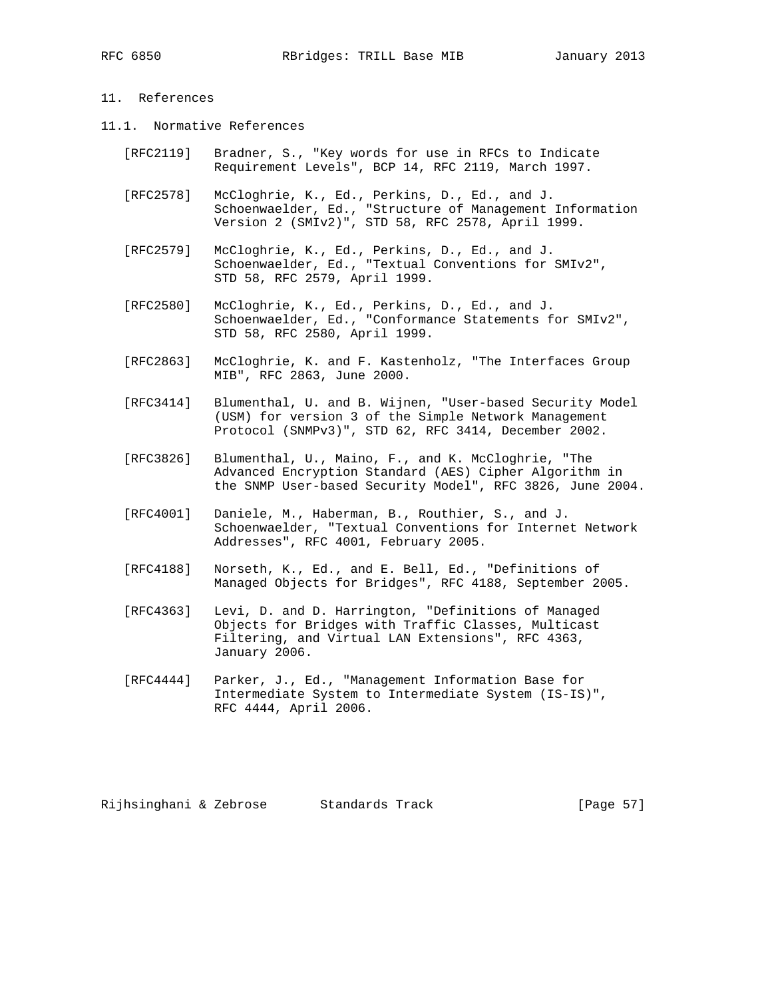## 11. References

- 11.1. Normative References
	- [RFC2119] Bradner, S., "Key words for use in RFCs to Indicate Requirement Levels", BCP 14, RFC 2119, March 1997.
	- [RFC2578] McCloghrie, K., Ed., Perkins, D., Ed., and J. Schoenwaelder, Ed., "Structure of Management Information Version 2 (SMIv2)", STD 58, RFC 2578, April 1999.
	- [RFC2579] McCloghrie, K., Ed., Perkins, D., Ed., and J. Schoenwaelder, Ed., "Textual Conventions for SMIv2", STD 58, RFC 2579, April 1999.
	- [RFC2580] McCloghrie, K., Ed., Perkins, D., Ed., and J. Schoenwaelder, Ed., "Conformance Statements for SMIv2", STD 58, RFC 2580, April 1999.
	- [RFC2863] McCloghrie, K. and F. Kastenholz, "The Interfaces Group MIB", RFC 2863, June 2000.
	- [RFC3414] Blumenthal, U. and B. Wijnen, "User-based Security Model (USM) for version 3 of the Simple Network Management Protocol (SNMPv3)", STD 62, RFC 3414, December 2002.
	- [RFC3826] Blumenthal, U., Maino, F., and K. McCloghrie, "The Advanced Encryption Standard (AES) Cipher Algorithm in the SNMP User-based Security Model", RFC 3826, June 2004.
	- [RFC4001] Daniele, M., Haberman, B., Routhier, S., and J. Schoenwaelder, "Textual Conventions for Internet Network Addresses", RFC 4001, February 2005.
	- [RFC4188] Norseth, K., Ed., and E. Bell, Ed., "Definitions of Managed Objects for Bridges", RFC 4188, September 2005.
	- [RFC4363] Levi, D. and D. Harrington, "Definitions of Managed Objects for Bridges with Traffic Classes, Multicast Filtering, and Virtual LAN Extensions", RFC 4363, January 2006.
	- [RFC4444] Parker, J., Ed., "Management Information Base for Intermediate System to Intermediate System (IS-IS)", RFC 4444, April 2006.

Rijhsinghani & Zebrose Standards Track (Page 57)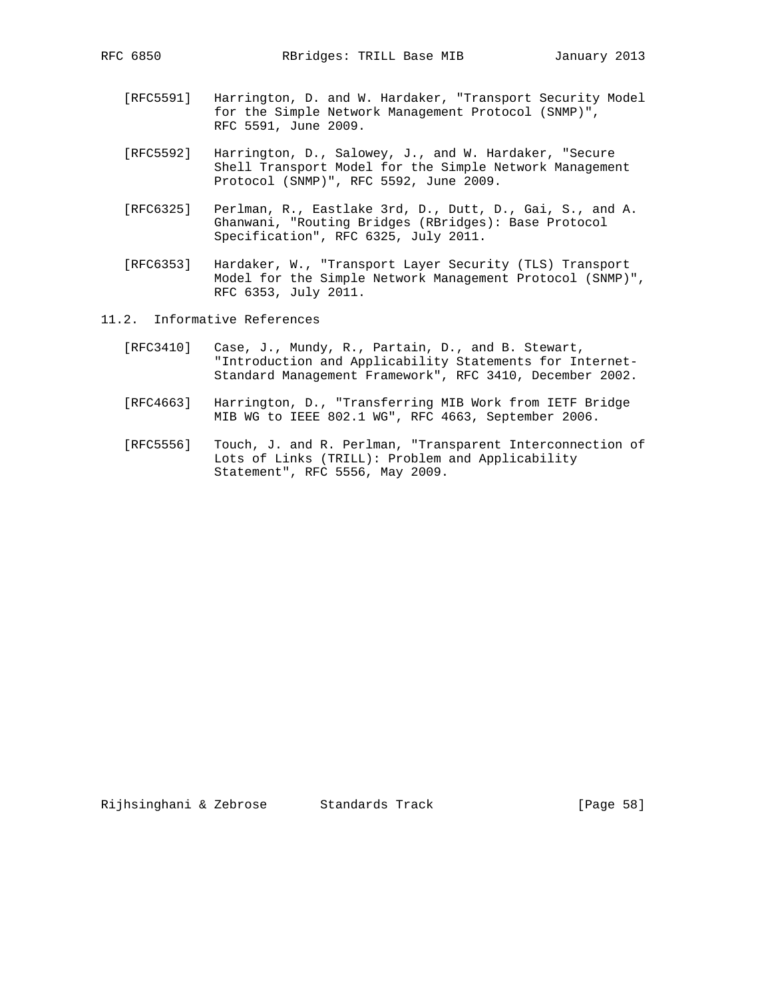- [RFC5591] Harrington, D. and W. Hardaker, "Transport Security Model for the Simple Network Management Protocol (SNMP)", RFC 5591, June 2009.
- [RFC5592] Harrington, D., Salowey, J., and W. Hardaker, "Secure Shell Transport Model for the Simple Network Management Protocol (SNMP)", RFC 5592, June 2009.
- [RFC6325] Perlman, R., Eastlake 3rd, D., Dutt, D., Gai, S., and A. Ghanwani, "Routing Bridges (RBridges): Base Protocol Specification", RFC 6325, July 2011.
- [RFC6353] Hardaker, W., "Transport Layer Security (TLS) Transport Model for the Simple Network Management Protocol (SNMP)", RFC 6353, July 2011.
- 11.2. Informative References
	- [RFC3410] Case, J., Mundy, R., Partain, D., and B. Stewart, "Introduction and Applicability Statements for Internet- Standard Management Framework", RFC 3410, December 2002.
	- [RFC4663] Harrington, D., "Transferring MIB Work from IETF Bridge MIB WG to IEEE 802.1 WG", RFC 4663, September 2006.
	- [RFC5556] Touch, J. and R. Perlman, "Transparent Interconnection of Lots of Links (TRILL): Problem and Applicability Statement", RFC 5556, May 2009.